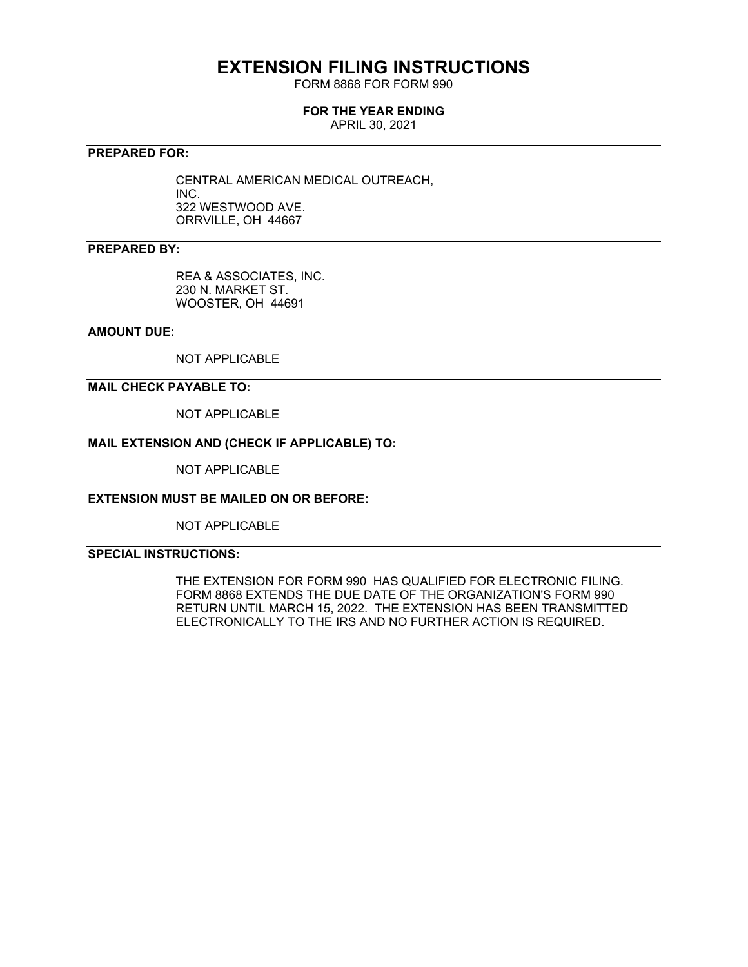## **EXTENSION FILING INSTRUCTIONS**

FORM 8868 FOR FORM 990

#### **FOR THE YEAR ENDING**

APRIL 30, 2021

#### **PREPARED FOR:**

CENTRAL AMERICAN MEDICAL OUTREACH, INC. 322 WESTWOOD AVE. ORRVILLE, OH 44667

#### **PREPARED BY:**

REA & ASSOCIATES, INC. 230 N. MARKET ST. WOOSTER, OH 44691

#### **AMOUNT DUE:**

NOT APPLICABLE

#### **MAIL CHECK PAYABLE TO:**

NOT APPLICABLE

### **MAIL EXTENSION AND (CHECK IF APPLICABLE) TO:**

NOT APPLICABLE

#### **EXTENSION MUST BE MAILED ON OR BEFORE:**

NOT APPLICABLE

#### **SPECIAL INSTRUCTIONS:**

THE EXTENSION FOR FORM 990 HAS QUALIFIED FOR ELECTRONIC FILING. FORM 8868 EXTENDS THE DUE DATE OF THE ORGANIZATION'S FORM 990 RETURN UNTIL MARCH 15, 2022. THE EXTENSION HAS BEEN TRANSMITTED ELECTRONICALLY TO THE IRS AND NO FURTHER ACTION IS REQUIRED.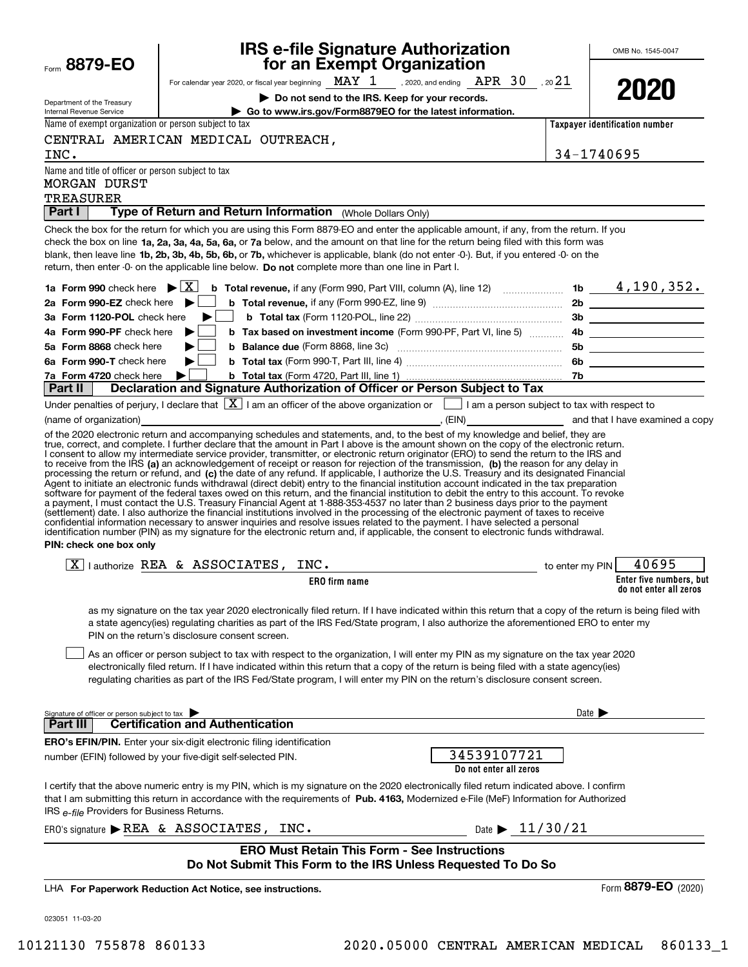| Form 8879-EO                                                                     |                                                                              | <b>IRS e-file Signature Authorization</b><br>for an Exempt Organization                                                                                                                                                                                                                                                                                                                                                                                                                                                                                                                                                                                                                                 |                                     | OMB No. 1545-0047                                 |
|----------------------------------------------------------------------------------|------------------------------------------------------------------------------|---------------------------------------------------------------------------------------------------------------------------------------------------------------------------------------------------------------------------------------------------------------------------------------------------------------------------------------------------------------------------------------------------------------------------------------------------------------------------------------------------------------------------------------------------------------------------------------------------------------------------------------------------------------------------------------------------------|-------------------------------------|---------------------------------------------------|
|                                                                                  |                                                                              | For calendar year 2020, or fiscal year beginning $\text{ MAX } 1$ , 2020, and ending $\text{ APR } 30$ , 20 21                                                                                                                                                                                                                                                                                                                                                                                                                                                                                                                                                                                          |                                     | 2020                                              |
| Department of the Treasury                                                       |                                                                              | Do not send to the IRS. Keep for your records.                                                                                                                                                                                                                                                                                                                                                                                                                                                                                                                                                                                                                                                          |                                     |                                                   |
| Internal Revenue Service<br>Name of exempt organization or person subject to tax |                                                                              | Go to www.irs.gov/Form8879EO for the latest information.                                                                                                                                                                                                                                                                                                                                                                                                                                                                                                                                                                                                                                                |                                     | Taxpayer identification number                    |
|                                                                                  | CENTRAL AMERICAN MEDICAL OUTREACH,                                           |                                                                                                                                                                                                                                                                                                                                                                                                                                                                                                                                                                                                                                                                                                         |                                     |                                                   |
| INC.                                                                             |                                                                              |                                                                                                                                                                                                                                                                                                                                                                                                                                                                                                                                                                                                                                                                                                         | 34-1740695                          |                                                   |
| Name and title of officer or person subject to tax                               |                                                                              |                                                                                                                                                                                                                                                                                                                                                                                                                                                                                                                                                                                                                                                                                                         |                                     |                                                   |
| MORGAN DURST                                                                     |                                                                              |                                                                                                                                                                                                                                                                                                                                                                                                                                                                                                                                                                                                                                                                                                         |                                     |                                                   |
| <b>TREASURER</b>                                                                 |                                                                              |                                                                                                                                                                                                                                                                                                                                                                                                                                                                                                                                                                                                                                                                                                         |                                     |                                                   |
| Part I                                                                           |                                                                              | Type of Return and Return Information (Whole Dollars Only)                                                                                                                                                                                                                                                                                                                                                                                                                                                                                                                                                                                                                                              |                                     |                                                   |
|                                                                                  |                                                                              | Check the box for the return for which you are using this Form 8879-EO and enter the applicable amount, if any, from the return. If you<br>check the box on line 1a, 2a, 3a, 4a, 5a, 6a, or 7a below, and the amount on that line for the return being filed with this form was<br>blank, then leave line 1b, 2b, 3b, 4b, 5b, 6b, or 7b, whichever is applicable, blank (do not enter -0-). But, if you entered -0- on the<br>return, then enter -0- on the applicable line below. Do not complete more than one line in Part I.                                                                                                                                                                        |                                     |                                                   |
| 1a Form 990 check here $\blacktriangleright \lceil \overline{X} \rceil$          |                                                                              | <b>b</b> Total revenue, if any (Form 990, Part VIII, column (A), line 12) $\ldots$ 1b $\phantom{0}$ $\phantom{0}4$ , 190, 352.                                                                                                                                                                                                                                                                                                                                                                                                                                                                                                                                                                          |                                     |                                                   |
| 2a Form 990-EZ check here $\blacktriangleright$                                  |                                                                              |                                                                                                                                                                                                                                                                                                                                                                                                                                                                                                                                                                                                                                                                                                         |                                     |                                                   |
| 3a Form 1120-POL check here                                                      | $\sim$                                                                       |                                                                                                                                                                                                                                                                                                                                                                                                                                                                                                                                                                                                                                                                                                         |                                     |                                                   |
| 4a Form 990-PF check here                                                        |                                                                              |                                                                                                                                                                                                                                                                                                                                                                                                                                                                                                                                                                                                                                                                                                         |                                     |                                                   |
| 5a Form 8868 check here<br>6a Form 990-T check here                              | ▶                                                                            |                                                                                                                                                                                                                                                                                                                                                                                                                                                                                                                                                                                                                                                                                                         |                                     |                                                   |
| 7a Form 4720 check here                                                          |                                                                              |                                                                                                                                                                                                                                                                                                                                                                                                                                                                                                                                                                                                                                                                                                         |                                     |                                                   |
| <b>Part II</b>                                                                   |                                                                              | Declaration and Signature Authorization of Officer or Person Subject to Tax                                                                                                                                                                                                                                                                                                                                                                                                                                                                                                                                                                                                                             |                                     |                                                   |
|                                                                                  |                                                                              | Under penalties of perjury, I declare that $\boxed{\mathbf{X}}$ I am an officer of the above organization or $\boxed{\phantom{\mathbf{X}}}$ I am a person subject to tax with respect to                                                                                                                                                                                                                                                                                                                                                                                                                                                                                                                |                                     |                                                   |
|                                                                                  |                                                                              | (name of organization) <b>contract and that I have examined a copy</b> (name of organization) and that I have examined a copy<br>of the 2020 electronic return and accompanying schedules and statements, and, to the best of my knowledge and belief, they are                                                                                                                                                                                                                                                                                                                                                                                                                                         |                                     |                                                   |
| PIN: check one box only                                                          |                                                                              | a payment, I must contact the U.S. Treasury Financial Agent at 1-888-353-4537 no later than 2 business days prior to the payment<br>(settlement) date. I also authorize the financial institutions involved in the processing of the electronic payment of taxes to receive<br>confidential information necessary to answer inquiries and resolve issues related to the payment. I have selected a personal<br>identification number (PIN) as my signature for the electronic return and, if applicable, the consent to electronic funds withdrawal.                                                                                                                                                    |                                     |                                                   |
|                                                                                  | $\boxed{X}$   authorize REA & ASSOCIATES, INC.                               | and to enter my PIN                                                                                                                                                                                                                                                                                                                                                                                                                                                                                                                                                                                                                                                                                     |                                     | 40695                                             |
|                                                                                  |                                                                              | <b>ERO</b> firm name                                                                                                                                                                                                                                                                                                                                                                                                                                                                                                                                                                                                                                                                                    |                                     | Enter five numbers, but<br>do not enter all zeros |
|                                                                                  | PIN on the return's disclosure consent screen.                               | as my signature on the tax year 2020 electronically filed return. If I have indicated within this return that a copy of the return is being filed with<br>a state agency(ies) regulating charities as part of the IRS Fed/State program, I also authorize the aforementioned ERO to enter my<br>As an officer or person subject to tax with respect to the organization, I will enter my PIN as my signature on the tax year 2020<br>electronically filed return. If I have indicated within this return that a copy of the return is being filed with a state agency(ies)<br>regulating charities as part of the IRS Fed/State program, I will enter my PIN on the return's disclosure consent screen. |                                     |                                                   |
| Signature of officer or person subject to tax<br><b>Part III</b>                 | <b>Certification and Authentication</b>                                      |                                                                                                                                                                                                                                                                                                                                                                                                                                                                                                                                                                                                                                                                                                         | Date $\blacktriangleright$          |                                                   |
|                                                                                  | <b>ERO's EFIN/PIN.</b> Enter your six-digit electronic filing identification |                                                                                                                                                                                                                                                                                                                                                                                                                                                                                                                                                                                                                                                                                                         |                                     |                                                   |
|                                                                                  | number (EFIN) followed by your five-digit self-selected PIN.                 | 34539107721<br>Do not enter all zeros                                                                                                                                                                                                                                                                                                                                                                                                                                                                                                                                                                                                                                                                   |                                     |                                                   |
| IRS e-file Providers for Business Returns.                                       |                                                                              | I certify that the above numeric entry is my PIN, which is my signature on the 2020 electronically filed return indicated above. I confirm<br>that I am submitting this return in accordance with the requirements of Pub. 4163, Modernized e-File (MeF) Information for Authorized                                                                                                                                                                                                                                                                                                                                                                                                                     |                                     |                                                   |
|                                                                                  | ERO's signature REA & ASSOCIATES, INC.                                       |                                                                                                                                                                                                                                                                                                                                                                                                                                                                                                                                                                                                                                                                                                         | Date $\blacktriangleright$ 11/30/21 |                                                   |
|                                                                                  |                                                                              | <b>ERO Must Retain This Form - See Instructions</b><br>Do Not Submit This Form to the IRS Unless Requested To Do So                                                                                                                                                                                                                                                                                                                                                                                                                                                                                                                                                                                     |                                     |                                                   |
|                                                                                  |                                                                              |                                                                                                                                                                                                                                                                                                                                                                                                                                                                                                                                                                                                                                                                                                         |                                     |                                                   |
|                                                                                  | LHA For Paperwork Reduction Act Notice, see instructions.                    |                                                                                                                                                                                                                                                                                                                                                                                                                                                                                                                                                                                                                                                                                                         |                                     | Form 8879-EO (2020)                               |
| 023051 11-03-20                                                                  |                                                                              |                                                                                                                                                                                                                                                                                                                                                                                                                                                                                                                                                                                                                                                                                                         |                                     |                                                   |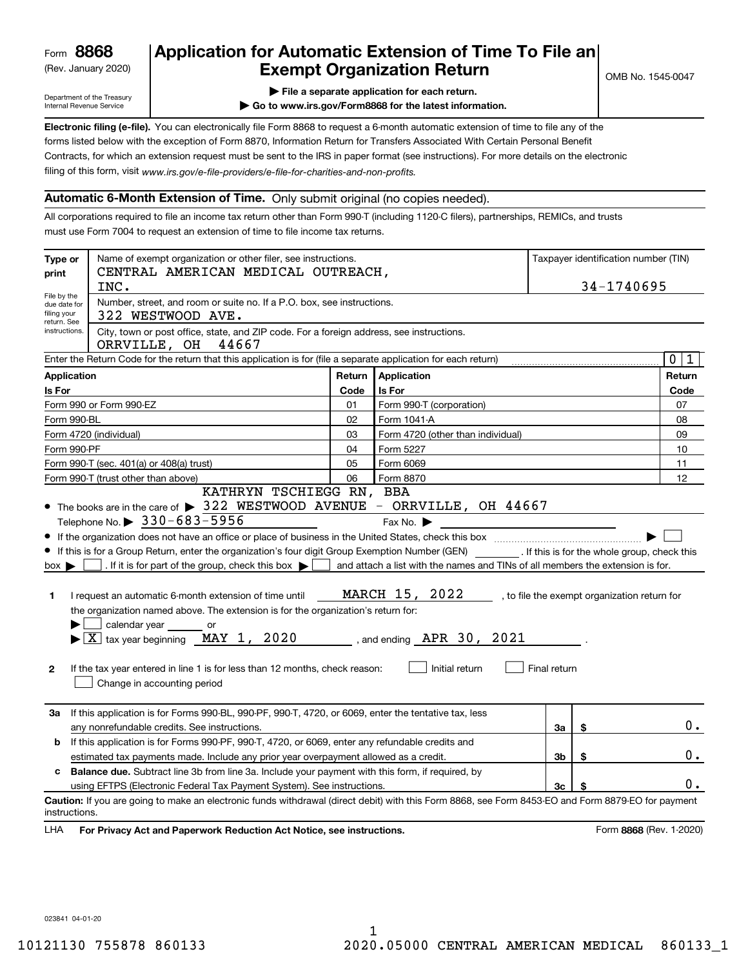(Rev. January 2020)

### **Application for Automatic Extension of Time To File an Exempt Organization Return**

OMB No. 1545-0047

Department of the Treasury Internal Revenue Service

**| File a separate application for each return.**

**| Go to www.irs.gov/Form8868 for the latest information.**

**Electronic filing (e-file).**  You can electronically file Form 8868 to request a 6-month automatic extension of time to file any of the filing of this form, visit www.irs.gov/e-file-providers/e-file-for-charities-and-non-profits. forms listed below with the exception of Form 8870, Information Return for Transfers Associated With Certain Personal Benefit Contracts, for which an extension request must be sent to the IRS in paper format (see instructions). For more details on the electronic

#### **Automatic 6-Month Extension of Time.** Only submit original (no copies needed).

All corporations required to file an income tax return other than Form 990-T (including 1120-C filers), partnerships, REMICs, and trusts must use Form 7004 to request an extension of time to file income tax returns.

| Type or<br>print                                          | Name of exempt organization or other filer, see instructions.<br>CENTRAL AMERICAN MEDICAL OUTREACH,                                                |        |                                                                                | Taxpayer identification number (TIN) |                                              |
|-----------------------------------------------------------|----------------------------------------------------------------------------------------------------------------------------------------------------|--------|--------------------------------------------------------------------------------|--------------------------------------|----------------------------------------------|
|                                                           | INC.                                                                                                                                               |        |                                                                                |                                      | 34-1740695                                   |
| File by the<br>due date for<br>filing your<br>return. See | Number, street, and room or suite no. If a P.O. box, see instructions.<br>322 WESTWOOD AVE.                                                        |        |                                                                                |                                      |                                              |
| instructions.                                             | City, town or post office, state, and ZIP code. For a foreign address, see instructions.<br>44667<br>ORRVILLE, OH                                  |        |                                                                                |                                      |                                              |
|                                                           | Enter the Return Code for the return that this application is for (file a separate application for each return)                                    |        |                                                                                |                                      | $\mathbf{0}$<br>1                            |
| <b>Application</b>                                        |                                                                                                                                                    | Return | Application                                                                    |                                      | Return                                       |
| Is For                                                    |                                                                                                                                                    | Code   | Is For                                                                         |                                      | Code                                         |
|                                                           | Form 990 or Form 990-EZ                                                                                                                            | 01     | Form 990-T (corporation)                                                       |                                      | 07                                           |
| Form 990-BL                                               |                                                                                                                                                    | 02     | Form 1041-A                                                                    |                                      | 08                                           |
|                                                           | Form 4720 (individual)                                                                                                                             | 03     | Form 4720 (other than individual)                                              |                                      | 09                                           |
| Form 990-PF                                               |                                                                                                                                                    | 04     | Form 5227                                                                      |                                      | 10                                           |
|                                                           | Form 990-T (sec. 401(a) or 408(a) trust)                                                                                                           | 05     | Form 6069                                                                      |                                      | 11                                           |
|                                                           | Form 990-T (trust other than above)                                                                                                                | 06     | Form 8870                                                                      |                                      | 12                                           |
|                                                           | KATHRYN TSCHIEGG RN, BBA                                                                                                                           |        |                                                                                |                                      |                                              |
|                                                           | $\bullet$ The books are in the care of $\blacktriangleright$ 322 WESTWOOD AVENUE - ORRVILLE, OH 44667                                              |        |                                                                                |                                      |                                              |
|                                                           | Telephone No. $\triangleright$ 330-683-5956                                                                                                        |        | Fax No.                                                                        |                                      |                                              |
|                                                           |                                                                                                                                                    |        |                                                                                |                                      |                                              |
|                                                           | If this is for a Group Return, enter the organization's four digit Group Exemption Number (GEN) [f this is for the whole group, check this         |        |                                                                                |                                      |                                              |
| $box \triangleright$                                      | . If it is for part of the group, check this box $\blacktriangleright$                                                                             |        | and attach a list with the names and TINs of all members the extension is for. |                                      |                                              |
|                                                           |                                                                                                                                                    |        |                                                                                |                                      |                                              |
| 1                                                         | I request an automatic 6-month extension of time until                                                                                             |        | MARCH 15, 2022                                                                 |                                      | , to file the exempt organization return for |
|                                                           | the organization named above. The extension is for the organization's return for:                                                                  |        |                                                                                |                                      |                                              |
|                                                           | calendar year ________ or                                                                                                                          |        |                                                                                |                                      |                                              |
|                                                           | $\blacktriangleright$ $\lfloor$ X $\rfloor$ tax year beginning $\lfloor$ MAY 1, 2020                                                               |        | , and ending $APR$ 30, 2021                                                    |                                      |                                              |
|                                                           |                                                                                                                                                    |        |                                                                                |                                      |                                              |
| 2                                                         | If the tax year entered in line 1 is for less than 12 months, check reason:                                                                        |        | Initial return                                                                 | Final return                         |                                              |
|                                                           | Change in accounting period                                                                                                                        |        |                                                                                |                                      |                                              |
|                                                           |                                                                                                                                                    |        |                                                                                |                                      |                                              |
| За                                                        | If this application is for Forms 990-BL, 990-PF, 990-T, 4720, or 6069, enter the tentative tax, less                                               |        |                                                                                |                                      |                                              |
|                                                           | any nonrefundable credits. See instructions.                                                                                                       |        |                                                                                | За                                   | \$<br>0.                                     |
| b                                                         | If this application is for Forms 990-PF, 990-T, 4720, or 6069, enter any refundable credits and                                                    |        |                                                                                |                                      |                                              |
|                                                           | estimated tax payments made. Include any prior year overpayment allowed as a credit.                                                               |        |                                                                                | 3b                                   | \$<br>$0$ .                                  |
| c                                                         | <b>Balance due.</b> Subtract line 3b from line 3a. Include your payment with this form, if required, by                                            |        |                                                                                |                                      |                                              |
|                                                           | using EFTPS (Electronic Federal Tax Payment System). See instructions.                                                                             |        |                                                                                | 3 <sub>c</sub>                       | \$<br>0.                                     |
| instructions.                                             | Caution: If you are going to make an electronic funds withdrawal (direct debit) with this Form 8868, see Form 8453-EO and Form 8879-EO for payment |        |                                                                                |                                      |                                              |
| LHA                                                       | For Privacy Act and Paperwork Reduction Act Notice, see instructions.                                                                              |        |                                                                                |                                      | Form 8868 (Rev. 1-2020)                      |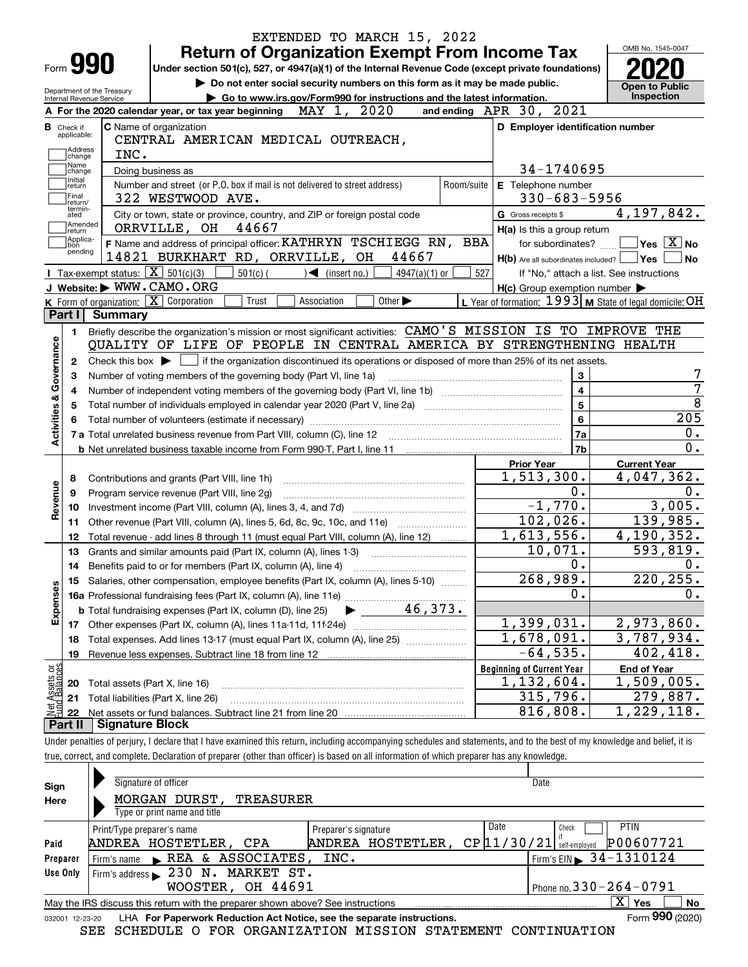| Do not enter social security numbers on this form as it may be made public.<br>Department of the Treasury<br>Go to www.irs.gov/Form990 for instructions and the latest information.<br>Internal Revenue Service<br>and ending APR 30, 2021<br>MAY 1, 2020<br>A For the 2020 calendar year, or tax year beginning<br>C Name of organization<br>D Employer identification number<br><b>B</b> Check if<br>applicable:<br>CENTRAL AMERICAN MEDICAL OUTREACH,<br>Address<br>INC.<br>change<br>Name<br>34-1740695<br>Doing business as<br>change<br>Initial<br>Number and street (or P.O. box if mail is not delivered to street address)<br>E Telephone number<br>Room/suite<br>return<br> Final<br>$330 - 683 - 5956$<br>322 WESTWOOD AVE.<br>return/<br>termin-<br>City or town, state or province, country, and ZIP or foreign postal code<br>G Gross receipts \$<br>ated<br>Amended<br>44667<br>ORRVILLE, OH<br>H(a) Is this a group return<br>∣return<br>Applica-<br>F Name and address of principal officer: KATHRYN TSCHIEGG RN, BBA<br>for subordinates?<br>tion<br>pending<br>14821 BURKHART RD, ORRVILLE, OH<br>44667<br>$H(b)$ Are all subordinates included? $\Box$ Yes<br>Tax-exempt status: $\boxed{\mathbf{X}}$ 501(c)(3)<br>$501(c)$ (<br>$\leq$ (insert no.)<br>4947(a)(1) or<br>527<br>If "No," attach a list. See instructions<br>J Website: WWW.CAMO.ORG<br>$H(c)$ Group exemption number $\blacktriangleright$<br>K Form of organization: $\boxed{\mathbf{X}}$ Corporation<br>L Year of formation: $1993$ M State of legal domicile: OH<br>Other $\blacktriangleright$<br>Trust<br>Association<br>Part I Summary<br>Briefly describe the organization's mission or most significant activities: CAMO'S MISSION IS TO IMPROVE THE<br>1.<br>Activities & Governance<br>QUALITY OF LIFE OF PEOPLE IN CENTRAL AMERICA BY STRENGTHENING HEALTH<br>Check this box $\blacktriangleright$ $\blacksquare$ if the organization discontinued its operations or disposed of more than 25% of its net assets.<br>2<br>3<br>Number of voting members of the governing body (Part VI, line 1a)<br>З<br>$\overline{\mathbf{4}}$<br>4<br>5<br>5<br>6<br>  7a<br>7b<br><b>Prior Year</b><br>1,513,300.<br>Contributions and grants (Part VIII, line 1h)<br>8<br>Revenue<br>$0$ .<br>Program service revenue (Part VIII, line 2g)<br>9<br>$-1,770.$<br>10<br>102,026.<br>Other revenue (Part VIII, column (A), lines 5, 6d, 8c, 9c, 10c, and 11e)<br>11<br>1,613,556.<br>Total revenue - add lines 8 through 11 (must equal Part VIII, column (A), line 12)<br>12<br>10,071.<br>13<br>Grants and similar amounts paid (Part IX, column (A), lines 1-3)<br>0.<br>14<br>268,989.<br>15 Salaries, other compensation, employee benefits (Part IX, column (A), lines 5-10)<br>Expenses<br>0.<br>46,373.<br><b>b</b> Total fundraising expenses (Part IX, column (D), line 25)<br>1,399,031.<br>17<br>1,678,091.<br>Total expenses. Add lines 13-17 (must equal Part IX, column (A), line 25)<br>18<br>$-64,535.$<br>19<br>t Assets or<br>d Balances<br><b>Beginning of Current Year</b><br>1,132,604.<br>Total assets (Part X, line 16)<br>20<br>315,796.<br>Total liabilities (Part X, line 26)<br>21<br>혏<br>816,808.<br>22<br>Part II<br><b>Signature Block</b> | <b>Return of Organization Exempt From Income Tax</b><br>Form <b>990</b><br>Under section 501(c), 527, or 4947(a)(1) of the Internal Revenue Code (except private foundations) |  | OMB No. 1545-0047                                                                                                             |
|-------------------------------------------------------------------------------------------------------------------------------------------------------------------------------------------------------------------------------------------------------------------------------------------------------------------------------------------------------------------------------------------------------------------------------------------------------------------------------------------------------------------------------------------------------------------------------------------------------------------------------------------------------------------------------------------------------------------------------------------------------------------------------------------------------------------------------------------------------------------------------------------------------------------------------------------------------------------------------------------------------------------------------------------------------------------------------------------------------------------------------------------------------------------------------------------------------------------------------------------------------------------------------------------------------------------------------------------------------------------------------------------------------------------------------------------------------------------------------------------------------------------------------------------------------------------------------------------------------------------------------------------------------------------------------------------------------------------------------------------------------------------------------------------------------------------------------------------------------------------------------------------------------------------------------------------------------------------------------------------------------------------------------------------------------------------------------------------------------------------------------------------------------------------------------------------------------------------------------------------------------------------------------------------------------------------------------------------------------------------------------------------------------------------------------------------------------------------------------------------------------------------------------------------------------------------------------------------------------------------------------------------------------------------------------------------------------------------------------------------------------------------------------------------------------------------------------------------------------------------------------------------------------------------------------------------------------------------------------------------------------------------------------------------------------------------------------------------------------------------------------------------------------------------------------------------------------------------------------------------------------------|-------------------------------------------------------------------------------------------------------------------------------------------------------------------------------|--|-------------------------------------------------------------------------------------------------------------------------------|
|                                                                                                                                                                                                                                                                                                                                                                                                                                                                                                                                                                                                                                                                                                                                                                                                                                                                                                                                                                                                                                                                                                                                                                                                                                                                                                                                                                                                                                                                                                                                                                                                                                                                                                                                                                                                                                                                                                                                                                                                                                                                                                                                                                                                                                                                                                                                                                                                                                                                                                                                                                                                                                                                                                                                                                                                                                                                                                                                                                                                                                                                                                                                                                                                                                                             |                                                                                                                                                                               |  | <b>Open to Public</b>                                                                                                         |
|                                                                                                                                                                                                                                                                                                                                                                                                                                                                                                                                                                                                                                                                                                                                                                                                                                                                                                                                                                                                                                                                                                                                                                                                                                                                                                                                                                                                                                                                                                                                                                                                                                                                                                                                                                                                                                                                                                                                                                                                                                                                                                                                                                                                                                                                                                                                                                                                                                                                                                                                                                                                                                                                                                                                                                                                                                                                                                                                                                                                                                                                                                                                                                                                                                                             |                                                                                                                                                                               |  | <b>Inspection</b>                                                                                                             |
|                                                                                                                                                                                                                                                                                                                                                                                                                                                                                                                                                                                                                                                                                                                                                                                                                                                                                                                                                                                                                                                                                                                                                                                                                                                                                                                                                                                                                                                                                                                                                                                                                                                                                                                                                                                                                                                                                                                                                                                                                                                                                                                                                                                                                                                                                                                                                                                                                                                                                                                                                                                                                                                                                                                                                                                                                                                                                                                                                                                                                                                                                                                                                                                                                                                             |                                                                                                                                                                               |  |                                                                                                                               |
|                                                                                                                                                                                                                                                                                                                                                                                                                                                                                                                                                                                                                                                                                                                                                                                                                                                                                                                                                                                                                                                                                                                                                                                                                                                                                                                                                                                                                                                                                                                                                                                                                                                                                                                                                                                                                                                                                                                                                                                                                                                                                                                                                                                                                                                                                                                                                                                                                                                                                                                                                                                                                                                                                                                                                                                                                                                                                                                                                                                                                                                                                                                                                                                                                                                             |                                                                                                                                                                               |  |                                                                                                                               |
|                                                                                                                                                                                                                                                                                                                                                                                                                                                                                                                                                                                                                                                                                                                                                                                                                                                                                                                                                                                                                                                                                                                                                                                                                                                                                                                                                                                                                                                                                                                                                                                                                                                                                                                                                                                                                                                                                                                                                                                                                                                                                                                                                                                                                                                                                                                                                                                                                                                                                                                                                                                                                                                                                                                                                                                                                                                                                                                                                                                                                                                                                                                                                                                                                                                             |                                                                                                                                                                               |  |                                                                                                                               |
|                                                                                                                                                                                                                                                                                                                                                                                                                                                                                                                                                                                                                                                                                                                                                                                                                                                                                                                                                                                                                                                                                                                                                                                                                                                                                                                                                                                                                                                                                                                                                                                                                                                                                                                                                                                                                                                                                                                                                                                                                                                                                                                                                                                                                                                                                                                                                                                                                                                                                                                                                                                                                                                                                                                                                                                                                                                                                                                                                                                                                                                                                                                                                                                                                                                             |                                                                                                                                                                               |  |                                                                                                                               |
|                                                                                                                                                                                                                                                                                                                                                                                                                                                                                                                                                                                                                                                                                                                                                                                                                                                                                                                                                                                                                                                                                                                                                                                                                                                                                                                                                                                                                                                                                                                                                                                                                                                                                                                                                                                                                                                                                                                                                                                                                                                                                                                                                                                                                                                                                                                                                                                                                                                                                                                                                                                                                                                                                                                                                                                                                                                                                                                                                                                                                                                                                                                                                                                                                                                             |                                                                                                                                                                               |  |                                                                                                                               |
|                                                                                                                                                                                                                                                                                                                                                                                                                                                                                                                                                                                                                                                                                                                                                                                                                                                                                                                                                                                                                                                                                                                                                                                                                                                                                                                                                                                                                                                                                                                                                                                                                                                                                                                                                                                                                                                                                                                                                                                                                                                                                                                                                                                                                                                                                                                                                                                                                                                                                                                                                                                                                                                                                                                                                                                                                                                                                                                                                                                                                                                                                                                                                                                                                                                             |                                                                                                                                                                               |  | 4,197,842.                                                                                                                    |
|                                                                                                                                                                                                                                                                                                                                                                                                                                                                                                                                                                                                                                                                                                                                                                                                                                                                                                                                                                                                                                                                                                                                                                                                                                                                                                                                                                                                                                                                                                                                                                                                                                                                                                                                                                                                                                                                                                                                                                                                                                                                                                                                                                                                                                                                                                                                                                                                                                                                                                                                                                                                                                                                                                                                                                                                                                                                                                                                                                                                                                                                                                                                                                                                                                                             |                                                                                                                                                                               |  |                                                                                                                               |
|                                                                                                                                                                                                                                                                                                                                                                                                                                                                                                                                                                                                                                                                                                                                                                                                                                                                                                                                                                                                                                                                                                                                                                                                                                                                                                                                                                                                                                                                                                                                                                                                                                                                                                                                                                                                                                                                                                                                                                                                                                                                                                                                                                                                                                                                                                                                                                                                                                                                                                                                                                                                                                                                                                                                                                                                                                                                                                                                                                                                                                                                                                                                                                                                                                                             |                                                                                                                                                                               |  | $ {\mathsf Y}{\mathsf e}{\mathsf s} \: \mid \! \underline{{\mathsf X}} \:  $ No                                               |
|                                                                                                                                                                                                                                                                                                                                                                                                                                                                                                                                                                                                                                                                                                                                                                                                                                                                                                                                                                                                                                                                                                                                                                                                                                                                                                                                                                                                                                                                                                                                                                                                                                                                                                                                                                                                                                                                                                                                                                                                                                                                                                                                                                                                                                                                                                                                                                                                                                                                                                                                                                                                                                                                                                                                                                                                                                                                                                                                                                                                                                                                                                                                                                                                                                                             |                                                                                                                                                                               |  | No                                                                                                                            |
|                                                                                                                                                                                                                                                                                                                                                                                                                                                                                                                                                                                                                                                                                                                                                                                                                                                                                                                                                                                                                                                                                                                                                                                                                                                                                                                                                                                                                                                                                                                                                                                                                                                                                                                                                                                                                                                                                                                                                                                                                                                                                                                                                                                                                                                                                                                                                                                                                                                                                                                                                                                                                                                                                                                                                                                                                                                                                                                                                                                                                                                                                                                                                                                                                                                             |                                                                                                                                                                               |  |                                                                                                                               |
|                                                                                                                                                                                                                                                                                                                                                                                                                                                                                                                                                                                                                                                                                                                                                                                                                                                                                                                                                                                                                                                                                                                                                                                                                                                                                                                                                                                                                                                                                                                                                                                                                                                                                                                                                                                                                                                                                                                                                                                                                                                                                                                                                                                                                                                                                                                                                                                                                                                                                                                                                                                                                                                                                                                                                                                                                                                                                                                                                                                                                                                                                                                                                                                                                                                             |                                                                                                                                                                               |  |                                                                                                                               |
|                                                                                                                                                                                                                                                                                                                                                                                                                                                                                                                                                                                                                                                                                                                                                                                                                                                                                                                                                                                                                                                                                                                                                                                                                                                                                                                                                                                                                                                                                                                                                                                                                                                                                                                                                                                                                                                                                                                                                                                                                                                                                                                                                                                                                                                                                                                                                                                                                                                                                                                                                                                                                                                                                                                                                                                                                                                                                                                                                                                                                                                                                                                                                                                                                                                             |                                                                                                                                                                               |  |                                                                                                                               |
|                                                                                                                                                                                                                                                                                                                                                                                                                                                                                                                                                                                                                                                                                                                                                                                                                                                                                                                                                                                                                                                                                                                                                                                                                                                                                                                                                                                                                                                                                                                                                                                                                                                                                                                                                                                                                                                                                                                                                                                                                                                                                                                                                                                                                                                                                                                                                                                                                                                                                                                                                                                                                                                                                                                                                                                                                                                                                                                                                                                                                                                                                                                                                                                                                                                             |                                                                                                                                                                               |  |                                                                                                                               |
|                                                                                                                                                                                                                                                                                                                                                                                                                                                                                                                                                                                                                                                                                                                                                                                                                                                                                                                                                                                                                                                                                                                                                                                                                                                                                                                                                                                                                                                                                                                                                                                                                                                                                                                                                                                                                                                                                                                                                                                                                                                                                                                                                                                                                                                                                                                                                                                                                                                                                                                                                                                                                                                                                                                                                                                                                                                                                                                                                                                                                                                                                                                                                                                                                                                             |                                                                                                                                                                               |  |                                                                                                                               |
|                                                                                                                                                                                                                                                                                                                                                                                                                                                                                                                                                                                                                                                                                                                                                                                                                                                                                                                                                                                                                                                                                                                                                                                                                                                                                                                                                                                                                                                                                                                                                                                                                                                                                                                                                                                                                                                                                                                                                                                                                                                                                                                                                                                                                                                                                                                                                                                                                                                                                                                                                                                                                                                                                                                                                                                                                                                                                                                                                                                                                                                                                                                                                                                                                                                             |                                                                                                                                                                               |  |                                                                                                                               |
|                                                                                                                                                                                                                                                                                                                                                                                                                                                                                                                                                                                                                                                                                                                                                                                                                                                                                                                                                                                                                                                                                                                                                                                                                                                                                                                                                                                                                                                                                                                                                                                                                                                                                                                                                                                                                                                                                                                                                                                                                                                                                                                                                                                                                                                                                                                                                                                                                                                                                                                                                                                                                                                                                                                                                                                                                                                                                                                                                                                                                                                                                                                                                                                                                                                             |                                                                                                                                                                               |  |                                                                                                                               |
|                                                                                                                                                                                                                                                                                                                                                                                                                                                                                                                                                                                                                                                                                                                                                                                                                                                                                                                                                                                                                                                                                                                                                                                                                                                                                                                                                                                                                                                                                                                                                                                                                                                                                                                                                                                                                                                                                                                                                                                                                                                                                                                                                                                                                                                                                                                                                                                                                                                                                                                                                                                                                                                                                                                                                                                                                                                                                                                                                                                                                                                                                                                                                                                                                                                             |                                                                                                                                                                               |  |                                                                                                                               |
|                                                                                                                                                                                                                                                                                                                                                                                                                                                                                                                                                                                                                                                                                                                                                                                                                                                                                                                                                                                                                                                                                                                                                                                                                                                                                                                                                                                                                                                                                                                                                                                                                                                                                                                                                                                                                                                                                                                                                                                                                                                                                                                                                                                                                                                                                                                                                                                                                                                                                                                                                                                                                                                                                                                                                                                                                                                                                                                                                                                                                                                                                                                                                                                                                                                             |                                                                                                                                                                               |  |                                                                                                                               |
|                                                                                                                                                                                                                                                                                                                                                                                                                                                                                                                                                                                                                                                                                                                                                                                                                                                                                                                                                                                                                                                                                                                                                                                                                                                                                                                                                                                                                                                                                                                                                                                                                                                                                                                                                                                                                                                                                                                                                                                                                                                                                                                                                                                                                                                                                                                                                                                                                                                                                                                                                                                                                                                                                                                                                                                                                                                                                                                                                                                                                                                                                                                                                                                                                                                             |                                                                                                                                                                               |  |                                                                                                                               |
|                                                                                                                                                                                                                                                                                                                                                                                                                                                                                                                                                                                                                                                                                                                                                                                                                                                                                                                                                                                                                                                                                                                                                                                                                                                                                                                                                                                                                                                                                                                                                                                                                                                                                                                                                                                                                                                                                                                                                                                                                                                                                                                                                                                                                                                                                                                                                                                                                                                                                                                                                                                                                                                                                                                                                                                                                                                                                                                                                                                                                                                                                                                                                                                                                                                             |                                                                                                                                                                               |  |                                                                                                                               |
|                                                                                                                                                                                                                                                                                                                                                                                                                                                                                                                                                                                                                                                                                                                                                                                                                                                                                                                                                                                                                                                                                                                                                                                                                                                                                                                                                                                                                                                                                                                                                                                                                                                                                                                                                                                                                                                                                                                                                                                                                                                                                                                                                                                                                                                                                                                                                                                                                                                                                                                                                                                                                                                                                                                                                                                                                                                                                                                                                                                                                                                                                                                                                                                                                                                             |                                                                                                                                                                               |  | 205                                                                                                                           |
|                                                                                                                                                                                                                                                                                                                                                                                                                                                                                                                                                                                                                                                                                                                                                                                                                                                                                                                                                                                                                                                                                                                                                                                                                                                                                                                                                                                                                                                                                                                                                                                                                                                                                                                                                                                                                                                                                                                                                                                                                                                                                                                                                                                                                                                                                                                                                                                                                                                                                                                                                                                                                                                                                                                                                                                                                                                                                                                                                                                                                                                                                                                                                                                                                                                             |                                                                                                                                                                               |  |                                                                                                                               |
|                                                                                                                                                                                                                                                                                                                                                                                                                                                                                                                                                                                                                                                                                                                                                                                                                                                                                                                                                                                                                                                                                                                                                                                                                                                                                                                                                                                                                                                                                                                                                                                                                                                                                                                                                                                                                                                                                                                                                                                                                                                                                                                                                                                                                                                                                                                                                                                                                                                                                                                                                                                                                                                                                                                                                                                                                                                                                                                                                                                                                                                                                                                                                                                                                                                             |                                                                                                                                                                               |  |                                                                                                                               |
|                                                                                                                                                                                                                                                                                                                                                                                                                                                                                                                                                                                                                                                                                                                                                                                                                                                                                                                                                                                                                                                                                                                                                                                                                                                                                                                                                                                                                                                                                                                                                                                                                                                                                                                                                                                                                                                                                                                                                                                                                                                                                                                                                                                                                                                                                                                                                                                                                                                                                                                                                                                                                                                                                                                                                                                                                                                                                                                                                                                                                                                                                                                                                                                                                                                             |                                                                                                                                                                               |  | <b>Current Year</b>                                                                                                           |
|                                                                                                                                                                                                                                                                                                                                                                                                                                                                                                                                                                                                                                                                                                                                                                                                                                                                                                                                                                                                                                                                                                                                                                                                                                                                                                                                                                                                                                                                                                                                                                                                                                                                                                                                                                                                                                                                                                                                                                                                                                                                                                                                                                                                                                                                                                                                                                                                                                                                                                                                                                                                                                                                                                                                                                                                                                                                                                                                                                                                                                                                                                                                                                                                                                                             |                                                                                                                                                                               |  |                                                                                                                               |
|                                                                                                                                                                                                                                                                                                                                                                                                                                                                                                                                                                                                                                                                                                                                                                                                                                                                                                                                                                                                                                                                                                                                                                                                                                                                                                                                                                                                                                                                                                                                                                                                                                                                                                                                                                                                                                                                                                                                                                                                                                                                                                                                                                                                                                                                                                                                                                                                                                                                                                                                                                                                                                                                                                                                                                                                                                                                                                                                                                                                                                                                                                                                                                                                                                                             |                                                                                                                                                                               |  |                                                                                                                               |
|                                                                                                                                                                                                                                                                                                                                                                                                                                                                                                                                                                                                                                                                                                                                                                                                                                                                                                                                                                                                                                                                                                                                                                                                                                                                                                                                                                                                                                                                                                                                                                                                                                                                                                                                                                                                                                                                                                                                                                                                                                                                                                                                                                                                                                                                                                                                                                                                                                                                                                                                                                                                                                                                                                                                                                                                                                                                                                                                                                                                                                                                                                                                                                                                                                                             |                                                                                                                                                                               |  |                                                                                                                               |
|                                                                                                                                                                                                                                                                                                                                                                                                                                                                                                                                                                                                                                                                                                                                                                                                                                                                                                                                                                                                                                                                                                                                                                                                                                                                                                                                                                                                                                                                                                                                                                                                                                                                                                                                                                                                                                                                                                                                                                                                                                                                                                                                                                                                                                                                                                                                                                                                                                                                                                                                                                                                                                                                                                                                                                                                                                                                                                                                                                                                                                                                                                                                                                                                                                                             |                                                                                                                                                                               |  |                                                                                                                               |
|                                                                                                                                                                                                                                                                                                                                                                                                                                                                                                                                                                                                                                                                                                                                                                                                                                                                                                                                                                                                                                                                                                                                                                                                                                                                                                                                                                                                                                                                                                                                                                                                                                                                                                                                                                                                                                                                                                                                                                                                                                                                                                                                                                                                                                                                                                                                                                                                                                                                                                                                                                                                                                                                                                                                                                                                                                                                                                                                                                                                                                                                                                                                                                                                                                                             |                                                                                                                                                                               |  |                                                                                                                               |
|                                                                                                                                                                                                                                                                                                                                                                                                                                                                                                                                                                                                                                                                                                                                                                                                                                                                                                                                                                                                                                                                                                                                                                                                                                                                                                                                                                                                                                                                                                                                                                                                                                                                                                                                                                                                                                                                                                                                                                                                                                                                                                                                                                                                                                                                                                                                                                                                                                                                                                                                                                                                                                                                                                                                                                                                                                                                                                                                                                                                                                                                                                                                                                                                                                                             |                                                                                                                                                                               |  |                                                                                                                               |
|                                                                                                                                                                                                                                                                                                                                                                                                                                                                                                                                                                                                                                                                                                                                                                                                                                                                                                                                                                                                                                                                                                                                                                                                                                                                                                                                                                                                                                                                                                                                                                                                                                                                                                                                                                                                                                                                                                                                                                                                                                                                                                                                                                                                                                                                                                                                                                                                                                                                                                                                                                                                                                                                                                                                                                                                                                                                                                                                                                                                                                                                                                                                                                                                                                                             |                                                                                                                                                                               |  |                                                                                                                               |
|                                                                                                                                                                                                                                                                                                                                                                                                                                                                                                                                                                                                                                                                                                                                                                                                                                                                                                                                                                                                                                                                                                                                                                                                                                                                                                                                                                                                                                                                                                                                                                                                                                                                                                                                                                                                                                                                                                                                                                                                                                                                                                                                                                                                                                                                                                                                                                                                                                                                                                                                                                                                                                                                                                                                                                                                                                                                                                                                                                                                                                                                                                                                                                                                                                                             |                                                                                                                                                                               |  | 0.<br>0.<br>4,047,362.<br>$\overline{0}$ .<br>3,005.<br>139,985.<br>4, 190, 352.<br>$\overline{593,819}$ .<br>0.<br>220, 255. |
|                                                                                                                                                                                                                                                                                                                                                                                                                                                                                                                                                                                                                                                                                                                                                                                                                                                                                                                                                                                                                                                                                                                                                                                                                                                                                                                                                                                                                                                                                                                                                                                                                                                                                                                                                                                                                                                                                                                                                                                                                                                                                                                                                                                                                                                                                                                                                                                                                                                                                                                                                                                                                                                                                                                                                                                                                                                                                                                                                                                                                                                                                                                                                                                                                                                             |                                                                                                                                                                               |  |                                                                                                                               |
|                                                                                                                                                                                                                                                                                                                                                                                                                                                                                                                                                                                                                                                                                                                                                                                                                                                                                                                                                                                                                                                                                                                                                                                                                                                                                                                                                                                                                                                                                                                                                                                                                                                                                                                                                                                                                                                                                                                                                                                                                                                                                                                                                                                                                                                                                                                                                                                                                                                                                                                                                                                                                                                                                                                                                                                                                                                                                                                                                                                                                                                                                                                                                                                                                                                             |                                                                                                                                                                               |  | 0.                                                                                                                            |
|                                                                                                                                                                                                                                                                                                                                                                                                                                                                                                                                                                                                                                                                                                                                                                                                                                                                                                                                                                                                                                                                                                                                                                                                                                                                                                                                                                                                                                                                                                                                                                                                                                                                                                                                                                                                                                                                                                                                                                                                                                                                                                                                                                                                                                                                                                                                                                                                                                                                                                                                                                                                                                                                                                                                                                                                                                                                                                                                                                                                                                                                                                                                                                                                                                                             |                                                                                                                                                                               |  |                                                                                                                               |
|                                                                                                                                                                                                                                                                                                                                                                                                                                                                                                                                                                                                                                                                                                                                                                                                                                                                                                                                                                                                                                                                                                                                                                                                                                                                                                                                                                                                                                                                                                                                                                                                                                                                                                                                                                                                                                                                                                                                                                                                                                                                                                                                                                                                                                                                                                                                                                                                                                                                                                                                                                                                                                                                                                                                                                                                                                                                                                                                                                                                                                                                                                                                                                                                                                                             |                                                                                                                                                                               |  | 2,973,860.<br>$\overline{3,787,934}$ .                                                                                        |
|                                                                                                                                                                                                                                                                                                                                                                                                                                                                                                                                                                                                                                                                                                                                                                                                                                                                                                                                                                                                                                                                                                                                                                                                                                                                                                                                                                                                                                                                                                                                                                                                                                                                                                                                                                                                                                                                                                                                                                                                                                                                                                                                                                                                                                                                                                                                                                                                                                                                                                                                                                                                                                                                                                                                                                                                                                                                                                                                                                                                                                                                                                                                                                                                                                                             |                                                                                                                                                                               |  |                                                                                                                               |
|                                                                                                                                                                                                                                                                                                                                                                                                                                                                                                                                                                                                                                                                                                                                                                                                                                                                                                                                                                                                                                                                                                                                                                                                                                                                                                                                                                                                                                                                                                                                                                                                                                                                                                                                                                                                                                                                                                                                                                                                                                                                                                                                                                                                                                                                                                                                                                                                                                                                                                                                                                                                                                                                                                                                                                                                                                                                                                                                                                                                                                                                                                                                                                                                                                                             |                                                                                                                                                                               |  | 402, 418.<br><b>End of Year</b>                                                                                               |
|                                                                                                                                                                                                                                                                                                                                                                                                                                                                                                                                                                                                                                                                                                                                                                                                                                                                                                                                                                                                                                                                                                                                                                                                                                                                                                                                                                                                                                                                                                                                                                                                                                                                                                                                                                                                                                                                                                                                                                                                                                                                                                                                                                                                                                                                                                                                                                                                                                                                                                                                                                                                                                                                                                                                                                                                                                                                                                                                                                                                                                                                                                                                                                                                                                                             |                                                                                                                                                                               |  | $\overline{1,509}$ , 005.                                                                                                     |
|                                                                                                                                                                                                                                                                                                                                                                                                                                                                                                                                                                                                                                                                                                                                                                                                                                                                                                                                                                                                                                                                                                                                                                                                                                                                                                                                                                                                                                                                                                                                                                                                                                                                                                                                                                                                                                                                                                                                                                                                                                                                                                                                                                                                                                                                                                                                                                                                                                                                                                                                                                                                                                                                                                                                                                                                                                                                                                                                                                                                                                                                                                                                                                                                                                                             |                                                                                                                                                                               |  | 279,887.                                                                                                                      |
|                                                                                                                                                                                                                                                                                                                                                                                                                                                                                                                                                                                                                                                                                                                                                                                                                                                                                                                                                                                                                                                                                                                                                                                                                                                                                                                                                                                                                                                                                                                                                                                                                                                                                                                                                                                                                                                                                                                                                                                                                                                                                                                                                                                                                                                                                                                                                                                                                                                                                                                                                                                                                                                                                                                                                                                                                                                                                                                                                                                                                                                                                                                                                                                                                                                             |                                                                                                                                                                               |  | 1,229,118.                                                                                                                    |

| Sign                                              | Signature of officer                                                                                         |                      |                 | Date                                   |  |  |  |  |  |
|---------------------------------------------------|--------------------------------------------------------------------------------------------------------------|----------------------|-----------------|----------------------------------------|--|--|--|--|--|
| Here                                              | MORGAN DURST,<br><b>TREASURER</b>                                                                            |                      |                 |                                        |  |  |  |  |  |
|                                                   | Type or print name and title                                                                                 |                      |                 |                                        |  |  |  |  |  |
|                                                   | Print/Type preparer's name                                                                                   | Preparer's signature | Date            | <b>PTIN</b><br>Check                   |  |  |  |  |  |
| Paid                                              | ANDREA HOSTETLER, CPA                                                                                        | ANDREA HOSTETLER,    | $CP$ [11/30/21] | P00607721<br>self-emploved             |  |  |  |  |  |
| Preparer                                          | Firm's name REA & ASSOCIATES,                                                                                | INC.                 |                 | Firm's EIN $\triangleright$ 34-1310124 |  |  |  |  |  |
| Use Only                                          | Firm's address > 230 N. MARKET ST.                                                                           |                      |                 |                                        |  |  |  |  |  |
| Phone no. $330 - 264 - 0791$<br>WOOSTER, OH 44691 |                                                                                                              |                      |                 |                                        |  |  |  |  |  |
|                                                   | X.<br>No<br>Yes<br>May the IRS discuss this return with the preparer shown above? See instructions           |                      |                 |                                        |  |  |  |  |  |
|                                                   | Form 990 (2020)<br>LHA For Paperwork Reduction Act Notice, see the separate instructions.<br>032001 12-23-20 |                      |                 |                                        |  |  |  |  |  |

SEE SCHEDULE O FOR ORGANIZATION MISSION STATEMENT CONTINUATION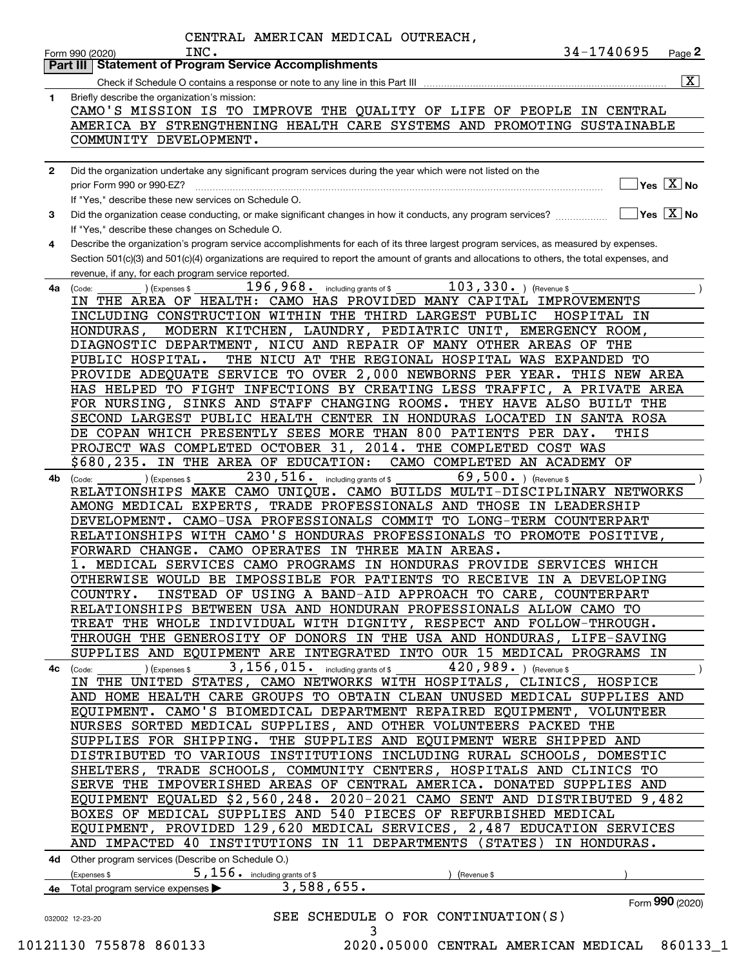|              | CENTRAL AMERICAN MEDICAL OUTREACH,<br>34-1740695<br>INC.<br>$_{\text{Page}}$ 2<br>Form 990 (2020)                                                         |
|--------------|-----------------------------------------------------------------------------------------------------------------------------------------------------------|
|              | Part III   Statement of Program Service Accomplishments                                                                                                   |
|              | $\overline{\mathtt{x}}$ $\mid$<br>Check if Schedule O contains a response or note to any line in this Part III                                            |
| 1.           | Briefly describe the organization's mission:                                                                                                              |
|              | CAMO'S MISSION IS TO IMPROVE THE QUALITY OF LIFE OF PEOPLE IN CENTRAL                                                                                     |
|              | AMERICA BY STRENGTHENING HEALTH CARE SYSTEMS AND PROMOTING SUSTAINABLE                                                                                    |
|              | COMMUNITY DEVELOPMENT.                                                                                                                                    |
|              |                                                                                                                                                           |
| $\mathbf{2}$ | Did the organization undertake any significant program services during the year which were not listed on the                                              |
|              | $\sqrt{\mathsf{Yes}\ \boxed{\mathrm{X}}}$ No<br>prior Form 990 or 990-EZ?                                                                                 |
|              | If "Yes," describe these new services on Schedule O.                                                                                                      |
| 3            | $\overline{\ }$ Yes $\overline{\rm X}$ No<br>Did the organization cease conducting, or make significant changes in how it conducts, any program services? |
|              | If "Yes," describe these changes on Schedule O.                                                                                                           |
| 4            | Describe the organization's program service accomplishments for each of its three largest program services, as measured by expenses.                      |
|              | Section 501(c)(3) and 501(c)(4) organizations are required to report the amount of grants and allocations to others, the total expenses, and              |
|              | revenue, if any, for each program service reported.                                                                                                       |
| 4a           | $103, 330.$ ) (Revenue \$<br>196, 968. including grants of \$<br>(Code:<br>(Expenses \$                                                                   |
|              | IN THE AREA OF HEALTH: CAMO HAS PROVIDED MANY CAPITAL IMPROVEMENTS                                                                                        |
|              | INCLUDING CONSTRUCTION WITHIN THE THIRD LARGEST PUBLIC<br>HOSPITAL IN                                                                                     |
|              | HONDURAS,<br>MODERN KITCHEN, LAUNDRY, PEDIATRIC UNIT, EMERGENCY ROOM,                                                                                     |
|              | DIAGNOSTIC DEPARTMENT, NICU AND REPAIR OF MANY OTHER AREAS OF THE                                                                                         |
|              | THE NICU AT THE REGIONAL HOSPITAL WAS EXPANDED TO<br>PUBLIC HOSPITAL.                                                                                     |
|              | PROVIDE ADEQUATE SERVICE TO OVER 2,000 NEWBORNS PER YEAR.<br>THIS NEW AREA                                                                                |
|              | HAS HELPED TO FIGHT INFECTIONS BY CREATING LESS TRAFFIC,<br>A PRIVATE AREA                                                                                |
|              | FOR NURSING, SINKS AND STAFF CHANGING ROOMS. THEY HAVE ALSO BUILT THE                                                                                     |
|              | SECOND LARGEST PUBLIC HEALTH CENTER IN HONDURAS LOCATED<br>IN SANTA ROSA                                                                                  |
|              | DE COPAN WHICH PRESENTLY SEES MORE THAN 800 PATIENTS PER DAY.<br>THIS                                                                                     |
|              | PROJECT WAS COMPLETED OCTOBER 31, 2014.<br>THE COMPLETED COST WAS                                                                                         |
|              | \$680, 235.<br>IN THE AREA OF EDUCATION:<br>CAMO COMPLETED AN ACADEMY OF                                                                                  |
| 4b           | $230,516$ $\cdot$ including grants of \$<br>69,500. $ $ (Revenue \$<br>(Expenses \$<br>(Code:                                                             |
|              | RELATIONSHIPS MAKE<br>CAMO UNIQUE. CAMO BUILDS MULTI-DISCIPLINARY NETWORKS                                                                                |
|              | AMONG MEDICAL EXPERTS,<br>TRADE PROFESSIONALS AND THOSE IN LEADERSHIP                                                                                     |
|              | CAMO-USA PROFESSIONALS COMMIT TO LONG-TERM COUNTERPART<br>DEVELOPMENT.                                                                                    |
|              | RELATIONSHIPS WITH CAMO'S HONDURAS PROFESSIONALS TO PROMOTE POSITIVE,                                                                                     |
|              | FORWARD CHANGE.<br>CAMO OPERATES IN THREE MAIN AREAS.                                                                                                     |
|              | MEDICAL SERVICES CAMO PROGRAMS IN HONDURAS PROVIDE SERVICES WHICH                                                                                         |
|              | OTHERWISE WOULD BE IMPOSSIBLE FOR PATIENTS TO RECEIVE IN A DEVELOPING                                                                                     |
|              | INSTEAD OF USING A BAND-AID APPROACH TO CARE,<br>COUNTRY.<br>COUNTERPART                                                                                  |
|              | RELATIONSHIPS BETWEEN USA AND HONDURAN PROFESSIONALS ALLOW CAMO TO                                                                                        |
|              | TREAT THE WHOLE INDIVIDUAL WITH DIGNITY, RESPECT AND FOLLOW-THROUGH.                                                                                      |
|              | THROUGH THE GENEROSITY OF DONORS IN THE USA AND HONDURAS,<br>LIFE-SAVING                                                                                  |
|              | SUPPLIES AND EQUIPMENT ARE INTEGRATED INTO OUR 15 MEDICAL PROGRAMS IN                                                                                     |
|              | 3, 156, 015. including grants of \$<br>$420,989.$ (Revenue \$                                                                                             |
| 4c           | ) (Expenses \$<br>(Code:<br>IN THE UNITED STATES, CAMO NETWORKS WITH HOSPITALS, CLINICS, HOSPICE                                                          |
|              | AND HOME HEALTH CARE GROUPS TO OBTAIN CLEAN UNUSED MEDICAL SUPPLIES AND                                                                                   |
|              | CAMO'S BIOMEDICAL DEPARTMENT REPAIRED EQUIPMENT,<br>EQUIPMENT.<br>VOLUNTEER                                                                               |
|              | NURSES SORTED MEDICAL SUPPLIES, AND OTHER VOLUNTEERS PACKED THE                                                                                           |
|              | SUPPLIES FOR SHIPPING. THE SUPPLIES AND EQUIPMENT WERE SHIPPED AND                                                                                        |
|              | DISTRIBUTED TO VARIOUS INSTITUTIONS INCLUDING RURAL SCHOOLS, DOMESTIC                                                                                     |
|              | TRADE SCHOOLS, COMMUNITY CENTERS, HOSPITALS AND CLINICS TO<br>SHELTERS,                                                                                   |
|              |                                                                                                                                                           |
|              | SERVE THE IMPOVERISHED AREAS OF CENTRAL AMERICA. DONATED SUPPLIES AND<br>EQUIPMENT EQUALED \$2,560,248. 2020-2021 CAMO SENT AND DISTRIBUTED 9,482         |
|              |                                                                                                                                                           |
|              | BOXES OF MEDICAL SUPPLIES AND 540 PIECES OF REFURBISHED MEDICAL                                                                                           |
|              | EQUIPMENT, PROVIDED 129,620 MEDICAL SERVICES,<br>2,487 EDUCATION SERVICES                                                                                 |
|              | AND IMPACTED 40 INSTITUTIONS IN 11 DEPARTMENTS<br>(STATES)<br>IN HONDURAS.                                                                                |
|              | 4d Other program services (Describe on Schedule O.)                                                                                                       |
|              | $5,156$ $\cdot$ including grants of \$<br>(Expenses \$<br>(Revenue \$                                                                                     |
|              | 3,588,655.<br>4e Total program service expenses                                                                                                           |
|              | Form 990 (2020)                                                                                                                                           |
|              | SEE SCHEDULE O FOR CONTINUATION(S)<br>032002 12-23-20                                                                                                     |
|              | 3                                                                                                                                                         |
|              | 10121130 755878 860133<br>2020.05000 CENTRAL AMERICAN MEDICAL 860133_1                                                                                    |
|              |                                                                                                                                                           |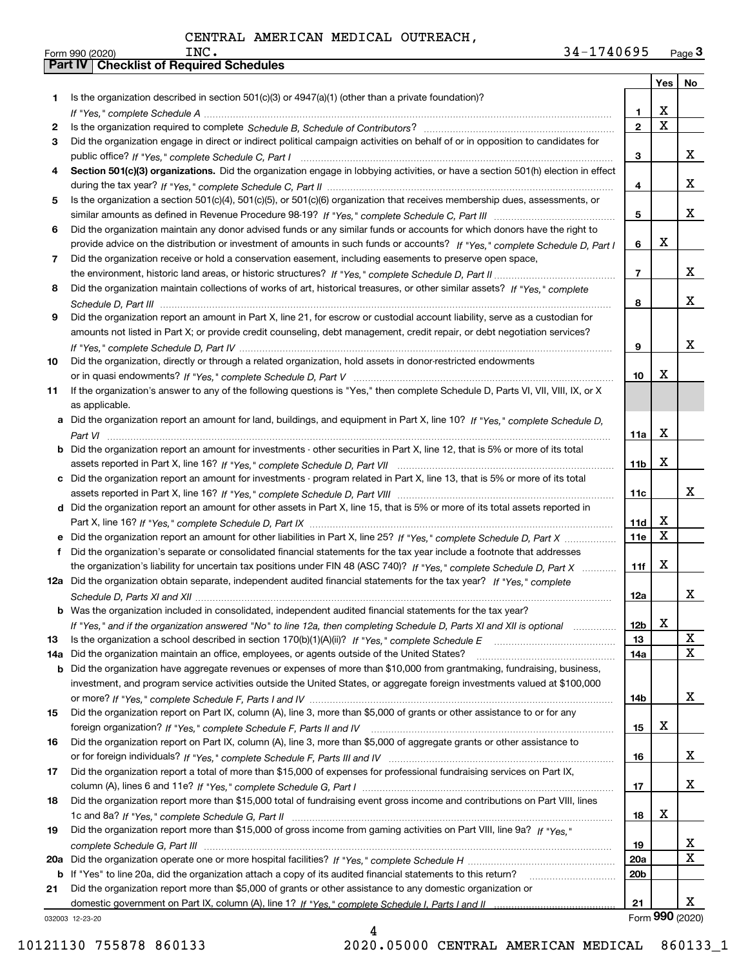|     |                                                                                                                                       |                 | Yes <sub>1</sub> | No |
|-----|---------------------------------------------------------------------------------------------------------------------------------------|-----------------|------------------|----|
| 1.  | Is the organization described in section $501(c)(3)$ or $4947(a)(1)$ (other than a private foundation)?                               |                 |                  |    |
|     |                                                                                                                                       | 1               | х                |    |
| 2   |                                                                                                                                       | $\overline{2}$  | X                |    |
| 3   | Did the organization engage in direct or indirect political campaign activities on behalf of or in opposition to candidates for       |                 |                  |    |
|     |                                                                                                                                       | 3               |                  | x  |
| 4   | Section 501(c)(3) organizations. Did the organization engage in lobbying activities, or have a section 501(h) election in effect      |                 |                  |    |
|     |                                                                                                                                       | 4               |                  | X. |
| 5   | Is the organization a section 501(c)(4), 501(c)(5), or 501(c)(6) organization that receives membership dues, assessments, or          |                 |                  |    |
|     |                                                                                                                                       | 5               |                  | x  |
| 6   | Did the organization maintain any donor advised funds or any similar funds or accounts for which donors have the right to             |                 |                  |    |
|     | provide advice on the distribution or investment of amounts in such funds or accounts? If "Yes," complete Schedule D, Part I          | 6               | X                |    |
| 7   | Did the organization receive or hold a conservation easement, including easements to preserve open space,                             |                 |                  |    |
|     |                                                                                                                                       | 7               |                  | x  |
| 8   | Did the organization maintain collections of works of art, historical treasures, or other similar assets? If "Yes," complete          |                 |                  |    |
|     |                                                                                                                                       | 8               |                  | x  |
| 9   | Did the organization report an amount in Part X, line 21, for escrow or custodial account liability, serve as a custodian for         |                 |                  |    |
|     | amounts not listed in Part X; or provide credit counseling, debt management, credit repair, or debt negotiation services?             |                 |                  |    |
|     |                                                                                                                                       | 9               |                  | X. |
| 10  | Did the organization, directly or through a related organization, hold assets in donor-restricted endowments                          |                 |                  |    |
|     |                                                                                                                                       | 10              | X                |    |
| 11  | If the organization's answer to any of the following questions is "Yes," then complete Schedule D, Parts VI, VII, VIII, IX, or X      |                 |                  |    |
|     | as applicable.                                                                                                                        |                 |                  |    |
|     | a Did the organization report an amount for land, buildings, and equipment in Part X, line 10? If "Yes," complete Schedule D,         |                 |                  |    |
|     |                                                                                                                                       | 11a             | х                |    |
|     | <b>b</b> Did the organization report an amount for investments - other securities in Part X, line 12, that is 5% or more of its total |                 | X                |    |
|     |                                                                                                                                       | 11b             |                  |    |
|     | c Did the organization report an amount for investments - program related in Part X, line 13, that is 5% or more of its total         | 11c             |                  | x  |
|     | d Did the organization report an amount for other assets in Part X, line 15, that is 5% or more of its total assets reported in       |                 |                  |    |
|     |                                                                                                                                       | 11d             | X                |    |
|     | e Did the organization report an amount for other liabilities in Part X, line 25? If "Yes," complete Schedule D, Part X               | 11e             | X                |    |
|     | f Did the organization's separate or consolidated financial statements for the tax year include a footnote that addresses             |                 |                  |    |
|     | the organization's liability for uncertain tax positions under FIN 48 (ASC 740)? If "Yes," complete Schedule D, Part X                | 11f             | X                |    |
|     | 12a Did the organization obtain separate, independent audited financial statements for the tax year? If "Yes," complete               |                 |                  |    |
|     |                                                                                                                                       | 12a             |                  | x  |
|     | <b>b</b> Was the organization included in consolidated, independent audited financial statements for the tax year?                    |                 |                  |    |
|     | If "Yes," and if the organization answered "No" to line 12a, then completing Schedule D, Parts XI and XII is optional manum           | 12b             | X                |    |
| 13  |                                                                                                                                       | 13              |                  | X  |
| 14a | Did the organization maintain an office, employees, or agents outside of the United States?                                           | 14a             |                  | x  |
| b   | Did the organization have aggregate revenues or expenses of more than \$10,000 from grantmaking, fundraising, business,               |                 |                  |    |
|     | investment, and program service activities outside the United States, or aggregate foreign investments valued at \$100,000            |                 |                  |    |
|     |                                                                                                                                       | 14b             |                  | x  |
| 15  | Did the organization report on Part IX, column (A), line 3, more than \$5,000 of grants or other assistance to or for any             |                 |                  |    |
|     |                                                                                                                                       | 15              | х                |    |
| 16  | Did the organization report on Part IX, column (A), line 3, more than \$5,000 of aggregate grants or other assistance to              |                 |                  |    |
|     |                                                                                                                                       | 16              |                  | X  |
| 17  | Did the organization report a total of more than \$15,000 of expenses for professional fundraising services on Part IX,               |                 |                  |    |
|     |                                                                                                                                       | 17              |                  | x  |
| 18  | Did the organization report more than \$15,000 total of fundraising event gross income and contributions on Part VIII, lines          |                 |                  |    |
|     |                                                                                                                                       | 18              | х                |    |
|     | Did the organization report more than \$15,000 of gross income from gaming activities on Part VIII, line 9a? If "Yes."                |                 |                  |    |
|     |                                                                                                                                       |                 |                  | x  |
| 19  |                                                                                                                                       | 19              |                  |    |
| 20a |                                                                                                                                       | <b>20a</b>      |                  | x  |
| b   | If "Yes" to line 20a, did the organization attach a copy of its audited financial statements to this return?                          | 20 <sub>b</sub> |                  |    |
| 21  | Did the organization report more than \$5,000 of grants or other assistance to any domestic organization or                           |                 |                  | x  |

4

032003 12-23-20

10121130 755878 860133 2020.05000 CENTRAL AMERICAN MEDICAL 860133\_1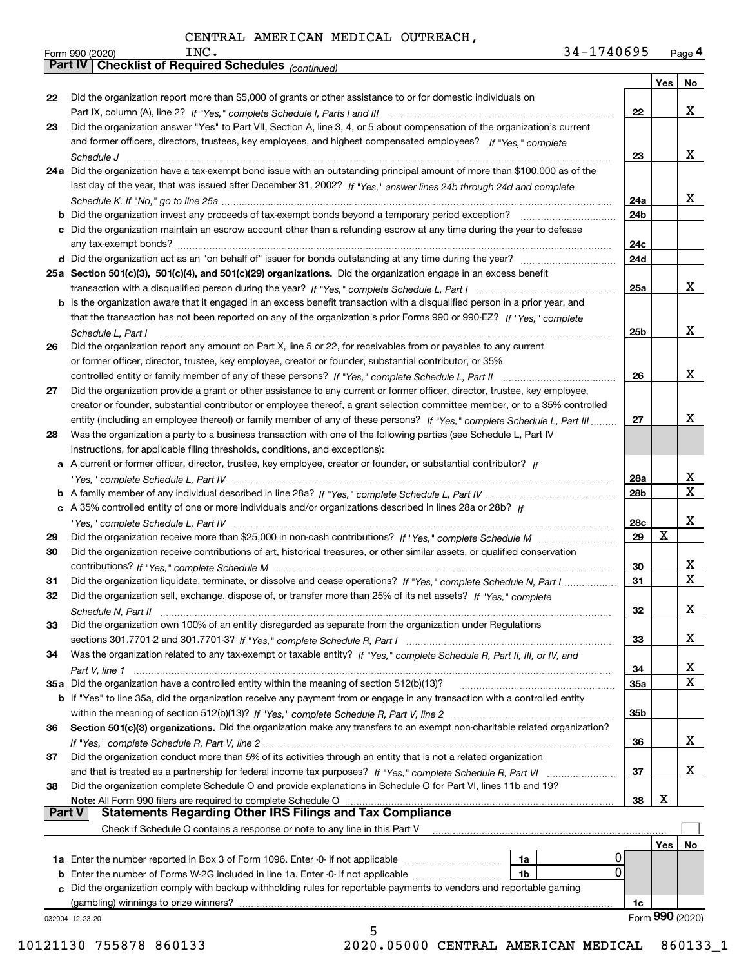| 34-1740695 |  | Page $4$ |
|------------|--|----------|
|------------|--|----------|

|        | 34-1740695<br>INC.<br>Form 990 (2020)                                                                                                 |            |     | Page 4          |
|--------|---------------------------------------------------------------------------------------------------------------------------------------|------------|-----|-----------------|
|        | <b>Part IV   Checklist of Required Schedules (continued)</b>                                                                          |            |     |                 |
|        |                                                                                                                                       |            | Yes | No              |
| 22     | Did the organization report more than \$5,000 of grants or other assistance to or for domestic individuals on                         |            |     |                 |
|        |                                                                                                                                       | 22         |     | x               |
| 23     | Did the organization answer "Yes" to Part VII, Section A, line 3, 4, or 5 about compensation of the organization's current            |            |     |                 |
|        | and former officers, directors, trustees, key employees, and highest compensated employees? If "Yes," complete                        |            |     |                 |
|        |                                                                                                                                       | 23         |     | x               |
|        | 24a Did the organization have a tax-exempt bond issue with an outstanding principal amount of more than \$100,000 as of the           |            |     |                 |
|        | last day of the year, that was issued after December 31, 2002? If "Yes," answer lines 24b through 24d and complete                    |            |     |                 |
|        |                                                                                                                                       | 24a        |     | X.              |
|        |                                                                                                                                       | 24b        |     |                 |
|        | c Did the organization maintain an escrow account other than a refunding escrow at any time during the year to defease                |            |     |                 |
|        |                                                                                                                                       | 24c        |     |                 |
|        |                                                                                                                                       | 24d        |     |                 |
|        | 25a Section 501(c)(3), 501(c)(4), and 501(c)(29) organizations. Did the organization engage in an excess benefit                      | 25a        |     | x               |
|        | b Is the organization aware that it engaged in an excess benefit transaction with a disqualified person in a prior year, and          |            |     |                 |
|        | that the transaction has not been reported on any of the organization's prior Forms 990 or 990-EZ? If "Yes," complete                 |            |     |                 |
|        |                                                                                                                                       | 25b        |     | x               |
| 26     | Schedule L. Part I<br>Did the organization report any amount on Part X, line 5 or 22, for receivables from or payables to any current |            |     |                 |
|        | or former officer, director, trustee, key employee, creator or founder, substantial contributor, or 35%                               |            |     |                 |
|        | controlled entity or family member of any of these persons? If "Yes," complete Schedule L, Part II                                    | 26         |     | x               |
| 27     | Did the organization provide a grant or other assistance to any current or former officer, director, trustee, key employee,           |            |     |                 |
|        | creator or founder, substantial contributor or employee thereof, a grant selection committee member, or to a 35% controlled           |            |     |                 |
|        | entity (including an employee thereof) or family member of any of these persons? If "Yes," complete Schedule L, Part III              | 27         |     | x               |
| 28     | Was the organization a party to a business transaction with one of the following parties (see Schedule L, Part IV                     |            |     |                 |
|        | instructions, for applicable filing thresholds, conditions, and exceptions):                                                          |            |     |                 |
|        | a A current or former officer, director, trustee, key employee, creator or founder, or substantial contributor? If                    |            |     |                 |
|        |                                                                                                                                       | 28a        |     | X               |
|        |                                                                                                                                       | 28b        |     | X               |
|        | c A 35% controlled entity of one or more individuals and/or organizations described in lines 28a or 28b? If                           |            |     |                 |
|        |                                                                                                                                       | 28c        |     | x               |
| 29     |                                                                                                                                       | 29         | X   |                 |
| 30     | Did the organization receive contributions of art, historical treasures, or other similar assets, or qualified conservation           |            |     |                 |
|        |                                                                                                                                       | 30         |     | X               |
| 31     | Did the organization liquidate, terminate, or dissolve and cease operations? If "Yes," complete Schedule N, Part I                    | 31         |     | $\mathbf x$     |
|        | Did the organization sell, exchange, dispose of, or transfer more than 25% of its net assets? If "Yes," complete                      |            |     |                 |
|        |                                                                                                                                       | 32         |     | x               |
| 33     | Did the organization own 100% of an entity disregarded as separate from the organization under Regulations                            |            |     |                 |
|        |                                                                                                                                       | 33         |     | x               |
| 34     | Was the organization related to any tax-exempt or taxable entity? If "Yes," complete Schedule R, Part II, III, or IV, and             |            |     |                 |
|        |                                                                                                                                       | 34         |     | X<br>X          |
|        | 35a Did the organization have a controlled entity within the meaning of section 512(b)(13)?                                           | <b>35a</b> |     |                 |
|        | b If "Yes" to line 35a, did the organization receive any payment from or engage in any transaction with a controlled entity           |            |     |                 |
|        |                                                                                                                                       | 35b        |     |                 |
| 36     | Section 501(c)(3) organizations. Did the organization make any transfers to an exempt non-charitable related organization?            |            |     | x               |
| 37     | Did the organization conduct more than 5% of its activities through an entity that is not a related organization                      | 36         |     |                 |
|        |                                                                                                                                       | 37         |     | x               |
| 38     | Did the organization complete Schedule O and provide explanations in Schedule O for Part VI, lines 11b and 19?                        |            |     |                 |
|        |                                                                                                                                       | 38         | х   |                 |
| Part V | <b>Statements Regarding Other IRS Filings and Tax Compliance</b>                                                                      |            |     |                 |
|        | Check if Schedule O contains a response or note to any line in this Part V                                                            |            |     |                 |
|        |                                                                                                                                       |            | Yes | No              |
|        | 0<br>1a Enter the number reported in Box 3 of Form 1096. Enter -0- if not applicable<br>1a                                            |            |     |                 |
|        | <b>b</b> Enter the number of Forms W-2G included in line 1a. Enter -0- if not applicable<br>1b                                        | 0          |     |                 |
|        | c Did the organization comply with backup withholding rules for reportable payments to vendors and reportable gaming                  |            |     |                 |
|        |                                                                                                                                       | 1c         |     |                 |
|        | 032004 12-23-20                                                                                                                       |            |     | Form 990 (2020) |
|        | 5                                                                                                                                     |            |     |                 |

10121130 755878 860133 2020.05000 CENTRAL AMERICAN MEDICAL 860133\_1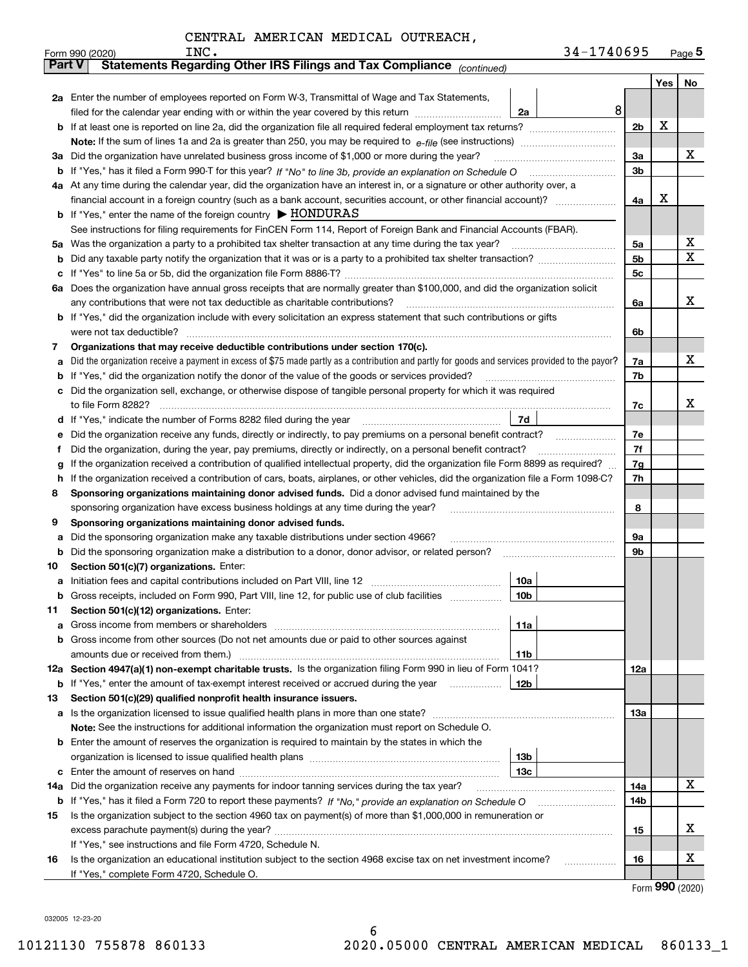|               | 34-1740695<br>INC.<br>Form 990 (2020)                                                                                                                                                                                           |                |     | Page $5$ |
|---------------|---------------------------------------------------------------------------------------------------------------------------------------------------------------------------------------------------------------------------------|----------------|-----|----------|
| <b>Part V</b> | Statements Regarding Other IRS Filings and Tax Compliance <sub>(continued)</sub>                                                                                                                                                |                |     |          |
|               |                                                                                                                                                                                                                                 |                | Yes | No       |
|               | 2a Enter the number of employees reported on Form W-3, Transmittal of Wage and Tax Statements,                                                                                                                                  |                |     |          |
|               | 8<br>filed for the calendar year ending with or within the year covered by this return<br>2a                                                                                                                                    |                |     |          |
| b             |                                                                                                                                                                                                                                 | 2 <sub>b</sub> | х   |          |
|               |                                                                                                                                                                                                                                 |                |     |          |
| За            | Did the organization have unrelated business gross income of \$1,000 or more during the year?                                                                                                                                   | 3a             |     | х        |
| b             |                                                                                                                                                                                                                                 | 3 <sub>b</sub> |     |          |
|               | 4a At any time during the calendar year, did the organization have an interest in, or a signature or other authority over, a                                                                                                    |                |     |          |
|               | financial account in a foreign country (such as a bank account, securities account, or other financial account)?                                                                                                                | 4a             | х   |          |
|               | <b>b</b> If "Yes," enter the name of the foreign country $\blacktriangleright$ HONDURAS                                                                                                                                         |                |     |          |
|               | See instructions for filing requirements for FinCEN Form 114, Report of Foreign Bank and Financial Accounts (FBAR).                                                                                                             |                |     |          |
| 5a            | Was the organization a party to a prohibited tax shelter transaction at any time during the tax year?                                                                                                                           | 5a             |     | х        |
| b             |                                                                                                                                                                                                                                 | 5 <sub>b</sub> |     | X        |
| с             |                                                                                                                                                                                                                                 | 5c             |     |          |
| 6а            | Does the organization have annual gross receipts that are normally greater than \$100,000, and did the organization solicit                                                                                                     |                |     |          |
|               | any contributions that were not tax deductible as charitable contributions?                                                                                                                                                     | 6a             |     | x        |
| b             | If "Yes," did the organization include with every solicitation an express statement that such contributions or gifts                                                                                                            |                |     |          |
|               | were not tax deductible?                                                                                                                                                                                                        | 6b             |     |          |
| 7             | Organizations that may receive deductible contributions under section 170(c).                                                                                                                                                   |                |     |          |
| а             | Did the organization receive a payment in excess of \$75 made partly as a contribution and partly for goods and services provided to the payor?                                                                                 | 7a             |     | x        |
| b             | If "Yes," did the organization notify the donor of the value of the goods or services provided?                                                                                                                                 | 7b             |     |          |
| c             | Did the organization sell, exchange, or otherwise dispose of tangible personal property for which it was required                                                                                                               |                |     | x        |
|               | 7d                                                                                                                                                                                                                              | 7c             |     |          |
| d             |                                                                                                                                                                                                                                 | 7e             |     |          |
| е<br>f        | Did the organization receive any funds, directly or indirectly, to pay premiums on a personal benefit contract?<br>Did the organization, during the year, pay premiums, directly or indirectly, on a personal benefit contract? | 7f             |     |          |
|               | If the organization received a contribution of qualified intellectual property, did the organization file Form 8899 as required?                                                                                                | 7g             |     |          |
| g<br>h        | If the organization received a contribution of cars, boats, airplanes, or other vehicles, did the organization file a Form 1098-C?                                                                                              | 7h             |     |          |
| 8             | Sponsoring organizations maintaining donor advised funds. Did a donor advised fund maintained by the                                                                                                                            |                |     |          |
|               | sponsoring organization have excess business holdings at any time during the year?                                                                                                                                              | 8              |     |          |
| 9             | Sponsoring organizations maintaining donor advised funds.                                                                                                                                                                       |                |     |          |
| а             | Did the sponsoring organization make any taxable distributions under section 4966?                                                                                                                                              | 9а             |     |          |
| b             | Did the sponsoring organization make a distribution to a donor, donor advisor, or related person?                                                                                                                               | 9b             |     |          |
| 10            | Section 501(c)(7) organizations. Enter:                                                                                                                                                                                         |                |     |          |
| а             | 10a                                                                                                                                                                                                                             |                |     |          |
|               | 10b <br>Gross receipts, included on Form 990, Part VIII, line 12, for public use of club facilities                                                                                                                             |                |     |          |
| 11            | Section 501(c)(12) organizations. Enter:                                                                                                                                                                                        |                |     |          |
| a             | Gross income from members or shareholders<br>11a                                                                                                                                                                                |                |     |          |
| b             | Gross income from other sources (Do not net amounts due or paid to other sources against                                                                                                                                        |                |     |          |
|               | 11 <sub>b</sub><br>amounts due or received from them.)                                                                                                                                                                          |                |     |          |
|               | 12a Section 4947(a)(1) non-exempt charitable trusts. Is the organization filing Form 990 in lieu of Form 1041?                                                                                                                  | <b>12a</b>     |     |          |
|               | <b>b</b> If "Yes," enter the amount of tax-exempt interest received or accrued during the year<br>12b                                                                                                                           |                |     |          |
| 13            | Section 501(c)(29) qualified nonprofit health insurance issuers.                                                                                                                                                                |                |     |          |
| a             | Is the organization licensed to issue qualified health plans in more than one state?                                                                                                                                            | 13a            |     |          |
|               | Note: See the instructions for additional information the organization must report on Schedule O.                                                                                                                               |                |     |          |
| b             | Enter the amount of reserves the organization is required to maintain by the states in which the                                                                                                                                |                |     |          |
|               | 13 <sub>b</sub>                                                                                                                                                                                                                 |                |     |          |
| с             | 13 <sub>c</sub>                                                                                                                                                                                                                 |                |     |          |
| 14a           | Did the organization receive any payments for indoor tanning services during the tax year?                                                                                                                                      | 14a            |     | X        |
|               | <b>b</b> If "Yes," has it filed a Form 720 to report these payments? If "No," provide an explanation on Schedule O                                                                                                              | 14b            |     |          |
| 15            | Is the organization subject to the section 4960 tax on payment(s) of more than \$1,000,000 in remuneration or                                                                                                                   |                |     |          |
|               |                                                                                                                                                                                                                                 | 15             |     | х        |
|               | If "Yes," see instructions and file Form 4720, Schedule N.                                                                                                                                                                      |                |     |          |
| 16            | Is the organization an educational institution subject to the section 4968 excise tax on net investment income?                                                                                                                 | 16             |     | х        |
|               | If "Yes," complete Form 4720, Schedule O.                                                                                                                                                                                       |                |     |          |

Form (2020) **990**

032005 12-23-20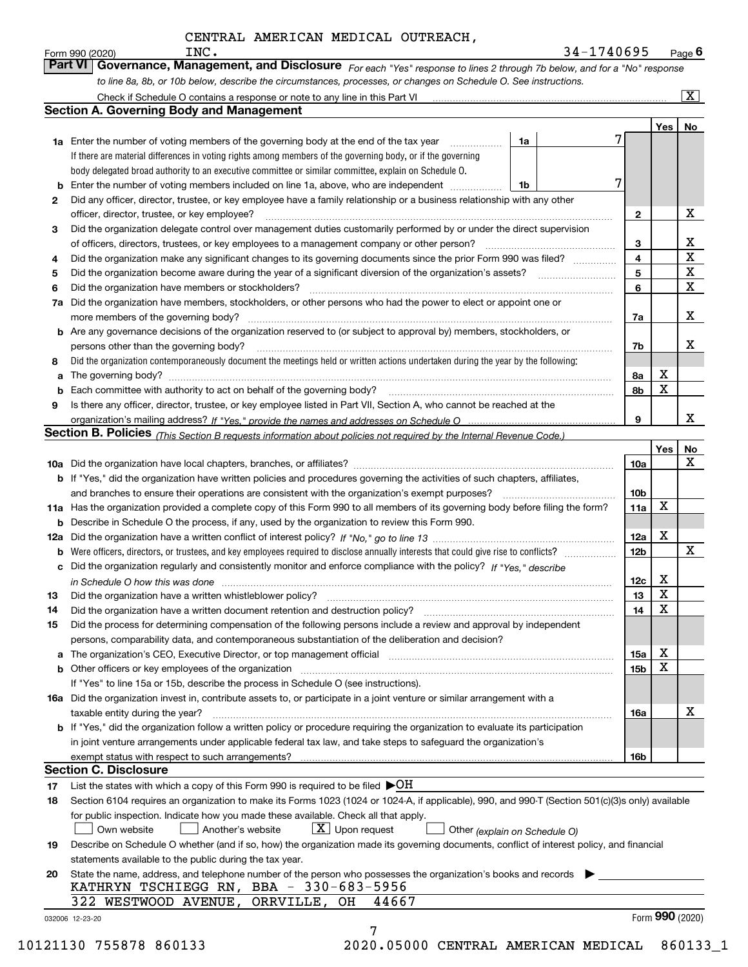*For each "Yes" response to lines 2 through 7b below, and for a "No" response* Form 990 (2020) **Form 990 (2020)** INC **Carry Additional Propert Concept Concept Concept Concept Concept Concept**<br>**Part VI Governance, Management, and Disclosure** For each "Yes" response to lines 2 through 7b below, and f

|     | Check if Schedule O contains a response or note to any line in this Part VI                                                                                           |                 |                 | $\overline{\mathbf{x}}$ |
|-----|-----------------------------------------------------------------------------------------------------------------------------------------------------------------------|-----------------|-----------------|-------------------------|
|     | <b>Section A. Governing Body and Management</b>                                                                                                                       |                 |                 |                         |
|     |                                                                                                                                                                       |                 | Yes             | No                      |
|     | 1a Enter the number of voting members of the governing body at the end of the tax year<br>1a                                                                          |                 |                 |                         |
|     | If there are material differences in voting rights among members of the governing body, or if the governing                                                           |                 |                 |                         |
|     | body delegated broad authority to an executive committee or similar committee, explain on Schedule O.<br>7                                                            |                 |                 |                         |
| b   | Enter the number of voting members included on line 1a, above, who are independent<br>1b                                                                              |                 |                 |                         |
| 2   | Did any officer, director, trustee, or key employee have a family relationship or a business relationship with any other                                              |                 |                 | x                       |
|     | officer, director, trustee, or key employee?                                                                                                                          | 2               |                 |                         |
| 3   | Did the organization delegate control over management duties customarily performed by or under the direct supervision                                                 |                 |                 |                         |
|     | of officers, directors, trustees, or key employees to a management company or other person?                                                                           | 3               |                 | x<br>X                  |
| 4   | Did the organization make any significant changes to its governing documents since the prior Form 990 was filed?                                                      | 4               |                 | х                       |
| 5   | Did the organization become aware during the year of a significant diversion of the organization's assets?                                                            | 5               |                 | X                       |
| 6   | Did the organization have members or stockholders?                                                                                                                    | 6               |                 |                         |
| 7a  | Did the organization have members, stockholders, or other persons who had the power to elect or appoint one or                                                        |                 |                 |                         |
|     | more members of the governing body?                                                                                                                                   | 7a              |                 | x                       |
| b   | Are any governance decisions of the organization reserved to (or subject to approval by) members, stockholders, or                                                    |                 |                 |                         |
|     | persons other than the governing body?                                                                                                                                | 7b              |                 | x                       |
| 8   | Did the organization contemporaneously document the meetings held or written actions undertaken during the year by the following:                                     |                 |                 |                         |
| a   |                                                                                                                                                                       | 8a              | x               |                         |
| b   | Each committee with authority to act on behalf of the governing body?                                                                                                 | 8b              | x               |                         |
| 9   | Is there any officer, director, trustee, or key employee listed in Part VII, Section A, who cannot be reached at the                                                  |                 |                 |                         |
|     |                                                                                                                                                                       | 9               |                 | x                       |
|     | Section B. Policies <sub>(This</sub> Section B requests information about policies not required by the Internal Revenue Code.)                                        |                 |                 |                         |
|     |                                                                                                                                                                       |                 | Yes             | No                      |
|     |                                                                                                                                                                       | 10a             |                 | х                       |
|     | <b>b</b> If "Yes," did the organization have written policies and procedures governing the activities of such chapters, affiliates,                                   |                 |                 |                         |
|     | and branches to ensure their operations are consistent with the organization's exempt purposes?                                                                       | 10 <sub>b</sub> |                 |                         |
| 11a | Has the organization provided a complete copy of this Form 990 to all members of its governing body before filing the form?                                           | 11a             | x               |                         |
| b   | Describe in Schedule O the process, if any, used by the organization to review this Form 990.                                                                         |                 |                 |                         |
| 12a |                                                                                                                                                                       | 12a             | х               |                         |
| b   |                                                                                                                                                                       | 12b             |                 | x                       |
| с   | Did the organization regularly and consistently monitor and enforce compliance with the policy? If "Yes." describe                                                    |                 |                 |                         |
|     | in Schedule O how this was done with the continuum control to the control of the control of the control of the                                                        | 12c             | X               |                         |
| 13  | Did the organization have a written whistleblower policy?                                                                                                             | 13              | X               |                         |
| 14  | Did the organization have a written document retention and destruction policy?                                                                                        | 14              | X               |                         |
| 15  | Did the process for determining compensation of the following persons include a review and approval by independent                                                    |                 |                 |                         |
|     | persons, comparability data, and contemporaneous substantiation of the deliberation and decision?                                                                     |                 |                 |                         |
| a   | The organization's CEO, Executive Director, or top management official manufactured content of the organization's CEO, Executive Director, or top management official | 15a             | х               |                         |
| b   | Other officers or key employees of the organization                                                                                                                   | 15 <sub>b</sub> | x               |                         |
|     | If "Yes" to line 15a or 15b, describe the process in Schedule O (see instructions).                                                                                   |                 |                 |                         |
|     | 16a Did the organization invest in, contribute assets to, or participate in a joint venture or similar arrangement with a                                             |                 |                 |                         |
|     | taxable entity during the year?                                                                                                                                       | 16a             |                 | x                       |
|     | <b>b</b> If "Yes," did the organization follow a written policy or procedure requiring the organization to evaluate its participation                                 |                 |                 |                         |
|     | in joint venture arrangements under applicable federal tax law, and take steps to safequard the organization's                                                        |                 |                 |                         |
|     | exempt status with respect to such arrangements?                                                                                                                      | <b>16b</b>      |                 |                         |
|     | <b>Section C. Disclosure</b>                                                                                                                                          |                 |                 |                         |
| 17  | List the states with which a copy of this Form 990 is required to be filed $\blacktriangleright$ OH                                                                   |                 |                 |                         |
| 18  | Section 6104 requires an organization to make its Forms 1023 (1024 or 1024-A, if applicable), 990, and 990-T (Section 501(c)(3)s only) available                      |                 |                 |                         |
|     | for public inspection. Indicate how you made these available. Check all that apply.                                                                                   |                 |                 |                         |
|     | $X$ Upon request<br>Own website<br>Another's website<br>Other (explain on Schedule O)                                                                                 |                 |                 |                         |
| 19  | Describe on Schedule O whether (and if so, how) the organization made its governing documents, conflict of interest policy, and financial                             |                 |                 |                         |
|     | statements available to the public during the tax year.                                                                                                               |                 |                 |                         |
| 20  | State the name, address, and telephone number of the person who possesses the organization's books and records                                                        |                 |                 |                         |
|     | KATHRYN TSCHIEGG RN, BBA - 330-683-5956                                                                                                                               |                 |                 |                         |
|     | 322 WESTWOOD AVENUE,<br>ORRVILLE, OH                                                                                                                                  |                 |                 |                         |
|     | 44667                                                                                                                                                                 |                 | Form 990 (2020) |                         |

10121130 755878 860133 2020.05000 CENTRAL AMERICAN MEDICAL 860133\_1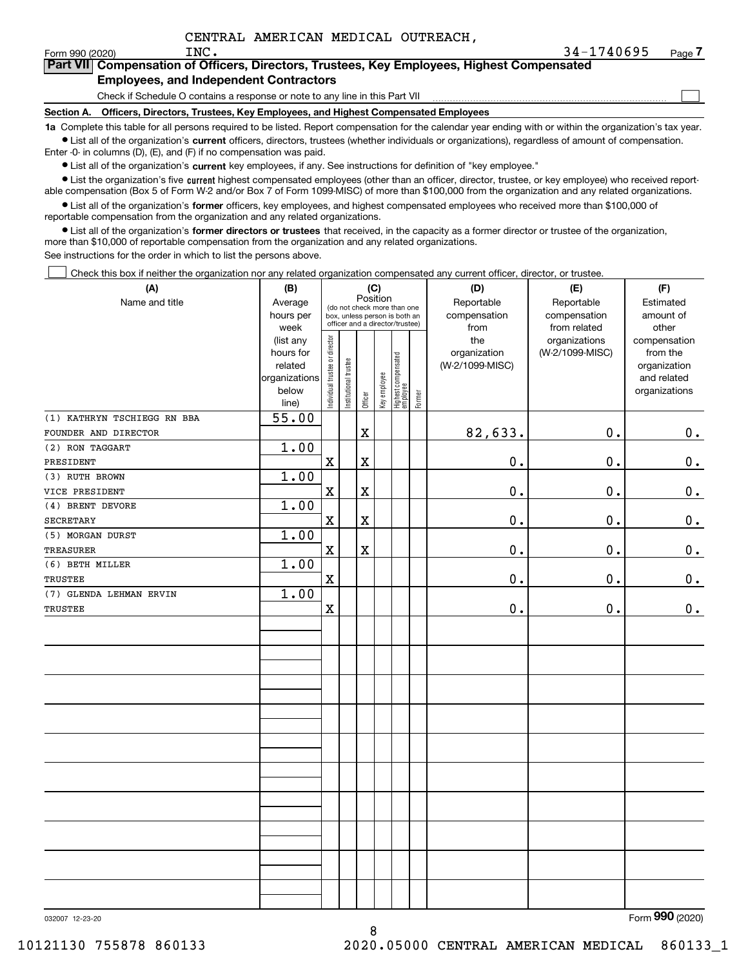$\mathcal{L}^{\text{max}}$ 

| Form 990 (2020) | INC.                                  | $34 - 1740695$                                                                             | Page $7$ |
|-----------------|---------------------------------------|--------------------------------------------------------------------------------------------|----------|
|                 |                                       | Part VII Compensation of Officers, Directors, Trustees, Key Employees, Highest Compensated |          |
|                 | Employees and Indonesiant Contractors |                                                                                            |          |

#### **Employees, and Independent Contractors**

Check if Schedule O contains a response or note to any line in this Part VII

**Section A. Officers, Directors, Trustees, Key Employees, and Highest Compensated Employees**

**1a**  Complete this table for all persons required to be listed. Report compensation for the calendar year ending with or within the organization's tax year. **•** List all of the organization's current officers, directors, trustees (whether individuals or organizations), regardless of amount of compensation.

Enter -0- in columns (D), (E), and (F) if no compensation was paid.

 $\bullet$  List all of the organization's  $\,$ current key employees, if any. See instructions for definition of "key employee."

**•** List the organization's five current highest compensated employees (other than an officer, director, trustee, or key employee) who received reportable compensation (Box 5 of Form W-2 and/or Box 7 of Form 1099-MISC) of more than \$100,000 from the organization and any related organizations.

**•** List all of the organization's former officers, key employees, and highest compensated employees who received more than \$100,000 of reportable compensation from the organization and any related organizations.

**former directors or trustees**  ¥ List all of the organization's that received, in the capacity as a former director or trustee of the organization, more than \$10,000 of reportable compensation from the organization and any related organizations.

See instructions for the order in which to list the persons above.

Check this box if neither the organization nor any related organization compensated any current officer, director, or trustee.  $\mathcal{L}^{\text{max}}$ 

| (A)                         | (B)                      | (C)                            |                                                                          |             |                            |                                  |                        | (D)             | (E)             | (F)                         |
|-----------------------------|--------------------------|--------------------------------|--------------------------------------------------------------------------|-------------|----------------------------|----------------------------------|------------------------|-----------------|-----------------|-----------------------------|
| Name and title              | Average<br>hours per     |                                | Position<br>(do not check more than one<br>box, unless person is both an |             | Reportable<br>compensation | Reportable<br>compensation       | Estimated<br>amount of |                 |                 |                             |
|                             | week                     |                                |                                                                          |             |                            | officer and a director/trustee)  |                        | from            | from related    | other                       |
|                             | (list any                |                                |                                                                          |             |                            |                                  |                        | the             | organizations   | compensation                |
|                             | hours for                |                                |                                                                          |             |                            |                                  |                        | organization    | (W-2/1099-MISC) | from the                    |
|                             | related<br>organizations |                                |                                                                          |             |                            |                                  |                        | (W-2/1099-MISC) |                 | organization<br>and related |
|                             | below                    | Individual trustee or director | Institutional trustee                                                    |             | Key employee               |                                  |                        |                 |                 | organizations               |
|                             | line)                    |                                |                                                                          | Officer     |                            | Highest compensated<br> employee | Former                 |                 |                 |                             |
| (1) KATHRYN TSCHIEGG RN BBA | 55.00                    |                                |                                                                          |             |                            |                                  |                        |                 |                 |                             |
| FOUNDER AND DIRECTOR        |                          |                                |                                                                          | $\mathbf X$ |                            |                                  |                        | 82,633.         | 0.              | 0.                          |
| (2) RON TAGGART             | 1.00                     |                                |                                                                          |             |                            |                                  |                        |                 |                 |                             |
| PRESIDENT                   |                          | $\mathbf X$                    |                                                                          | X           |                            |                                  |                        | 0.              | $0$ .           | 0.                          |
| (3) RUTH BROWN              | 1.00                     |                                |                                                                          |             |                            |                                  |                        |                 |                 |                             |
| VICE PRESIDENT              |                          | $\mathbf x$                    |                                                                          | $\mathbf X$ |                            |                                  |                        | 0.              | 0.              | $\mathbf 0$ .               |
| (4) BRENT DEVORE            | 1.00                     |                                |                                                                          |             |                            |                                  |                        |                 |                 |                             |
| <b>SECRETARY</b>            |                          | $\mathbf x$                    |                                                                          | X           |                            |                                  |                        | 0.              | 0.              | 0.                          |
| (5) MORGAN DURST            | 1.00                     |                                |                                                                          |             |                            |                                  |                        |                 |                 |                             |
| <b>TREASURER</b>            |                          | $\mathbf x$                    |                                                                          | X           |                            |                                  |                        | 0.              | 0.              | 0.                          |
| (6) BETH MILLER             | 1.00                     |                                |                                                                          |             |                            |                                  |                        |                 |                 |                             |
| <b>TRUSTEE</b>              |                          | $\mathbf X$                    |                                                                          |             |                            |                                  |                        | 0.              | 0.              | 0.                          |
| (7) GLENDA LEHMAN ERVIN     | 1.00                     |                                |                                                                          |             |                            |                                  |                        |                 |                 |                             |
| <b>TRUSTEE</b>              |                          | $\mathbf x$                    |                                                                          |             |                            |                                  |                        | $0$ .           | 0.              | 0.                          |
|                             |                          |                                |                                                                          |             |                            |                                  |                        |                 |                 |                             |
|                             |                          |                                |                                                                          |             |                            |                                  |                        |                 |                 |                             |
|                             |                          |                                |                                                                          |             |                            |                                  |                        |                 |                 |                             |
|                             |                          |                                |                                                                          |             |                            |                                  |                        |                 |                 |                             |
|                             |                          |                                |                                                                          |             |                            |                                  |                        |                 |                 |                             |
|                             |                          |                                |                                                                          |             |                            |                                  |                        |                 |                 |                             |
|                             |                          |                                |                                                                          |             |                            |                                  |                        |                 |                 |                             |
|                             |                          |                                |                                                                          |             |                            |                                  |                        |                 |                 |                             |
|                             |                          |                                |                                                                          |             |                            |                                  |                        |                 |                 |                             |
|                             |                          |                                |                                                                          |             |                            |                                  |                        |                 |                 |                             |
|                             |                          |                                |                                                                          |             |                            |                                  |                        |                 |                 |                             |
|                             |                          |                                |                                                                          |             |                            |                                  |                        |                 |                 |                             |
|                             |                          |                                |                                                                          |             |                            |                                  |                        |                 |                 |                             |
|                             |                          |                                |                                                                          |             |                            |                                  |                        |                 |                 |                             |
|                             |                          |                                |                                                                          |             |                            |                                  |                        |                 |                 |                             |
|                             |                          |                                |                                                                          |             |                            |                                  |                        |                 |                 |                             |
|                             |                          |                                |                                                                          |             |                            |                                  |                        |                 |                 |                             |
|                             |                          |                                |                                                                          |             |                            |                                  |                        |                 |                 |                             |
|                             |                          |                                |                                                                          |             |                            |                                  |                        |                 |                 |                             |
|                             |                          |                                |                                                                          |             |                            |                                  |                        |                 |                 |                             |

8

Form (2020) **990**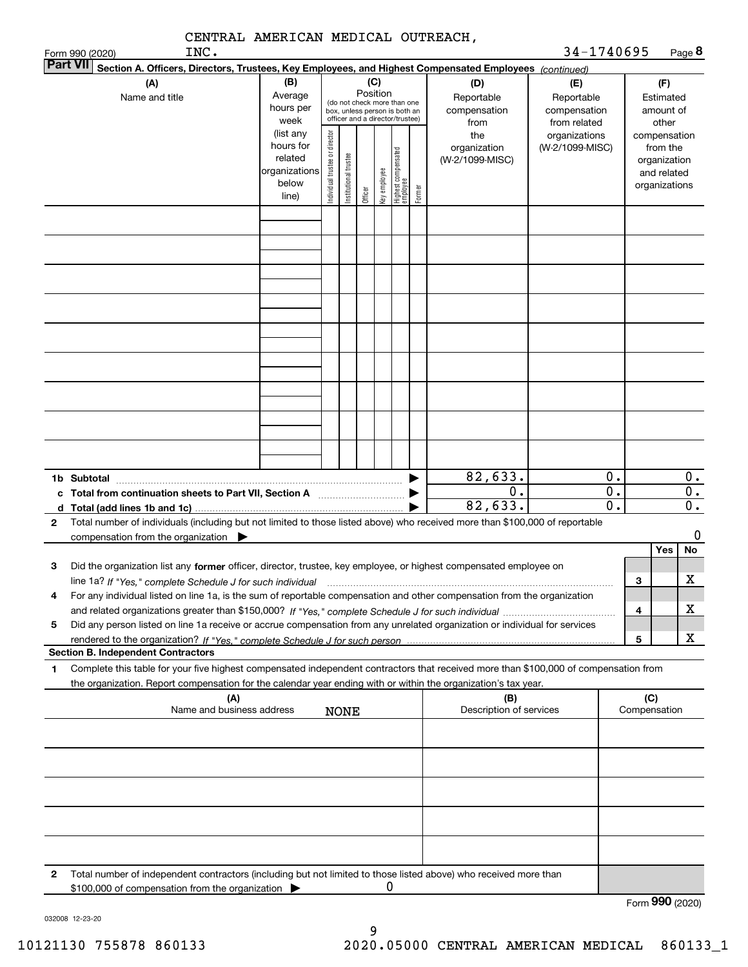|        | CENTRAL AMERICAN MEDICAL OUTREACH,                                                                                                                                                                                                                                                                  |                                                                                  |                                |                       |                                                                  |              |                                 |        |                                                                |                                                                  |                              |                     |                                                                                                |                                 |
|--------|-----------------------------------------------------------------------------------------------------------------------------------------------------------------------------------------------------------------------------------------------------------------------------------------------------|----------------------------------------------------------------------------------|--------------------------------|-----------------------|------------------------------------------------------------------|--------------|---------------------------------|--------|----------------------------------------------------------------|------------------------------------------------------------------|------------------------------|---------------------|------------------------------------------------------------------------------------------------|---------------------------------|
|        | INC.<br>Form 990 (2020)<br> Part VII                                                                                                                                                                                                                                                                |                                                                                  |                                |                       |                                                                  |              |                                 |        |                                                                | 34-1740695                                                       |                              |                     | Page 8                                                                                         |                                 |
|        | Section A. Officers, Directors, Trustees, Key Employees, and Highest Compensated Employees (continued)<br>(A)<br>Name and title                                                                                                                                                                     | (B)<br>Average                                                                   |                                |                       | Position<br>(do not check more than one                          | (C)          |                                 |        | (D)<br>Reportable                                              | (E)<br>Reportable                                                |                              |                     | (F)<br>Estimated                                                                               |                                 |
|        |                                                                                                                                                                                                                                                                                                     | hours per<br>week<br>(list any<br>hours for<br>related<br>organizations<br>below | Individual trustee or director | Institutional trustee | box, unless person is both an<br>officer and a director/trustee) | Key employee | Highest compensated<br>employee |        | compensation<br>from<br>the<br>organization<br>(W-2/1099-MISC) | compensation<br>from related<br>organizations<br>(W-2/1099-MISC) |                              |                     | amount of<br>other<br>compensation<br>from the<br>organization<br>and related<br>organizations |                                 |
|        |                                                                                                                                                                                                                                                                                                     | line)                                                                            |                                |                       | Officer                                                          |              |                                 | Former |                                                                |                                                                  |                              |                     |                                                                                                |                                 |
|        |                                                                                                                                                                                                                                                                                                     |                                                                                  |                                |                       |                                                                  |              |                                 |        |                                                                |                                                                  |                              |                     |                                                                                                |                                 |
|        |                                                                                                                                                                                                                                                                                                     |                                                                                  |                                |                       |                                                                  |              |                                 |        |                                                                |                                                                  |                              |                     |                                                                                                |                                 |
|        |                                                                                                                                                                                                                                                                                                     |                                                                                  |                                |                       |                                                                  |              |                                 |        |                                                                |                                                                  |                              |                     |                                                                                                |                                 |
|        |                                                                                                                                                                                                                                                                                                     |                                                                                  |                                |                       |                                                                  |              |                                 |        |                                                                |                                                                  |                              |                     |                                                                                                |                                 |
|        |                                                                                                                                                                                                                                                                                                     |                                                                                  |                                |                       |                                                                  |              |                                 |        |                                                                |                                                                  |                              |                     |                                                                                                |                                 |
|        |                                                                                                                                                                                                                                                                                                     |                                                                                  |                                |                       |                                                                  |              |                                 |        |                                                                |                                                                  |                              |                     |                                                                                                |                                 |
|        | 1b Subtotal<br>d Total (add lines 1b and 1c).                                                                                                                                                                                                                                                       |                                                                                  |                                |                       |                                                                  |              |                                 |        | 82,633.<br>0.<br>82,633.                                       |                                                                  | 0.<br>$\overline{0}$ .<br>0. |                     |                                                                                                | 0.<br>$0$ .<br>$\overline{0}$ . |
| 2      | Total number of individuals (including but not limited to those listed above) who received more than \$100,000 of reportable<br>compensation from the organization $\qquad \qquad$                                                                                                                  |                                                                                  |                                |                       |                                                                  |              |                                 |        |                                                                |                                                                  |                              |                     | Yes                                                                                            | 0<br>No                         |
| з      | Did the organization list any former officer, director, trustee, key employee, or highest compensated employee on                                                                                                                                                                                   |                                                                                  |                                |                       |                                                                  |              |                                 |        |                                                                |                                                                  |                              | з                   |                                                                                                | $\mathbf X$                     |
| 4<br>5 | For any individual listed on line 1a, is the sum of reportable compensation and other compensation from the organization<br>Did any person listed on line 1a receive or accrue compensation from any unrelated organization or individual for services                                              |                                                                                  |                                |                       |                                                                  |              |                                 |        |                                                                |                                                                  |                              | 4                   |                                                                                                | x                               |
|        |                                                                                                                                                                                                                                                                                                     |                                                                                  |                                |                       |                                                                  |              |                                 |        |                                                                |                                                                  |                              | 5                   |                                                                                                | x                               |
| 1      | <b>Section B. Independent Contractors</b><br>Complete this table for your five highest compensated independent contractors that received more than \$100,000 of compensation from<br>the organization. Report compensation for the calendar year ending with or within the organization's tax year. |                                                                                  |                                |                       |                                                                  |              |                                 |        |                                                                |                                                                  |                              |                     |                                                                                                |                                 |
|        | (A)<br>Name and business address                                                                                                                                                                                                                                                                    |                                                                                  |                                | <b>NONE</b>           |                                                                  |              |                                 |        | (B)<br>Description of services                                 |                                                                  |                              | (C)<br>Compensation |                                                                                                |                                 |
|        |                                                                                                                                                                                                                                                                                                     |                                                                                  |                                |                       |                                                                  |              |                                 |        |                                                                |                                                                  |                              |                     |                                                                                                |                                 |
|        |                                                                                                                                                                                                                                                                                                     |                                                                                  |                                |                       |                                                                  |              |                                 |        |                                                                |                                                                  |                              |                     |                                                                                                |                                 |
|        |                                                                                                                                                                                                                                                                                                     |                                                                                  |                                |                       |                                                                  |              |                                 |        |                                                                |                                                                  |                              |                     |                                                                                                |                                 |
|        |                                                                                                                                                                                                                                                                                                     |                                                                                  |                                |                       |                                                                  |              |                                 |        |                                                                |                                                                  |                              |                     |                                                                                                |                                 |
| 2      | Total number of independent contractors (including but not limited to those listed above) who received more than<br>\$100,000 of compensation from the organization                                                                                                                                 |                                                                                  |                                |                       |                                                                  | 0            |                                 |        |                                                                |                                                                  |                              |                     |                                                                                                |                                 |

032008 12-23-20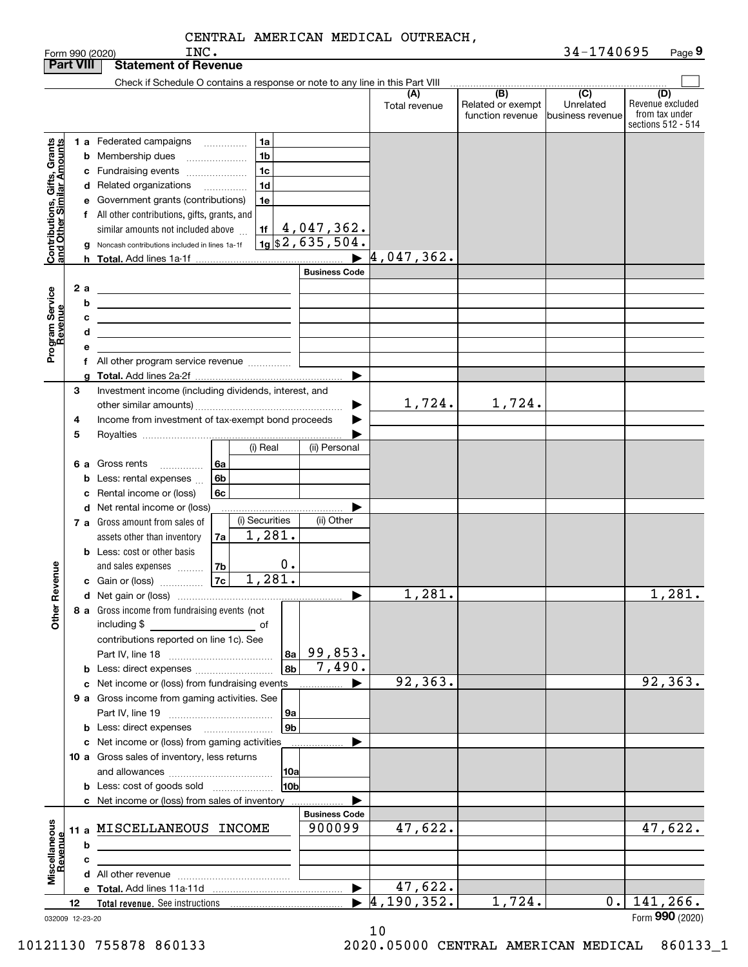| <b>Part VIII</b>                                          |    |         | <b>Statement of Revenue</b>                                                                                                                  |                                            |                      |                                                           |                                      |                                                                 |
|-----------------------------------------------------------|----|---------|----------------------------------------------------------------------------------------------------------------------------------------------|--------------------------------------------|----------------------|-----------------------------------------------------------|--------------------------------------|-----------------------------------------------------------------|
|                                                           |    |         | Check if Schedule O contains a response or note to any line in this Part VIII                                                                |                                            |                      |                                                           |                                      |                                                                 |
|                                                           |    |         |                                                                                                                                              |                                            | (A)<br>Total revenue | $\overline{(B)}$<br>Related or exempt<br>function revenue | (C)<br>Unrelated<br>business revenue | (D)<br>Revenue excluded<br>from tax under<br>sections 512 - 514 |
|                                                           |    |         | 1 a Federated campaigns<br>1a<br>.<br>1 <sub>b</sub><br><b>b</b> Membership dues<br>1 <sub>c</sub><br>c Fundraising events                   |                                            |                      |                                                           |                                      |                                                                 |
| Contributions, Gifts, Grants<br>and Other Similar Amounts |    |         | 1 <sub>d</sub><br>d Related organizations<br>.<br>e Government grants (contributions)<br>1e<br>f All other contributions, gifts, grants, and |                                            |                      |                                                           |                                      |                                                                 |
|                                                           |    | g<br>h. | similar amounts not included above<br>Noncash contributions included in lines 1a-1f                                                          | $\frac{11}{19}$ $\frac{4}{19}$ , 047, 362. | 4,047,362.           |                                                           |                                      |                                                                 |
|                                                           |    |         |                                                                                                                                              | <b>Business Code</b>                       |                      |                                                           |                                      |                                                                 |
|                                                           |    | 2 a     |                                                                                                                                              |                                            |                      |                                                           |                                      |                                                                 |
|                                                           |    | b       | <u> 1989 - Johann Barn, amerikansk politiker (d. 1989)</u>                                                                                   |                                            |                      |                                                           |                                      |                                                                 |
|                                                           |    | с       | <u> 1989 - Johann Stein, marwolaethau a bhann an t-Amhair an t-Amhair an t-Amhair an t-Amhair an t-Amhair an t-A</u>                         |                                            |                      |                                                           |                                      |                                                                 |
|                                                           |    | d       | <u> 1989 - Johann Stein, marwolaethau a bhann an t-Alban ann an t-Alban an t-Alban an t-Alban an t-Alban an t-Alb</u>                        |                                            |                      |                                                           |                                      |                                                                 |
| Program Service<br>Revenue                                |    | е       |                                                                                                                                              |                                            |                      |                                                           |                                      |                                                                 |
|                                                           |    |         | f All other program service revenue                                                                                                          |                                            |                      |                                                           |                                      |                                                                 |
|                                                           |    |         |                                                                                                                                              |                                            |                      |                                                           |                                      |                                                                 |
|                                                           | З  |         | Investment income (including dividends, interest, and                                                                                        |                                            |                      |                                                           |                                      |                                                                 |
|                                                           |    |         |                                                                                                                                              |                                            | 1,724.               | 1,724.                                                    |                                      |                                                                 |
|                                                           | 4  |         | Income from investment of tax-exempt bond proceeds                                                                                           |                                            |                      |                                                           |                                      |                                                                 |
|                                                           | 5  |         | (i) Real                                                                                                                                     | (ii) Personal                              |                      |                                                           |                                      |                                                                 |
|                                                           |    |         |                                                                                                                                              |                                            |                      |                                                           |                                      |                                                                 |
|                                                           |    | 6а      | Gross rents<br>6a<br>.<br>6b<br>Less: rental expenses                                                                                        |                                            |                      |                                                           |                                      |                                                                 |
|                                                           |    | b       | 6c<br>Rental income or (loss)                                                                                                                |                                            |                      |                                                           |                                      |                                                                 |
|                                                           |    |         | d Net rental income or (loss)                                                                                                                |                                            |                      |                                                           |                                      |                                                                 |
|                                                           |    |         | (i) Securities<br>7 a Gross amount from sales of                                                                                             | (ii) Other                                 |                      |                                                           |                                      |                                                                 |
|                                                           |    |         | 1,281.<br>assets other than inventory<br>7a                                                                                                  |                                            |                      |                                                           |                                      |                                                                 |
|                                                           |    |         | <b>b</b> Less: cost or other basis                                                                                                           |                                            |                      |                                                           |                                      |                                                                 |
|                                                           |    |         | $0$ .<br>7b<br>and sales expenses                                                                                                            |                                            |                      |                                                           |                                      |                                                                 |
|                                                           |    |         | 1,281.<br>7c<br>c Gain or (loss)                                                                                                             |                                            |                      |                                                           |                                      |                                                                 |
| Revenue                                                   |    |         |                                                                                                                                              | ▶                                          | 1,281.               |                                                           |                                      | 1,281.                                                          |
|                                                           |    |         | 8 a Gross income from fundraising events (not                                                                                                |                                            |                      |                                                           |                                      |                                                                 |
| Other                                                     |    |         | including \$<br>and the control of the control of<br>contributions reported on line 1c). See                                                 |                                            |                      |                                                           |                                      |                                                                 |
|                                                           |    |         | 8a                                                                                                                                           | 99,853.                                    |                      |                                                           |                                      |                                                                 |
|                                                           |    |         | 8b                                                                                                                                           | 7,490.                                     |                      |                                                           |                                      |                                                                 |
|                                                           |    |         | c Net income or (loss) from fundraising events                                                                                               |                                            | 92,363.              |                                                           |                                      | 92, 363.                                                        |
|                                                           |    |         | 9 a Gross income from gaming activities. See                                                                                                 |                                            |                      |                                                           |                                      |                                                                 |
|                                                           |    |         | ∣9a                                                                                                                                          |                                            |                      |                                                           |                                      |                                                                 |
|                                                           |    |         | 9 <sub>b</sub>                                                                                                                               |                                            |                      |                                                           |                                      |                                                                 |
|                                                           |    |         | c Net income or (loss) from gaming activities                                                                                                |                                            |                      |                                                           |                                      |                                                                 |
|                                                           |    |         | 10 a Gross sales of inventory, less returns                                                                                                  |                                            |                      |                                                           |                                      |                                                                 |
|                                                           |    |         | 10a                                                                                                                                          |                                            |                      |                                                           |                                      |                                                                 |
|                                                           |    |         | 10bl<br><b>b</b> Less: cost of goods sold                                                                                                    |                                            |                      |                                                           |                                      |                                                                 |
|                                                           |    |         | c Net income or (loss) from sales of inventory                                                                                               | <b>Business Code</b>                       |                      |                                                           |                                      |                                                                 |
|                                                           |    |         | 11 a MISCELLANEOUS INCOME                                                                                                                    | 900099                                     | 47,622.              |                                                           |                                      | 47,622.                                                         |
|                                                           |    | b       | <u> 1989 - Johann Stein, mars an deus Amerikaansk kommunister (</u>                                                                          |                                            |                      |                                                           |                                      |                                                                 |
|                                                           |    | c       |                                                                                                                                              |                                            |                      |                                                           |                                      |                                                                 |
| Miscellaneous<br>Revenue                                  |    |         |                                                                                                                                              |                                            |                      |                                                           |                                      |                                                                 |
|                                                           |    |         |                                                                                                                                              | $\blacktriangleright$                      | 47,622.              |                                                           |                                      |                                                                 |
|                                                           | 12 |         |                                                                                                                                              | $\blacktriangleright$                      | 4, 190, 352.         | 1,724.                                                    | 0.                                   | 141,266.                                                        |
| 032009 12-23-20                                           |    |         |                                                                                                                                              |                                            |                      |                                                           |                                      | Form 990 (2020)                                                 |

10 10121130 755878 860133 2020.05000 CENTRAL AMERICAN MEDICAL 860133\_1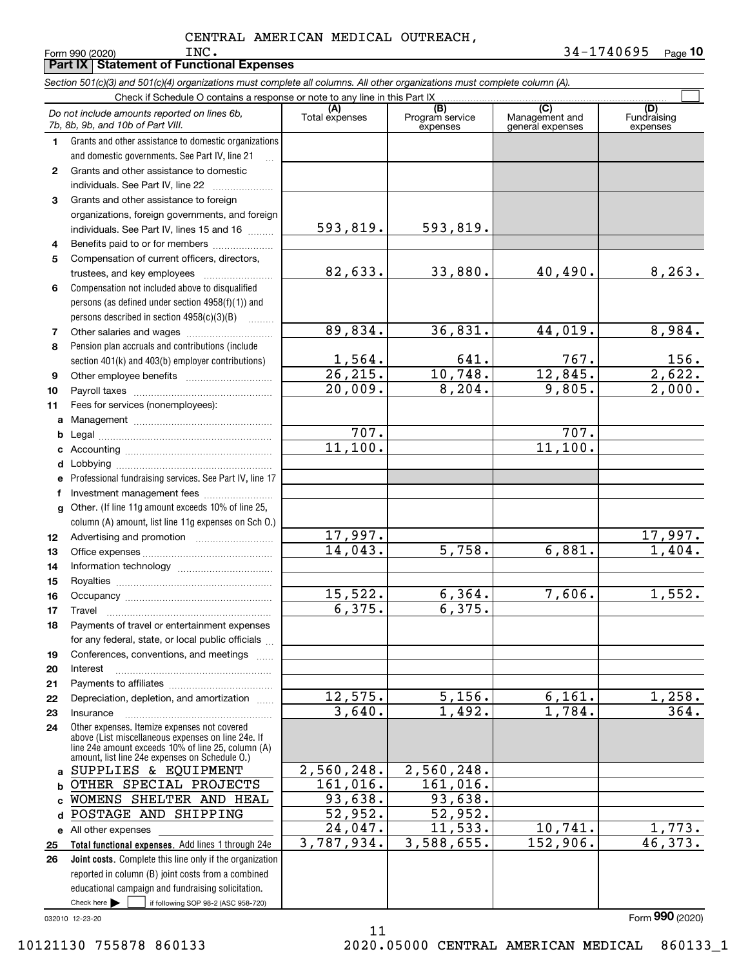*Section 501(c)(3) and 501(c)(4) organizations must complete all columns. All other organizations must complete column (A).*

**Part IX Statement of Functional Expenses**

|              | Do not include amounts reported on lines 6b,<br>7b, 8b, 9b, and 10b of Part VIII.                  | (A)<br>Total expenses    | (B)<br>Program service<br>expenses | $\overline{C}$<br>Management and<br>general expenses | (D)<br>Fundraising<br>expenses |
|--------------|----------------------------------------------------------------------------------------------------|--------------------------|------------------------------------|------------------------------------------------------|--------------------------------|
| 1.           | Grants and other assistance to domestic organizations                                              |                          |                                    |                                                      |                                |
|              | and domestic governments. See Part IV, line 21                                                     |                          |                                    |                                                      |                                |
| $\mathbf{2}$ | Grants and other assistance to domestic                                                            |                          |                                    |                                                      |                                |
|              | individuals. See Part IV, line 22                                                                  |                          |                                    |                                                      |                                |
| 3            | Grants and other assistance to foreign                                                             |                          |                                    |                                                      |                                |
|              | organizations, foreign governments, and foreign                                                    |                          |                                    |                                                      |                                |
|              | individuals. See Part IV, lines 15 and 16                                                          | 593,819.                 | 593,819.                           |                                                      |                                |
| 4            | Benefits paid to or for members                                                                    |                          |                                    |                                                      |                                |
| 5            | Compensation of current officers, directors,                                                       |                          |                                    |                                                      |                                |
|              | trustees, and key employees                                                                        | 82,633.                  | 33,880.                            | 40,490.                                              | 8, 263.                        |
| 6            | Compensation not included above to disqualified                                                    |                          |                                    |                                                      |                                |
|              | persons (as defined under section 4958(f)(1)) and                                                  |                          |                                    |                                                      |                                |
|              | persons described in section 4958(c)(3)(B)                                                         |                          |                                    |                                                      |                                |
| 7            |                                                                                                    | 89,834.                  | 36,831.                            | 44,019.                                              | 8,984.                         |
| 8            | Pension plan accruals and contributions (include                                                   |                          |                                    |                                                      |                                |
|              | section 401(k) and 403(b) employer contributions)                                                  | $\frac{1,564}{26,215}$ . | 641.                               | 767.                                                 | $\frac{156}{2,622}$ .          |
| 9            |                                                                                                    |                          | 10,748.                            | 12,845.                                              |                                |
| 10           |                                                                                                    | $\overline{20}$ , 009.   | 8, 204.                            | 9,805.                                               | $\overline{2,000}$ .           |
| 11           | Fees for services (nonemployees):                                                                  |                          |                                    |                                                      |                                |
| a            |                                                                                                    | 707.                     |                                    | 707.                                                 |                                |
| b            |                                                                                                    | 11,100.                  |                                    | 11,100.                                              |                                |
| c            |                                                                                                    |                          |                                    |                                                      |                                |
| d<br>е       | Professional fundraising services. See Part IV, line 17                                            |                          |                                    |                                                      |                                |
| f            | Investment management fees                                                                         |                          |                                    |                                                      |                                |
| g            | Other. (If line 11g amount exceeds 10% of line 25,                                                 |                          |                                    |                                                      |                                |
|              | column (A) amount, list line 11g expenses on Sch 0.)                                               |                          |                                    |                                                      |                                |
| 12           |                                                                                                    | 17,997.                  |                                    |                                                      |                                |
| 13           |                                                                                                    | 14,043.                  | 5,758.                             | 6,881.                                               | $\frac{17,997.}{1,404.}$       |
| 14           |                                                                                                    |                          |                                    |                                                      |                                |
| 15           |                                                                                                    |                          |                                    |                                                      |                                |
| 16           |                                                                                                    | 15,522.                  | 6, 364.                            | 7,606.                                               | 1,552.                         |
| 17           | Travel                                                                                             | 6, 375.                  | 6, 375.                            |                                                      |                                |
| 18           | Payments of travel or entertainment expenses                                                       |                          |                                    |                                                      |                                |
|              | for any federal, state, or local public officials                                                  |                          |                                    |                                                      |                                |
| 19           | Conferences, conventions, and meetings                                                             |                          |                                    |                                                      |                                |
| 20           | Interest                                                                                           |                          |                                    |                                                      |                                |
| 21           |                                                                                                    |                          |                                    |                                                      |                                |
| 22           | Depreciation, depletion, and amortization                                                          | 12,575.                  | 5,156.                             | 6,161.                                               | 1,258.                         |
| 23           | Insurance                                                                                          | 3,640.                   | 1,492.                             | 1,784.                                               | 364.                           |
| 24           | Other expenses. Itemize expenses not covered<br>above (List miscellaneous expenses on line 24e. If |                          |                                    |                                                      |                                |
|              | line 24e amount exceeds 10% of line 25, column (A)                                                 |                          |                                    |                                                      |                                |
|              | amount, list line 24e expenses on Schedule 0.)                                                     |                          |                                    |                                                      |                                |
|              | a SUPPLIES & EQUIPMENT                                                                             | 2,560,248.               | 2,560,248.                         |                                                      |                                |
|              | <b>b OTHER SPECIAL PROJECTS</b>                                                                    | 161,016.                 | $\overline{161,016}$ .<br>93,638.  |                                                      |                                |
| c.           | WOMENS SHELTER AND HEAL<br>POSTAGE AND SHIPPING                                                    | 93,638.<br>52,952.       | 52,952.                            |                                                      |                                |
| d            |                                                                                                    | 24,047.                  | 11,533.                            | 10, 741.                                             | 1,773.                         |
|              | e All other expenses<br>Total functional expenses. Add lines 1 through 24e                         | 3,787,934.               | 3,588,655.                         | 152,906.                                             | 46,373.                        |
| 25<br>26     | Joint costs. Complete this line only if the organization                                           |                          |                                    |                                                      |                                |
|              | reported in column (B) joint costs from a combined                                                 |                          |                                    |                                                      |                                |
|              | educational campaign and fundraising solicitation.                                                 |                          |                                    |                                                      |                                |
|              | Check here $\blacktriangleright$<br>if following SOP 98-2 (ASC 958-720)                            |                          |                                    |                                                      |                                |

11

032010 12-23-20

Form (2020) **990**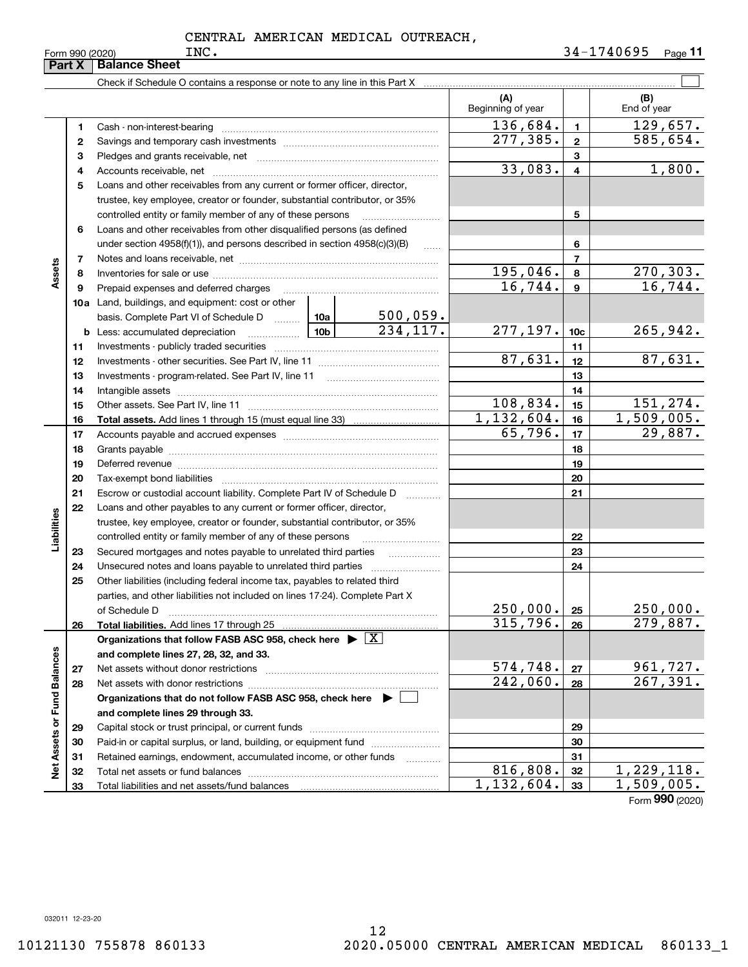|                             | Part X | <b>Balance Sheet</b>                                                                          |                 |                             |                          |                 |                             |
|-----------------------------|--------|-----------------------------------------------------------------------------------------------|-----------------|-----------------------------|--------------------------|-----------------|-----------------------------|
|                             |        |                                                                                               |                 |                             |                          |                 |                             |
|                             |        |                                                                                               |                 |                             | (A)<br>Beginning of year |                 | (B)<br>End of year          |
|                             | 1      |                                                                                               |                 |                             | 136,684.                 | 1               | 129,657.                    |
|                             | 2      |                                                                                               |                 |                             | $\overline{277,385}$ .   | $\mathbf{2}$    | 585,654.                    |
|                             | з      |                                                                                               |                 |                             |                          | 3               |                             |
|                             | 4      |                                                                                               |                 | 33,083.                     | $\overline{4}$           | 1,800.          |                             |
|                             | 5      | Loans and other receivables from any current or former officer, director,                     |                 |                             |                          |                 |                             |
|                             |        | trustee, key employee, creator or founder, substantial contributor, or 35%                    |                 |                             |                          |                 |                             |
|                             |        | controlled entity or family member of any of these persons                                    |                 |                             |                          | 5               |                             |
|                             | 6      | Loans and other receivables from other disqualified persons (as defined                       |                 |                             |                          |                 |                             |
|                             |        | under section $4958(f)(1)$ , and persons described in section $4958(c)(3)(B)$                 |                 |                             |                          | 6               |                             |
|                             | 7      |                                                                                               |                 |                             |                          | 7               |                             |
| Assets                      | 8      |                                                                                               |                 |                             | 195,046.                 | 8               | 270,303.                    |
|                             | 9      | Prepaid expenses and deferred charges                                                         |                 |                             | 16,744.                  | 9               | 16,744.                     |
|                             |        | <b>10a</b> Land, buildings, and equipment: cost or other                                      |                 |                             |                          |                 |                             |
|                             |        | basis. Complete Part VI of Schedule D  10a                                                    |                 | $\frac{500,059.}{234,117.}$ |                          |                 |                             |
|                             | b      | Less: accumulated depreciation                                                                | 10 <sub>b</sub> |                             | 277,197.                 | 10 <sub>c</sub> | 265,942.                    |
|                             | 11     |                                                                                               |                 |                             | 11                       |                 |                             |
|                             | 12     |                                                                                               |                 | 87,631.                     | 12                       | 87,631.         |                             |
|                             | 13     |                                                                                               |                 |                             |                          | 13              |                             |
|                             | 14     |                                                                                               |                 |                             |                          | 14              |                             |
|                             | 15     |                                                                                               |                 |                             | 108,834.                 | 15              | 151,274.                    |
|                             | 16     |                                                                                               |                 |                             | 1,132,604.               | 16              | 1,509,005.                  |
|                             | 17     |                                                                                               |                 |                             | 65,796.                  | 17              | 29,887.                     |
|                             | 18     |                                                                                               |                 |                             |                          | 18              |                             |
|                             | 19     |                                                                                               |                 |                             | 19                       |                 |                             |
|                             | 20     |                                                                                               |                 |                             |                          | 20              |                             |
|                             | 21     | Escrow or custodial account liability. Complete Part IV of Schedule D                         |                 | .                           |                          | 21              |                             |
|                             | 22     | Loans and other payables to any current or former officer, director,                          |                 |                             |                          |                 |                             |
|                             |        | trustee, key employee, creator or founder, substantial contributor, or 35%                    |                 |                             |                          |                 |                             |
| Liabilities                 |        | controlled entity or family member of any of these persons                                    |                 |                             |                          | 22              |                             |
|                             | 23     | Secured mortgages and notes payable to unrelated third parties                                |                 |                             |                          | 23              |                             |
|                             | 24     | Unsecured notes and loans payable to unrelated third parties                                  |                 |                             |                          | 24              |                             |
|                             | 25     | Other liabilities (including federal income tax, payables to related third                    |                 |                             |                          |                 |                             |
|                             |        | parties, and other liabilities not included on lines 17-24). Complete Part X<br>of Schedule D |                 |                             | 250,000.                 | 25              | 250,000.                    |
|                             | 26     | Total liabilities. Add lines 17 through 25                                                    |                 |                             | 315,796.                 | 26              | 279,887.                    |
|                             |        | Organizations that follow FASB ASC 958, check here $\blacktriangleright \boxed{X}$            |                 |                             |                          |                 |                             |
|                             |        | and complete lines 27, 28, 32, and 33.                                                        |                 |                             |                          |                 |                             |
|                             | 27     |                                                                                               |                 |                             | 574,748.                 | 27              |                             |
|                             | 28     |                                                                                               |                 |                             | 242,060.                 | 28              | $\frac{961,727.}{267,391.}$ |
|                             |        | Organizations that do not follow FASB ASC 958, check here $\blacktriangleright$               |                 |                             |                          |                 |                             |
|                             |        | and complete lines 29 through 33.                                                             |                 |                             |                          |                 |                             |
|                             | 29     |                                                                                               |                 |                             |                          | 29              |                             |
|                             | 30     | Paid-in or capital surplus, or land, building, or equipment fund                              |                 |                             |                          | 30              |                             |
|                             | 31     | Retained earnings, endowment, accumulated income, or other funds                              |                 | .                           |                          | 31              |                             |
| Net Assets or Fund Balances | 32     | Total net assets or fund balances                                                             |                 |                             | 816,808.                 | 32              | 1,229,118.                  |
|                             | 33     |                                                                                               |                 |                             | 1,132,604.               | 33              | 1,509,005.                  |
|                             |        |                                                                                               |                 |                             |                          |                 | $F_{\text{orm}}$ 990 (2020) |

Form (2020) **990**

032011 12-23-20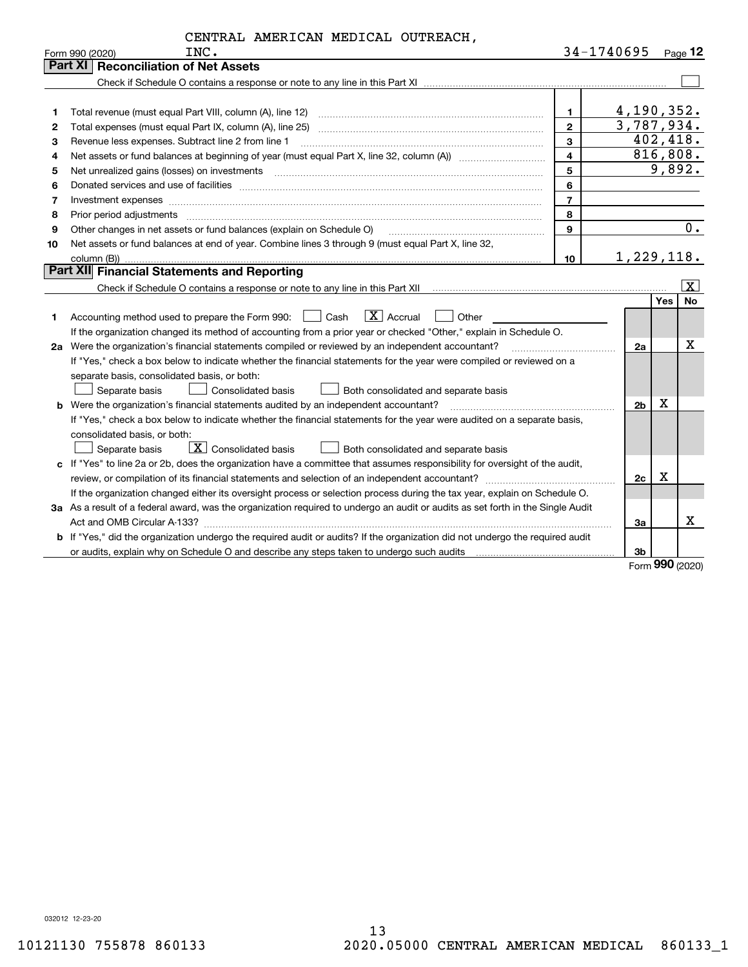|    | INC.<br>Form 990 (2020)                                                                                                              |                | 34-1740695     | Page $12$              |                    |  |
|----|--------------------------------------------------------------------------------------------------------------------------------------|----------------|----------------|------------------------|--------------------|--|
|    | Part XI<br><b>Reconciliation of Net Assets</b>                                                                                       |                |                |                        |                    |  |
|    |                                                                                                                                      |                |                |                        |                    |  |
|    |                                                                                                                                      |                |                |                        |                    |  |
| 1  |                                                                                                                                      | $\mathbf{1}$   | 4,190,352.     |                        |                    |  |
| 2  |                                                                                                                                      | $\overline{2}$ | 3,787,934.     |                        |                    |  |
| з  | Revenue less expenses. Subtract line 2 from line 1                                                                                   | $\mathbf{3}$   |                | 402, 418.<br>816, 808. |                    |  |
| 4  | $\overline{4}$<br>Net assets or fund balances at beginning of year (must equal Part X, line 32, column (A)) <i>manageredial</i>      |                |                |                        |                    |  |
| 5  |                                                                                                                                      | 5              |                | 9,892.                 |                    |  |
| 6  |                                                                                                                                      | 6              |                |                        |                    |  |
| 7  | Investment expenses www.communication.com/www.communication.com/www.communication.com/www.communication.com                          | $\overline{7}$ |                |                        |                    |  |
| 8  |                                                                                                                                      | 8              |                |                        |                    |  |
| 9  | Other changes in net assets or fund balances (explain on Schedule O)                                                                 | 9              |                |                        | $\overline{0}$ .   |  |
| 10 | Net assets or fund balances at end of year. Combine lines 3 through 9 (must equal Part X, line 32,                                   |                |                |                        |                    |  |
|    |                                                                                                                                      | 10             | 1,229,118.     |                        |                    |  |
|    | Part XII Financial Statements and Reporting                                                                                          |                |                |                        |                    |  |
|    |                                                                                                                                      |                |                |                        | $\boxed{\text{X}}$ |  |
|    |                                                                                                                                      |                |                | <b>Yes</b>             | <b>No</b>          |  |
| 1. | $\boxed{\mathbf{X}}$ Accrual<br>Accounting method used to prepare the Form 990: <u>I</u> Cash<br>Other                               |                |                |                        |                    |  |
|    | If the organization changed its method of accounting from a prior year or checked "Other," explain in Schedule O.                    |                |                |                        |                    |  |
|    | 2a Were the organization's financial statements compiled or reviewed by an independent accountant?                                   |                | 2a             |                        | X                  |  |
|    | If "Yes," check a box below to indicate whether the financial statements for the year were compiled or reviewed on a                 |                |                |                        |                    |  |
|    | separate basis, consolidated basis, or both:                                                                                         |                |                |                        |                    |  |
|    | Separate basis<br>Consolidated basis<br>Both consolidated and separate basis                                                         |                |                |                        |                    |  |
|    | <b>b</b> Were the organization's financial statements audited by an independent accountant?                                          |                | 2 <sub>b</sub> | X                      |                    |  |
|    | If "Yes," check a box below to indicate whether the financial statements for the year were audited on a separate basis,              |                |                |                        |                    |  |
|    | consolidated basis, or both:                                                                                                         |                |                |                        |                    |  |
|    | $\boxed{\textbf{X}}$ Consolidated basis<br>Separate basis<br>Both consolidated and separate basis                                    |                |                |                        |                    |  |
|    | c If "Yes" to line 2a or 2b, does the organization have a committee that assumes responsibility for oversight of the audit,          |                |                |                        |                    |  |
|    |                                                                                                                                      |                | 2c             | х                      |                    |  |
|    | If the organization changed either its oversight process or selection process during the tax year, explain on Schedule O.            |                |                |                        |                    |  |
|    | 3a As a result of a federal award, was the organization required to undergo an audit or audits as set forth in the Single Audit      |                |                |                        |                    |  |
|    |                                                                                                                                      |                | За             |                        | x                  |  |
|    | <b>b</b> If "Yes," did the organization undergo the required audit or audits? If the organization did not undergo the required audit |                |                |                        |                    |  |
|    |                                                                                                                                      |                | 3b             |                        |                    |  |

Form (2020) **990**

032012 12-23-20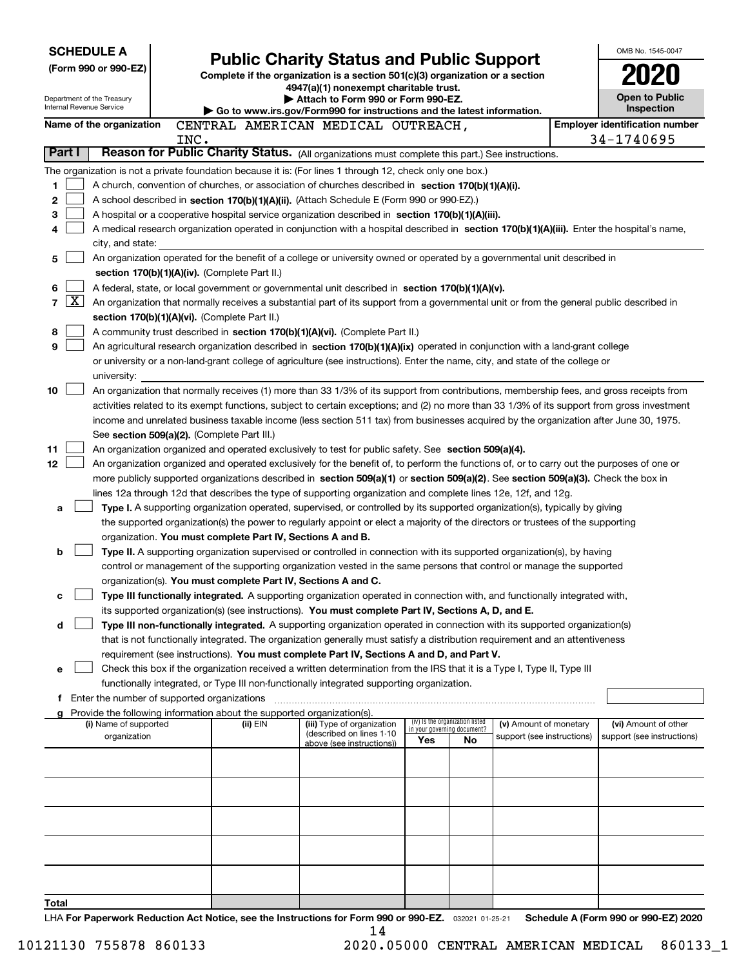| <b>SCHEDULE A</b>                                      |                                                                                                                                                                                                                                                      | <b>Public Charity Status and Public Support</b>                               |                                                                |     |                            |  |                                                     |  |  |  |
|--------------------------------------------------------|------------------------------------------------------------------------------------------------------------------------------------------------------------------------------------------------------------------------------------------------------|-------------------------------------------------------------------------------|----------------------------------------------------------------|-----|----------------------------|--|-----------------------------------------------------|--|--|--|
| (Form 990 or 990-EZ)                                   |                                                                                                                                                                                                                                                      | Complete if the organization is a section 501(c)(3) organization or a section |                                                                |     |                            |  |                                                     |  |  |  |
|                                                        |                                                                                                                                                                                                                                                      | 4947(a)(1) nonexempt charitable trust.                                        |                                                                |     |                            |  |                                                     |  |  |  |
| Department of the Treasury<br>Internal Revenue Service |                                                                                                                                                                                                                                                      | Attach to Form 990 or Form 990-EZ.                                            |                                                                |     |                            |  | <b>Open to Public</b>                               |  |  |  |
|                                                        |                                                                                                                                                                                                                                                      | ▶ Go to www.irs.gov/Form990 for instructions and the latest information.      |                                                                |     |                            |  | Inspection                                          |  |  |  |
| Name of the organization                               | CENTRAL AMERICAN MEDICAL OUTREACH,<br>INC.                                                                                                                                                                                                           |                                                                               |                                                                |     |                            |  | <b>Employer identification number</b><br>34-1740695 |  |  |  |
| Part I                                                 | Reason for Public Charity Status. (All organizations must complete this part.) See instructions.                                                                                                                                                     |                                                                               |                                                                |     |                            |  |                                                     |  |  |  |
|                                                        | The organization is not a private foundation because it is: (For lines 1 through 12, check only one box.)                                                                                                                                            |                                                                               |                                                                |     |                            |  |                                                     |  |  |  |
| 1                                                      | A church, convention of churches, or association of churches described in section 170(b)(1)(A)(i).                                                                                                                                                   |                                                                               |                                                                |     |                            |  |                                                     |  |  |  |
| 2                                                      | A school described in section 170(b)(1)(A)(ii). (Attach Schedule E (Form 990 or 990-EZ).)                                                                                                                                                            |                                                                               |                                                                |     |                            |  |                                                     |  |  |  |
| 3                                                      | A hospital or a cooperative hospital service organization described in section 170(b)(1)(A)(iii).                                                                                                                                                    |                                                                               |                                                                |     |                            |  |                                                     |  |  |  |
| 4                                                      | A medical research organization operated in conjunction with a hospital described in section 170(b)(1)(A)(iii). Enter the hospital's name,                                                                                                           |                                                                               |                                                                |     |                            |  |                                                     |  |  |  |
| city, and state:                                       |                                                                                                                                                                                                                                                      |                                                                               |                                                                |     |                            |  |                                                     |  |  |  |
| 5                                                      | An organization operated for the benefit of a college or university owned or operated by a governmental unit described in                                                                                                                            |                                                                               |                                                                |     |                            |  |                                                     |  |  |  |
|                                                        | section 170(b)(1)(A)(iv). (Complete Part II.)                                                                                                                                                                                                        |                                                                               |                                                                |     |                            |  |                                                     |  |  |  |
| 6                                                      | A federal, state, or local government or governmental unit described in section 170(b)(1)(A)(v).                                                                                                                                                     |                                                                               |                                                                |     |                            |  |                                                     |  |  |  |
| $\vert X \vert$<br>$\overline{7}$                      | An organization that normally receives a substantial part of its support from a governmental unit or from the general public described in                                                                                                            |                                                                               |                                                                |     |                            |  |                                                     |  |  |  |
| 8                                                      | section 170(b)(1)(A)(vi). (Complete Part II.)<br>A community trust described in section 170(b)(1)(A)(vi). (Complete Part II.)                                                                                                                        |                                                                               |                                                                |     |                            |  |                                                     |  |  |  |
| 9                                                      | An agricultural research organization described in section 170(b)(1)(A)(ix) operated in conjunction with a land-grant college                                                                                                                        |                                                                               |                                                                |     |                            |  |                                                     |  |  |  |
|                                                        | or university or a non-land-grant college of agriculture (see instructions). Enter the name, city, and state of the college or                                                                                                                       |                                                                               |                                                                |     |                            |  |                                                     |  |  |  |
| university:                                            |                                                                                                                                                                                                                                                      |                                                                               |                                                                |     |                            |  |                                                     |  |  |  |
| 10                                                     | An organization that normally receives (1) more than 33 1/3% of its support from contributions, membership fees, and gross receipts from                                                                                                             |                                                                               |                                                                |     |                            |  |                                                     |  |  |  |
|                                                        | activities related to its exempt functions, subject to certain exceptions; and (2) no more than 33 1/3% of its support from gross investment                                                                                                         |                                                                               |                                                                |     |                            |  |                                                     |  |  |  |
|                                                        | income and unrelated business taxable income (less section 511 tax) from businesses acquired by the organization after June 30, 1975.                                                                                                                |                                                                               |                                                                |     |                            |  |                                                     |  |  |  |
|                                                        | See section 509(a)(2). (Complete Part III.)                                                                                                                                                                                                          |                                                                               |                                                                |     |                            |  |                                                     |  |  |  |
| 11                                                     | An organization organized and operated exclusively to test for public safety. See section 509(a)(4).                                                                                                                                                 |                                                                               |                                                                |     |                            |  |                                                     |  |  |  |
| 12                                                     | An organization organized and operated exclusively for the benefit of, to perform the functions of, or to carry out the purposes of one or                                                                                                           |                                                                               |                                                                |     |                            |  |                                                     |  |  |  |
|                                                        | more publicly supported organizations described in section 509(a)(1) or section 509(a)(2). See section 509(a)(3). Check the box in<br>lines 12a through 12d that describes the type of supporting organization and complete lines 12e, 12f, and 12g. |                                                                               |                                                                |     |                            |  |                                                     |  |  |  |
| a                                                      | Type I. A supporting organization operated, supervised, or controlled by its supported organization(s), typically by giving                                                                                                                          |                                                                               |                                                                |     |                            |  |                                                     |  |  |  |
|                                                        | the supported organization(s) the power to regularly appoint or elect a majority of the directors or trustees of the supporting                                                                                                                      |                                                                               |                                                                |     |                            |  |                                                     |  |  |  |
|                                                        | organization. You must complete Part IV, Sections A and B.                                                                                                                                                                                           |                                                                               |                                                                |     |                            |  |                                                     |  |  |  |
| b                                                      | Type II. A supporting organization supervised or controlled in connection with its supported organization(s), by having                                                                                                                              |                                                                               |                                                                |     |                            |  |                                                     |  |  |  |
|                                                        | control or management of the supporting organization vested in the same persons that control or manage the supported                                                                                                                                 |                                                                               |                                                                |     |                            |  |                                                     |  |  |  |
|                                                        | organization(s). You must complete Part IV, Sections A and C.                                                                                                                                                                                        |                                                                               |                                                                |     |                            |  |                                                     |  |  |  |
| с                                                      | Type III functionally integrated. A supporting organization operated in connection with, and functionally integrated with,                                                                                                                           |                                                                               |                                                                |     |                            |  |                                                     |  |  |  |
|                                                        | its supported organization(s) (see instructions). You must complete Part IV, Sections A, D, and E.                                                                                                                                                   |                                                                               |                                                                |     |                            |  |                                                     |  |  |  |
| d                                                      | Type III non-functionally integrated. A supporting organization operated in connection with its supported organization(s)                                                                                                                            |                                                                               |                                                                |     |                            |  |                                                     |  |  |  |
|                                                        | that is not functionally integrated. The organization generally must satisfy a distribution requirement and an attentiveness<br>requirement (see instructions). You must complete Part IV, Sections A and D, and Part V.                             |                                                                               |                                                                |     |                            |  |                                                     |  |  |  |
| е                                                      | Check this box if the organization received a written determination from the IRS that it is a Type I, Type II, Type III                                                                                                                              |                                                                               |                                                                |     |                            |  |                                                     |  |  |  |
|                                                        | functionally integrated, or Type III non-functionally integrated supporting organization.                                                                                                                                                            |                                                                               |                                                                |     |                            |  |                                                     |  |  |  |
|                                                        | f Enter the number of supported organizations                                                                                                                                                                                                        |                                                                               |                                                                |     |                            |  |                                                     |  |  |  |
|                                                        | Provide the following information about the supported organization(s).                                                                                                                                                                               |                                                                               |                                                                |     |                            |  |                                                     |  |  |  |
| (i) Name of supported                                  | (ii) EIN                                                                                                                                                                                                                                             | (iii) Type of organization<br>(described on lines 1-10                        | (iv) Is the organization listed<br>in your governing document? |     | (v) Amount of monetary     |  | (vi) Amount of other                                |  |  |  |
| organization                                           |                                                                                                                                                                                                                                                      | above (see instructions))                                                     | Yes                                                            | No. | support (see instructions) |  | support (see instructions)                          |  |  |  |
|                                                        |                                                                                                                                                                                                                                                      |                                                                               |                                                                |     |                            |  |                                                     |  |  |  |
|                                                        |                                                                                                                                                                                                                                                      |                                                                               |                                                                |     |                            |  |                                                     |  |  |  |
|                                                        |                                                                                                                                                                                                                                                      |                                                                               |                                                                |     |                            |  |                                                     |  |  |  |
|                                                        |                                                                                                                                                                                                                                                      |                                                                               |                                                                |     |                            |  |                                                     |  |  |  |
|                                                        |                                                                                                                                                                                                                                                      |                                                                               |                                                                |     |                            |  |                                                     |  |  |  |
|                                                        |                                                                                                                                                                                                                                                      |                                                                               |                                                                |     |                            |  |                                                     |  |  |  |
|                                                        |                                                                                                                                                                                                                                                      |                                                                               |                                                                |     |                            |  |                                                     |  |  |  |
|                                                        |                                                                                                                                                                                                                                                      |                                                                               |                                                                |     |                            |  |                                                     |  |  |  |
|                                                        |                                                                                                                                                                                                                                                      |                                                                               |                                                                |     |                            |  |                                                     |  |  |  |
| Total                                                  | LHA For Paperwork Reduction Act Notice, see the Instructions for Form 990 or 990-EZ. 032021 01-25-21                                                                                                                                                 |                                                                               |                                                                |     |                            |  | Schedule A (Form 990 or 990-EZ) 2020                |  |  |  |
|                                                        |                                                                                                                                                                                                                                                      |                                                                               |                                                                |     |                            |  |                                                     |  |  |  |

14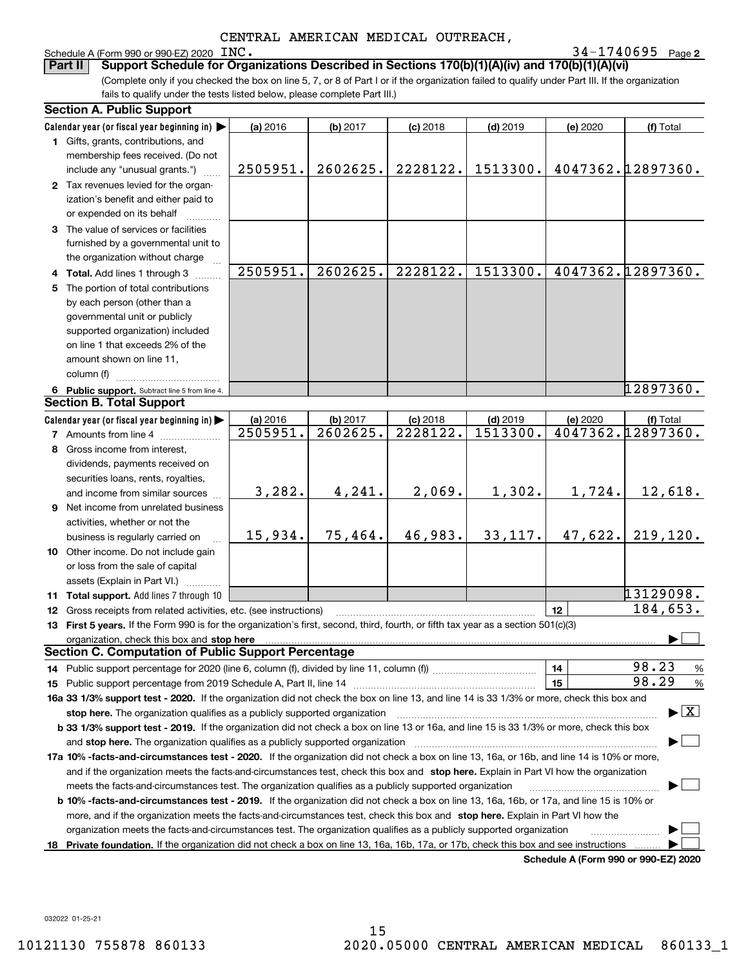| Schedule A (Form 990 or 990-EZ) 2020 $\text{INC.}$ |  | 34-1740695 | Page |
|----------------------------------------------------|--|------------|------|
|----------------------------------------------------|--|------------|------|

**2**INC. 34-1740695

(Complete only if you checked the box on line 5, 7, or 8 of Part I or if the organization failed to qualify under Part III. If the organization fails to qualify under the tests listed below, please complete Part III.) **Part II Support Schedule for Organizations Described in Sections 170(b)(1)(A)(iv) and 170(b)(1)(A)(vi)**

| <b>Section A. Public Support</b>                                                                                                                                                                                               |          |          |            |            |          |                                          |
|--------------------------------------------------------------------------------------------------------------------------------------------------------------------------------------------------------------------------------|----------|----------|------------|------------|----------|------------------------------------------|
| Calendar year (or fiscal year beginning in)                                                                                                                                                                                    | (a) 2016 | (b) 2017 | $(c)$ 2018 | $(d)$ 2019 | (e) 2020 | (f) Total                                |
| 1 Gifts, grants, contributions, and                                                                                                                                                                                            |          |          |            |            |          |                                          |
| membership fees received. (Do not                                                                                                                                                                                              |          |          |            |            |          |                                          |
| include any "unusual grants.")                                                                                                                                                                                                 | 2505951. | 2602625. | 2228122.   | 1513300.   |          | 4047362.12897360.                        |
| 2 Tax revenues levied for the organ-                                                                                                                                                                                           |          |          |            |            |          |                                          |
| ization's benefit and either paid to                                                                                                                                                                                           |          |          |            |            |          |                                          |
| or expended on its behalf                                                                                                                                                                                                      |          |          |            |            |          |                                          |
| 3 The value of services or facilities                                                                                                                                                                                          |          |          |            |            |          |                                          |
| furnished by a governmental unit to                                                                                                                                                                                            |          |          |            |            |          |                                          |
| the organization without charge                                                                                                                                                                                                |          |          |            |            |          |                                          |
| 4 Total. Add lines 1 through 3                                                                                                                                                                                                 | 2505951. | 2602625. | 2228122.   | 1513300.   |          | 4047362.12897360.                        |
| 5 The portion of total contributions                                                                                                                                                                                           |          |          |            |            |          |                                          |
| by each person (other than a                                                                                                                                                                                                   |          |          |            |            |          |                                          |
| governmental unit or publicly                                                                                                                                                                                                  |          |          |            |            |          |                                          |
| supported organization) included                                                                                                                                                                                               |          |          |            |            |          |                                          |
| on line 1 that exceeds 2% of the                                                                                                                                                                                               |          |          |            |            |          |                                          |
| amount shown on line 11,                                                                                                                                                                                                       |          |          |            |            |          |                                          |
| column (f)                                                                                                                                                                                                                     |          |          |            |            |          |                                          |
| 6 Public support. Subtract line 5 from line 4.                                                                                                                                                                                 |          |          |            |            |          | 12897360.                                |
| <b>Section B. Total Support</b>                                                                                                                                                                                                |          |          |            |            |          |                                          |
| Calendar year (or fiscal year beginning in)                                                                                                                                                                                    | (a) 2016 | (b) 2017 | $(c)$ 2018 | $(d)$ 2019 | (e) 2020 | (f) Total                                |
| <b>7</b> Amounts from line 4                                                                                                                                                                                                   | 2505951. | 2602625. | 2228122.   | 1513300.   |          | 4047362.12897360.                        |
| 8 Gross income from interest,                                                                                                                                                                                                  |          |          |            |            |          |                                          |
| dividends, payments received on                                                                                                                                                                                                |          |          |            |            |          |                                          |
| securities loans, rents, royalties,                                                                                                                                                                                            |          |          |            |            |          |                                          |
| and income from similar sources                                                                                                                                                                                                | 3,282.   | 4,241.   | 2,069.     | 1,302.     | 1,724.   | 12,618.                                  |
| 9 Net income from unrelated business                                                                                                                                                                                           |          |          |            |            |          |                                          |
| activities, whether or not the                                                                                                                                                                                                 |          |          |            |            |          |                                          |
| business is regularly carried on                                                                                                                                                                                               | 15,934.  | 75,464.  | 46,983.    | 33,117.    | 47,622.  | 219, 120.                                |
| 10 Other income. Do not include gain                                                                                                                                                                                           |          |          |            |            |          |                                          |
| or loss from the sale of capital                                                                                                                                                                                               |          |          |            |            |          |                                          |
| assets (Explain in Part VI.)                                                                                                                                                                                                   |          |          |            |            |          |                                          |
| 11 Total support. Add lines 7 through 10                                                                                                                                                                                       |          |          |            |            |          | 13129098.                                |
| 12 Gross receipts from related activities, etc. (see instructions)                                                                                                                                                             |          |          |            |            | 12       | 184,653.                                 |
| 13 First 5 years. If the Form 990 is for the organization's first, second, third, fourth, or fifth tax year as a section 501(c)(3)                                                                                             |          |          |            |            |          |                                          |
| organization, check this box and stop here manufactured and stop here and stop here are all the control of the state of the state of the control of the state of the state of the state of the state of the state of the state |          |          |            |            |          |                                          |
| <b>Section C. Computation of Public Support Percentage</b>                                                                                                                                                                     |          |          |            |            |          |                                          |
| 14 Public support percentage for 2020 (line 6, column (f), divided by line 11, column (f) <i>mummumumum</i>                                                                                                                    |          |          |            |            | 14       | 98.23<br>%                               |
|                                                                                                                                                                                                                                |          |          |            |            | 15       | 98.29<br>%                               |
| 16a 33 1/3% support test - 2020. If the organization did not check the box on line 13, and line 14 is 33 1/3% or more, check this box and                                                                                      |          |          |            |            |          |                                          |
| stop here. The organization qualifies as a publicly supported organization                                                                                                                                                     |          |          |            |            |          | $\blacktriangleright$ $\boxed{\text{X}}$ |
| b 33 1/3% support test - 2019. If the organization did not check a box on line 13 or 16a, and line 15 is 33 1/3% or more, check this box                                                                                       |          |          |            |            |          |                                          |
| and stop here. The organization qualifies as a publicly supported organization                                                                                                                                                 |          |          |            |            |          |                                          |
| 17a 10% -facts-and-circumstances test - 2020. If the organization did not check a box on line 13, 16a, or 16b, and line 14 is 10% or more,                                                                                     |          |          |            |            |          |                                          |
| and if the organization meets the facts-and-circumstances test, check this box and stop here. Explain in Part VI how the organization                                                                                          |          |          |            |            |          |                                          |
| meets the facts-and-circumstances test. The organization qualifies as a publicly supported organization                                                                                                                        |          |          |            |            |          |                                          |
| <b>b 10% -facts-and-circumstances test - 2019.</b> If the organization did not check a box on line 13, 16a, 16b, or 17a, and line 15 is 10% or                                                                                 |          |          |            |            |          |                                          |
| more, and if the organization meets the facts-and-circumstances test, check this box and stop here. Explain in Part VI how the                                                                                                 |          |          |            |            |          |                                          |
| organization meets the facts-and-circumstances test. The organization qualifies as a publicly supported organization                                                                                                           |          |          |            |            |          |                                          |
| 18 Private foundation. If the organization did not check a box on line 13, 16a, 16b, 17a, or 17b, check this box and see instructions                                                                                          |          |          |            |            |          |                                          |
|                                                                                                                                                                                                                                |          |          |            |            |          | Schodule A (Form 000 or 000 F7) 2020     |

**Schedule A (Form 990 or 990-EZ) 2020**

032022 01-25-21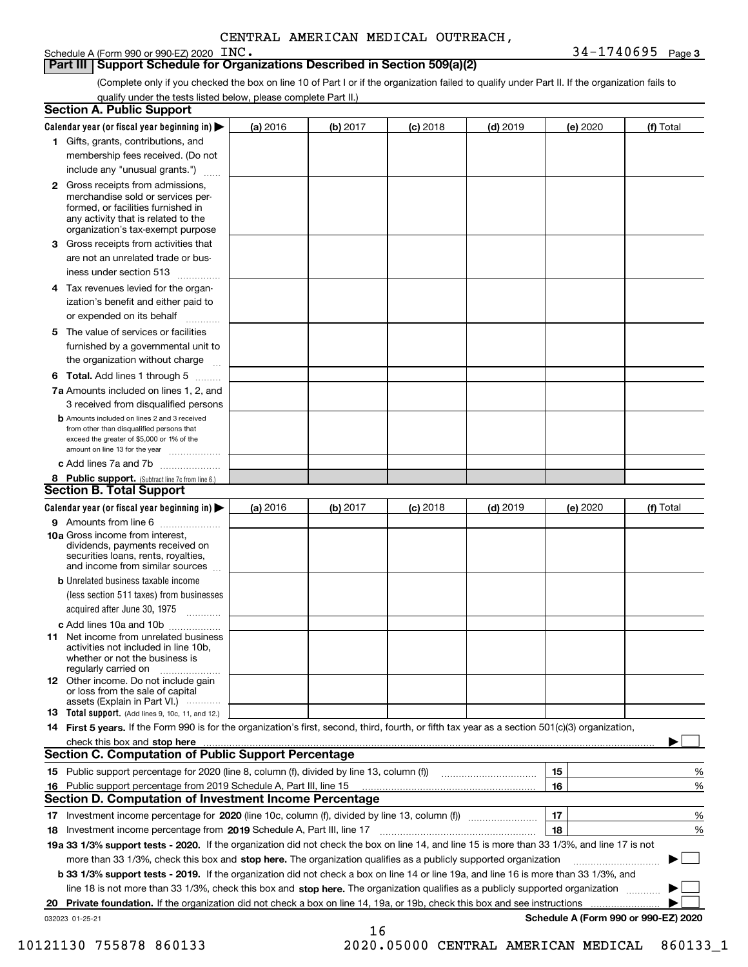Schedule A (Form 990 or 990-EZ) 2020 INC.

#### **Part III Support Schedule for Organizations Described in Section 509(a)(2)**

(Complete only if you checked the box on line 10 of Part I or if the organization failed to qualify under Part II. If the organization fails to qualify under the tests listed below, please complete Part II.)

| <b>Section A. Public Support</b>                                                                                                                                                                                               |          |          |            |            |          |                                      |
|--------------------------------------------------------------------------------------------------------------------------------------------------------------------------------------------------------------------------------|----------|----------|------------|------------|----------|--------------------------------------|
| Calendar year (or fiscal year beginning in) $\blacktriangleright$                                                                                                                                                              | (a) 2016 | (b) 2017 | $(c)$ 2018 | $(d)$ 2019 | (e) 2020 | (f) Total                            |
| 1 Gifts, grants, contributions, and                                                                                                                                                                                            |          |          |            |            |          |                                      |
| membership fees received. (Do not                                                                                                                                                                                              |          |          |            |            |          |                                      |
| include any "unusual grants.")                                                                                                                                                                                                 |          |          |            |            |          |                                      |
| <b>2</b> Gross receipts from admissions,<br>merchandise sold or services per-<br>formed, or facilities furnished in<br>any activity that is related to the<br>organization's tax-exempt purpose                                |          |          |            |            |          |                                      |
| 3 Gross receipts from activities that<br>are not an unrelated trade or bus-                                                                                                                                                    |          |          |            |            |          |                                      |
| iness under section 513                                                                                                                                                                                                        |          |          |            |            |          |                                      |
| 4 Tax revenues levied for the organ-<br>ization's benefit and either paid to<br>or expended on its behalf                                                                                                                      |          |          |            |            |          |                                      |
| 5 The value of services or facilities<br>furnished by a governmental unit to                                                                                                                                                   |          |          |            |            |          |                                      |
| the organization without charge                                                                                                                                                                                                |          |          |            |            |          |                                      |
| <b>6 Total.</b> Add lines 1 through 5                                                                                                                                                                                          |          |          |            |            |          |                                      |
| 7a Amounts included on lines 1, 2, and<br>3 received from disqualified persons                                                                                                                                                 |          |          |            |            |          |                                      |
| <b>b</b> Amounts included on lines 2 and 3 received<br>from other than disqualified persons that<br>exceed the greater of \$5,000 or 1% of the<br>amount on line 13 for the year                                               |          |          |            |            |          |                                      |
| c Add lines 7a and 7b                                                                                                                                                                                                          |          |          |            |            |          |                                      |
| 8 Public support. (Subtract line 7c from line 6.)<br><b>Section B. Total Support</b>                                                                                                                                           |          |          |            |            |          |                                      |
| Calendar year (or fiscal year beginning in)                                                                                                                                                                                    | (a) 2016 | (b) 2017 | $(c)$ 2018 | $(d)$ 2019 | (e) 2020 | (f) Total                            |
| 9 Amounts from line 6                                                                                                                                                                                                          |          |          |            |            |          |                                      |
| 10a Gross income from interest,<br>dividends, payments received on<br>securities loans, rents, royalties,<br>and income from similar sources                                                                                   |          |          |            |            |          |                                      |
| <b>b</b> Unrelated business taxable income<br>(less section 511 taxes) from businesses<br>acquired after June 30, 1975                                                                                                         |          |          |            |            |          |                                      |
| c Add lines 10a and 10b                                                                                                                                                                                                        |          |          |            |            |          |                                      |
| <b>11</b> Net income from unrelated business<br>activities not included in line 10b,<br>whether or not the business is<br>regularly carried on                                                                                 |          |          |            |            |          |                                      |
| <b>12</b> Other income. Do not include gain<br>or loss from the sale of capital<br>assets (Explain in Part VI.)                                                                                                                |          |          |            |            |          |                                      |
| <b>13 Total support.</b> (Add lines 9, 10c, 11, and 12.)                                                                                                                                                                       |          |          |            |            |          |                                      |
| 14 First 5 years. If the Form 990 is for the organization's first, second, third, fourth, or fifth tax year as a section 501(c)(3) organization,                                                                               |          |          |            |            |          |                                      |
| check this box and stop here manufactured and content to the state of the state of the state of the state of the state of the state of the state of the state of the state of the state of the state of the state of the state |          |          |            |            |          |                                      |
| <b>Section C. Computation of Public Support Percentage</b>                                                                                                                                                                     |          |          |            |            |          |                                      |
|                                                                                                                                                                                                                                |          |          |            |            | 15       | %                                    |
| 16 Public support percentage from 2019 Schedule A, Part III, line 15                                                                                                                                                           |          |          |            |            | 16       | %                                    |
| <b>Section D. Computation of Investment Income Percentage</b>                                                                                                                                                                  |          |          |            |            |          |                                      |
| 17 Investment income percentage for 2020 (line 10c, column (f), divided by line 13, column (f))<br>18 Investment income percentage from 2019 Schedule A, Part III, line 17                                                     |          |          |            |            | 17<br>18 | %<br>%                               |
| 19a 33 1/3% support tests - 2020. If the organization did not check the box on line 14, and line 15 is more than 33 1/3%, and line 17 is not                                                                                   |          |          |            |            |          |                                      |
| more than 33 1/3%, check this box and stop here. The organization qualifies as a publicly supported organization                                                                                                               |          |          |            |            |          |                                      |
| b 33 1/3% support tests - 2019. If the organization did not check a box on line 14 or line 19a, and line 16 is more than 33 1/3%, and                                                                                          |          |          |            |            |          |                                      |
| line 18 is not more than 33 1/3%, check this box and stop here. The organization qualifies as a publicly supported organization                                                                                                |          |          |            |            |          |                                      |
| 20 Private foundation. If the organization did not check a box on line 14, 19a, or 19b, check this box and see instructions                                                                                                    |          |          |            |            |          |                                      |
| 032023 01-25-21                                                                                                                                                                                                                |          |          |            |            |          | Schedule A (Form 990 or 990-EZ) 2020 |
|                                                                                                                                                                                                                                |          | 16       |            |            |          |                                      |

10121130 755878 860133 2020.05000 CENTRAL AMERICAN MEDICAL 860133\_1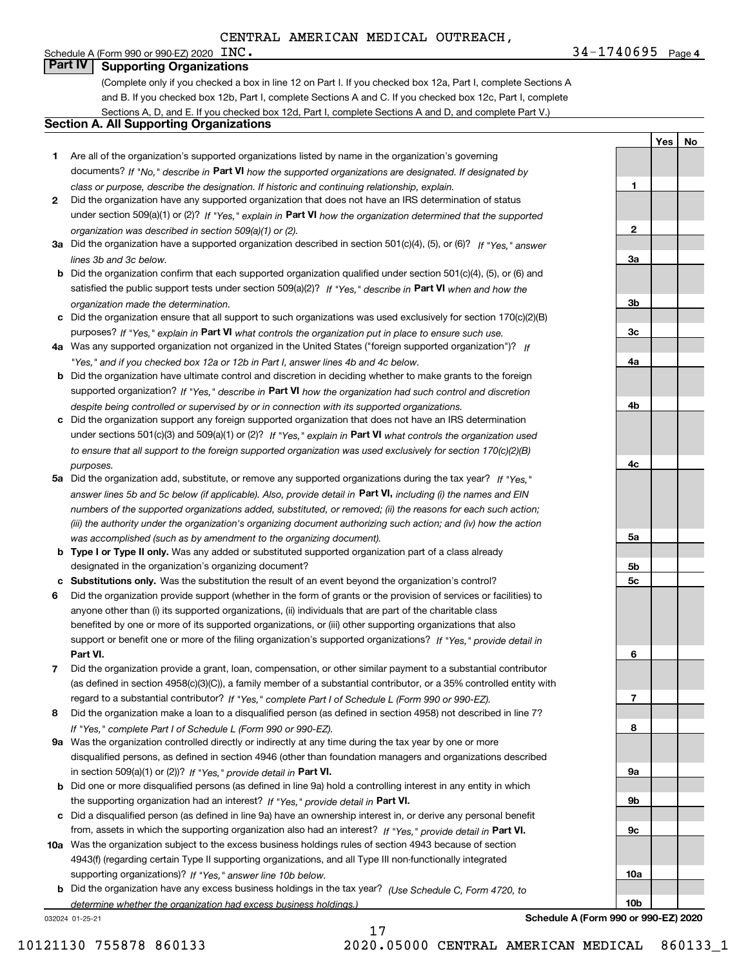**1**

**2**

**3a**

**3b**

**3c**

**4a**

**4b**

**4c**

**5a**

**5b5c**

**6**

**7**

**8**

**9a**

**9b**

**9c**

**10a**

**10b**

**YesNo**

### **Part IV Supporting Organizations**

(Complete only if you checked a box in line 12 on Part I. If you checked box 12a, Part I, complete Sections A and B. If you checked box 12b, Part I, complete Sections A and C. If you checked box 12c, Part I, complete Sections A, D, and E. If you checked box 12d, Part I, complete Sections A and D, and complete Part V.)

#### **Section A. All Supporting Organizations**

- **1** Are all of the organization's supported organizations listed by name in the organization's governing documents? If "No," describe in **Part VI** how the supported organizations are designated. If designated by *class or purpose, describe the designation. If historic and continuing relationship, explain.*
- **2** Did the organization have any supported organization that does not have an IRS determination of status under section 509(a)(1) or (2)? If "Yes," explain in Part VI how the organization determined that the supported *organization was described in section 509(a)(1) or (2).*
- **3a** Did the organization have a supported organization described in section 501(c)(4), (5), or (6)? If "Yes," answer *lines 3b and 3c below.*
- **b** Did the organization confirm that each supported organization qualified under section 501(c)(4), (5), or (6) and satisfied the public support tests under section 509(a)(2)? If "Yes," describe in **Part VI** when and how the *organization made the determination.*
- **c**Did the organization ensure that all support to such organizations was used exclusively for section 170(c)(2)(B) purposes? If "Yes," explain in **Part VI** what controls the organization put in place to ensure such use.
- **4a***If* Was any supported organization not organized in the United States ("foreign supported organization")? *"Yes," and if you checked box 12a or 12b in Part I, answer lines 4b and 4c below.*
- **b** Did the organization have ultimate control and discretion in deciding whether to make grants to the foreign supported organization? If "Yes," describe in **Part VI** how the organization had such control and discretion *despite being controlled or supervised by or in connection with its supported organizations.*
- **c** Did the organization support any foreign supported organization that does not have an IRS determination under sections 501(c)(3) and 509(a)(1) or (2)? If "Yes," explain in **Part VI** what controls the organization used *to ensure that all support to the foreign supported organization was used exclusively for section 170(c)(2)(B) purposes.*
- **5a** Did the organization add, substitute, or remove any supported organizations during the tax year? If "Yes," answer lines 5b and 5c below (if applicable). Also, provide detail in **Part VI,** including (i) the names and EIN *numbers of the supported organizations added, substituted, or removed; (ii) the reasons for each such action; (iii) the authority under the organization's organizing document authorizing such action; and (iv) how the action was accomplished (such as by amendment to the organizing document).*
- **b** Type I or Type II only. Was any added or substituted supported organization part of a class already designated in the organization's organizing document?
- **cSubstitutions only.**  Was the substitution the result of an event beyond the organization's control?
- **6** Did the organization provide support (whether in the form of grants or the provision of services or facilities) to **Part VI.** *If "Yes," provide detail in* support or benefit one or more of the filing organization's supported organizations? anyone other than (i) its supported organizations, (ii) individuals that are part of the charitable class benefited by one or more of its supported organizations, or (iii) other supporting organizations that also
- **7**Did the organization provide a grant, loan, compensation, or other similar payment to a substantial contributor *If "Yes," complete Part I of Schedule L (Form 990 or 990-EZ).* regard to a substantial contributor? (as defined in section 4958(c)(3)(C)), a family member of a substantial contributor, or a 35% controlled entity with
- **8** Did the organization make a loan to a disqualified person (as defined in section 4958) not described in line 7? *If "Yes," complete Part I of Schedule L (Form 990 or 990-EZ).*
- **9a** Was the organization controlled directly or indirectly at any time during the tax year by one or more in section 509(a)(1) or (2))? If "Yes," *provide detail in* <code>Part VI.</code> disqualified persons, as defined in section 4946 (other than foundation managers and organizations described
- **b** Did one or more disqualified persons (as defined in line 9a) hold a controlling interest in any entity in which the supporting organization had an interest? If "Yes," provide detail in P**art VI**.
- **c**Did a disqualified person (as defined in line 9a) have an ownership interest in, or derive any personal benefit from, assets in which the supporting organization also had an interest? If "Yes," provide detail in P**art VI.**
- **10a** Was the organization subject to the excess business holdings rules of section 4943 because of section supporting organizations)? If "Yes," answer line 10b below. 4943(f) (regarding certain Type II supporting organizations, and all Type III non-functionally integrated
- **b** Did the organization have any excess business holdings in the tax year? (Use Schedule C, Form 4720, to *determine whether the organization had excess business holdings.)*

17

032024 01-25-21

**Schedule A (Form 990 or 990-EZ) 2020**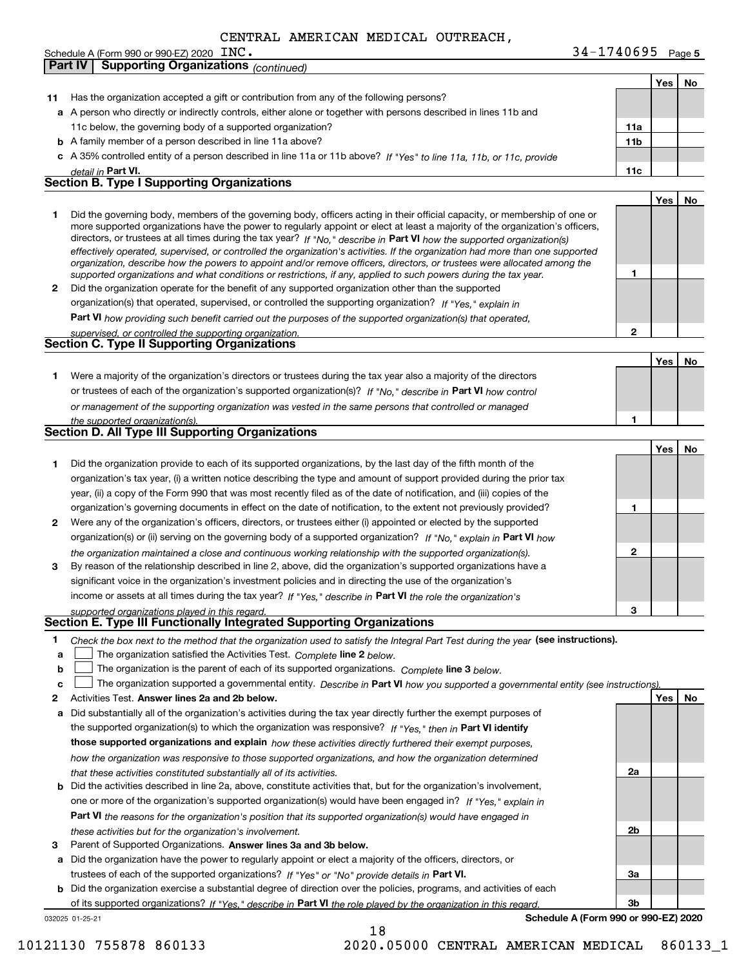| Schedule A (Form 990 or 990-EZ) 2020 INC.                   | !740695<br>ጻ 4 – | Page 5 |
|-------------------------------------------------------------|------------------|--------|
| <b>Part IV</b><br>Supporting Organizations $_{(continued)}$ |                  |        |

|              |                                                                                                                                                                                                                                              |                 | Yes | No |
|--------------|----------------------------------------------------------------------------------------------------------------------------------------------------------------------------------------------------------------------------------------------|-----------------|-----|----|
|              | 11 Has the organization accepted a gift or contribution from any of the following persons?                                                                                                                                                   |                 |     |    |
|              | a A person who directly or indirectly controls, either alone or together with persons described in lines 11b and                                                                                                                             |                 |     |    |
|              | 11c below, the governing body of a supported organization?                                                                                                                                                                                   | 11a             |     |    |
|              | <b>b</b> A family member of a person described in line 11a above?                                                                                                                                                                            | 11 <sub>b</sub> |     |    |
|              | c A 35% controlled entity of a person described in line 11a or 11b above? If "Yes" to line 11a, 11b, or 11c, provide                                                                                                                         |                 |     |    |
|              | detail in Part VI.                                                                                                                                                                                                                           | 11c             |     |    |
|              | Section B. Type I Supporting Organizations                                                                                                                                                                                                   |                 |     |    |
|              |                                                                                                                                                                                                                                              |                 | Yes | No |
| 1.           | Did the governing body, members of the governing body, officers acting in their official capacity, or membership of one or                                                                                                                   |                 |     |    |
|              | more supported organizations have the power to regularly appoint or elect at least a majority of the organization's officers,                                                                                                                |                 |     |    |
|              | directors, or trustees at all times during the tax year? If "No," describe in Part VI how the supported organization(s)                                                                                                                      |                 |     |    |
|              | effectively operated, supervised, or controlled the organization's activities. If the organization had more than one supported                                                                                                               |                 |     |    |
|              | organization, describe how the powers to appoint and/or remove officers, directors, or trustees were allocated among the<br>supported organizations and what conditions or restrictions, if any, applied to such powers during the tax year. | 1               |     |    |
| $\mathbf{2}$ | Did the organization operate for the benefit of any supported organization other than the supported                                                                                                                                          |                 |     |    |
|              | organization(s) that operated, supervised, or controlled the supporting organization? If "Yes," explain in                                                                                                                                   |                 |     |    |
|              | Part VI how providing such benefit carried out the purposes of the supported organization(s) that operated,                                                                                                                                  |                 |     |    |
|              | supervised, or controlled the supporting organization.                                                                                                                                                                                       | $\mathbf{2}$    |     |    |
|              | <b>Section C. Type II Supporting Organizations</b>                                                                                                                                                                                           |                 |     |    |
|              |                                                                                                                                                                                                                                              |                 | Yes | No |
| 1.           | Were a majority of the organization's directors or trustees during the tax year also a majority of the directors                                                                                                                             |                 |     |    |
|              | or trustees of each of the organization's supported organization(s)? If "No," describe in Part VI how control                                                                                                                                |                 |     |    |
|              | or management of the supporting organization was vested in the same persons that controlled or managed                                                                                                                                       |                 |     |    |
|              | the supported organization(s).                                                                                                                                                                                                               | 1               |     |    |
|              | <b>Section D. All Type III Supporting Organizations</b>                                                                                                                                                                                      |                 |     |    |
|              |                                                                                                                                                                                                                                              |                 | Yes | No |
| 1            | Did the organization provide to each of its supported organizations, by the last day of the fifth month of the                                                                                                                               |                 |     |    |
|              | organization's tax year, (i) a written notice describing the type and amount of support provided during the prior tax                                                                                                                        |                 |     |    |
|              | year, (ii) a copy of the Form 990 that was most recently filed as of the date of notification, and (iii) copies of the                                                                                                                       |                 |     |    |
|              | organization's governing documents in effect on the date of notification, to the extent not previously provided?                                                                                                                             | 1               |     |    |
| 2            | Were any of the organization's officers, directors, or trustees either (i) appointed or elected by the supported                                                                                                                             |                 |     |    |
|              | organization(s) or (ii) serving on the governing body of a supported organization? If "No," explain in Part VI how                                                                                                                           |                 |     |    |
|              | the organization maintained a close and continuous working relationship with the supported organization(s).                                                                                                                                  | $\mathbf{2}$    |     |    |
| 3            | By reason of the relationship described in line 2, above, did the organization's supported organizations have a                                                                                                                              |                 |     |    |
|              | significant voice in the organization's investment policies and in directing the use of the organization's                                                                                                                                   |                 |     |    |
|              | income or assets at all times during the tax year? If "Yes," describe in Part VI the role the organization's                                                                                                                                 |                 |     |    |
|              | supported organizations played in this regard.                                                                                                                                                                                               | з               |     |    |
|              | Section E. Type III Functionally Integrated Supporting Organizations                                                                                                                                                                         |                 |     |    |
| 1            | Check the box next to the method that the organization used to satisfy the Integral Part Test during the year (see instructions).                                                                                                            |                 |     |    |
| a            | The organization satisfied the Activities Test. Complete line 2 below.                                                                                                                                                                       |                 |     |    |
| b            | The organization is the parent of each of its supported organizations. Complete line 3 below.                                                                                                                                                |                 |     |    |
| c            | The organization supported a governmental entity. Describe in Part VI how you supported a governmental entity (see instructions)                                                                                                             |                 |     |    |
| 2            | Activities Test. Answer lines 2a and 2b below.                                                                                                                                                                                               |                 | Yes | No |
| а            | Did substantially all of the organization's activities during the tax year directly further the exempt purposes of                                                                                                                           |                 |     |    |
|              | the supported organization(s) to which the organization was responsive? If "Yes," then in Part VI identify                                                                                                                                   |                 |     |    |
|              | those supported organizations and explain how these activities directly furthered their exempt purposes,                                                                                                                                     |                 |     |    |
|              | how the organization was responsive to those supported organizations, and how the organization determined                                                                                                                                    |                 |     |    |
|              | that these activities constituted substantially all of its activities.                                                                                                                                                                       | 2a              |     |    |
|              | <b>b</b> Did the activities described in line 2a, above, constitute activities that, but for the organization's involvement,                                                                                                                 |                 |     |    |
|              | one or more of the organization's supported organization(s) would have been engaged in? If "Yes," explain in                                                                                                                                 |                 |     |    |
|              | <b>Part VI</b> the reasons for the organization's position that its supported organization(s) would have engaged in                                                                                                                          |                 |     |    |
|              | these activities but for the organization's involvement.                                                                                                                                                                                     | 2b              |     |    |
| з            | Parent of Supported Organizations. Answer lines 3a and 3b below.                                                                                                                                                                             |                 |     |    |
|              | a Did the organization have the power to regularly appoint or elect a majority of the officers, directors, or                                                                                                                                |                 |     |    |
|              | trustees of each of the supported organizations? If "Yes" or "No" provide details in Part VI.                                                                                                                                                | За              |     |    |
|              | <b>b</b> Did the organization exercise a substantial degree of direction over the policies, programs, and activities of each                                                                                                                 |                 |     |    |
|              | of its supported organizations? If "Yes." describe in Part VI the role played by the organization in this regard.                                                                                                                            | 3b              |     |    |
|              | Schedule A (Form 990 or 990-EZ) 2020<br>032025 01-25-21                                                                                                                                                                                      |                 |     |    |

18

10121130 755878 860133 2020.05000 CENTRAL AMERICAN MEDICAL 860133\_1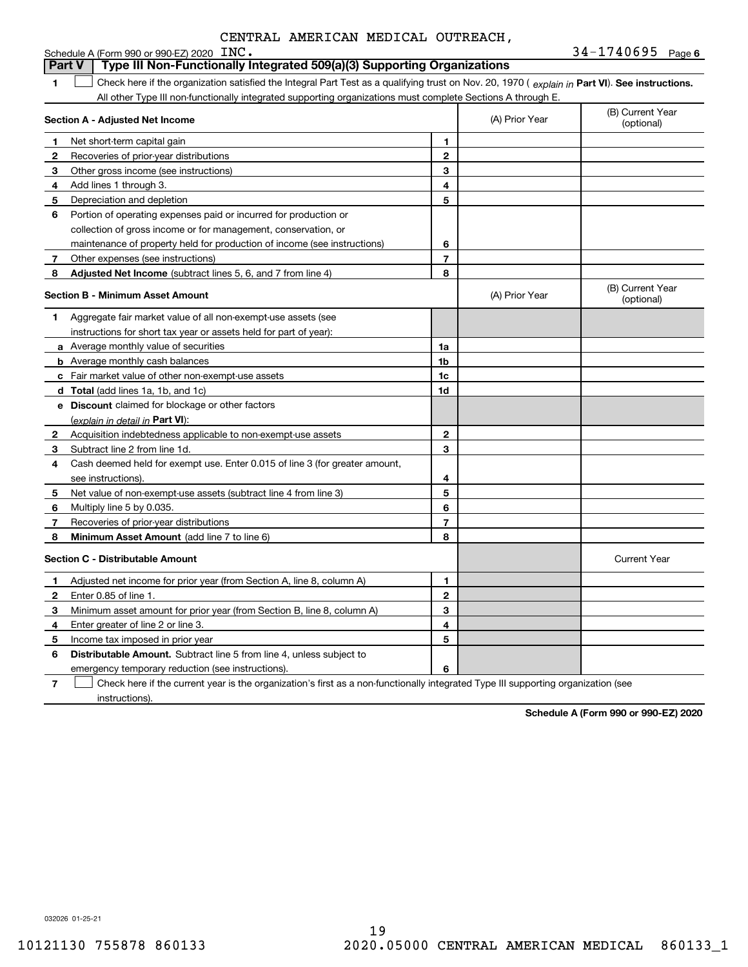|   | Schedule A (Form 990 or 990-EZ) 2020 INC.                                                                                                      |                |                | $34 - 1740695$ Page 6          |
|---|------------------------------------------------------------------------------------------------------------------------------------------------|----------------|----------------|--------------------------------|
|   | Type III Non-Functionally Integrated 509(a)(3) Supporting Organizations<br><b>Part V</b>                                                       |                |                |                                |
| 1 | Check here if the organization satisfied the Integral Part Test as a qualifying trust on Nov. 20, 1970 (explain in Part VI). See instructions. |                |                |                                |
|   | All other Type III non-functionally integrated supporting organizations must complete Sections A through E.                                    |                |                |                                |
|   | Section A - Adjusted Net Income                                                                                                                |                | (A) Prior Year | (B) Current Year<br>(optional) |
| 1 | Net short-term capital gain                                                                                                                    | 1              |                |                                |
| 2 | Recoveries of prior-year distributions                                                                                                         | $\mathbf{2}$   |                |                                |
| З | Other gross income (see instructions)                                                                                                          | 3              |                |                                |
| 4 | Add lines 1 through 3.                                                                                                                         | 4              |                |                                |
| 5 | Depreciation and depletion                                                                                                                     | 5              |                |                                |
| 6 | Portion of operating expenses paid or incurred for production or                                                                               |                |                |                                |
|   | collection of gross income or for management, conservation, or                                                                                 |                |                |                                |
|   | maintenance of property held for production of income (see instructions)                                                                       | 6              |                |                                |
| 7 | Other expenses (see instructions)                                                                                                              | $\overline{7}$ |                |                                |
| 8 | Adjusted Net Income (subtract lines 5, 6, and 7 from line 4)                                                                                   | 8              |                |                                |
|   | <b>Section B - Minimum Asset Amount</b>                                                                                                        |                | (A) Prior Year | (B) Current Year<br>(optional) |
| 1 | Aggregate fair market value of all non-exempt-use assets (see                                                                                  |                |                |                                |
|   | instructions for short tax year or assets held for part of year):                                                                              |                |                |                                |
|   | <b>a</b> Average monthly value of securities                                                                                                   | 1a             |                |                                |
|   | <b>b</b> Average monthly cash balances                                                                                                         | 1 <sub>b</sub> |                |                                |
|   | c Fair market value of other non-exempt-use assets                                                                                             | 1c             |                |                                |
|   | d Total (add lines 1a, 1b, and 1c)                                                                                                             | 1d             |                |                                |
|   | e Discount claimed for blockage or other factors                                                                                               |                |                |                                |
|   | (explain in detail in Part VI):                                                                                                                |                |                |                                |
| 2 | Acquisition indebtedness applicable to non-exempt-use assets                                                                                   | $\mathbf{2}$   |                |                                |
| 3 | Subtract line 2 from line 1d.                                                                                                                  | 3              |                |                                |
| 4 | Cash deemed held for exempt use. Enter 0.015 of line 3 (for greater amount,                                                                    |                |                |                                |
|   | see instructions).                                                                                                                             | 4              |                |                                |
| 5 | Net value of non-exempt-use assets (subtract line 4 from line 3)                                                                               | 5              |                |                                |
| 6 | Multiply line 5 by 0.035.                                                                                                                      | 6              |                |                                |
| 7 | Recoveries of prior-year distributions                                                                                                         | $\overline{7}$ |                |                                |
| 8 | <b>Minimum Asset Amount</b> (add line 7 to line 6)                                                                                             | 8              |                |                                |
|   | <b>Section C - Distributable Amount</b>                                                                                                        |                |                | <b>Current Year</b>            |
| 1 | Adjusted net income for prior year (from Section A, line 8, column A)                                                                          | 1              |                |                                |
| 2 | Enter 0.85 of line 1.                                                                                                                          | $\mathbf{2}$   |                |                                |
| 3 | Minimum asset amount for prior year (from Section B, line 8, column A)                                                                         | 3              |                |                                |
| 4 | Enter greater of line 2 or line 3.                                                                                                             | 4              |                |                                |
| 5 | Income tax imposed in prior year                                                                                                               | 5              |                |                                |
| 6 | <b>Distributable Amount.</b> Subtract line 5 from line 4, unless subject to                                                                    |                |                |                                |
|   | emergency temporary reduction (see instructions).                                                                                              | 6              |                |                                |

**7** Check here if the current year is the organization's first as a non-functionally integrated Type III supporting organization (see instructions).

**Schedule A (Form 990 or 990-EZ) 2020**

032026 01-25-21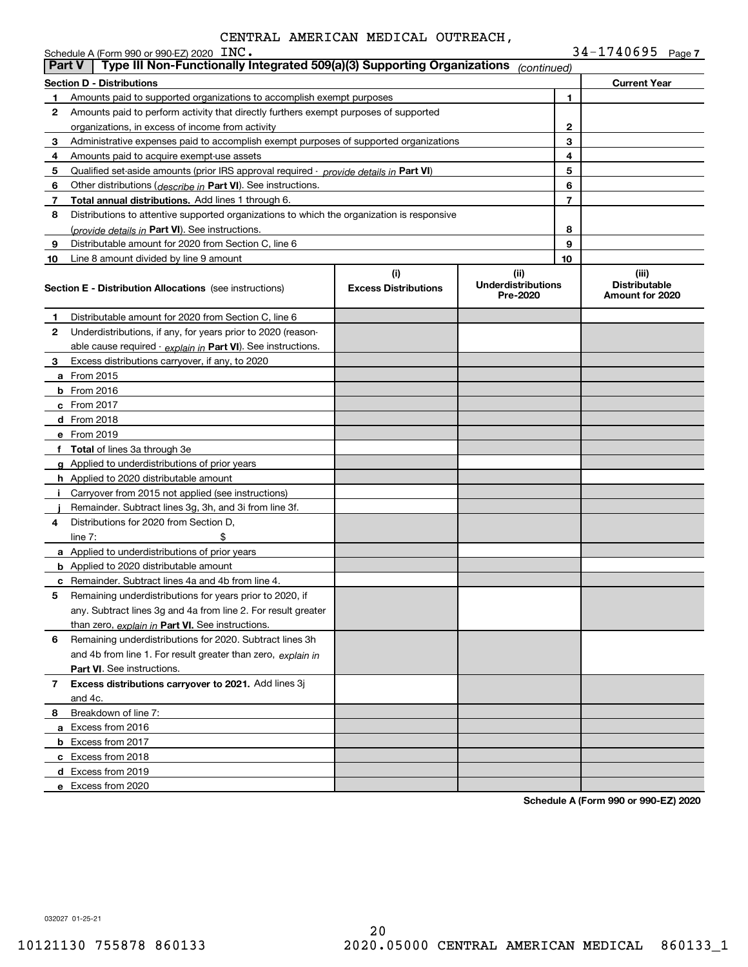|               | Schedule A (Form 990 or 990-EZ) 2020 INC.<br>Type III Non-Functionally Integrated 509(a)(3) Supporting Organizations |                             |                                       |              | 34-1740695 Page 7                       |
|---------------|----------------------------------------------------------------------------------------------------------------------|-----------------------------|---------------------------------------|--------------|-----------------------------------------|
| <b>Part V</b> |                                                                                                                      |                             | (continued)                           |              |                                         |
|               | <b>Section D - Distributions</b>                                                                                     |                             |                                       |              | <b>Current Year</b>                     |
| 1             | Amounts paid to supported organizations to accomplish exempt purposes                                                |                             |                                       | 1            |                                         |
| 2             | Amounts paid to perform activity that directly furthers exempt purposes of supported                                 |                             |                                       |              |                                         |
|               | organizations, in excess of income from activity                                                                     |                             |                                       | $\mathbf{2}$ |                                         |
| 3             | Administrative expenses paid to accomplish exempt purposes of supported organizations                                |                             |                                       | 3            |                                         |
| 4             | Amounts paid to acquire exempt-use assets                                                                            |                             |                                       | 4            |                                         |
| 5             | Qualified set-aside amounts (prior IRS approval required - provide details in Part VI)                               |                             |                                       | 5            |                                         |
| 6             | Other distributions ( <i>describe in</i> Part VI). See instructions.                                                 |                             |                                       | 6<br>7       |                                         |
| 7             | Total annual distributions. Add lines 1 through 6.                                                                   |                             |                                       |              |                                         |
| 8             | Distributions to attentive supported organizations to which the organization is responsive                           |                             |                                       | 8            |                                         |
| 9             | (provide details in Part VI). See instructions.<br>Distributable amount for 2020 from Section C, line 6              |                             |                                       | 9            |                                         |
|               |                                                                                                                      |                             |                                       | 10           |                                         |
| 10            | Line 8 amount divided by line 9 amount                                                                               | (i)                         | (ii)                                  |              | (iii)                                   |
|               | <b>Section E - Distribution Allocations</b> (see instructions)                                                       | <b>Excess Distributions</b> | <b>Underdistributions</b><br>Pre-2020 |              | <b>Distributable</b><br>Amount for 2020 |
| 1             | Distributable amount for 2020 from Section C, line 6                                                                 |                             |                                       |              |                                         |
| 2             | Underdistributions, if any, for years prior to 2020 (reason-                                                         |                             |                                       |              |                                         |
|               | able cause required - explain in Part VI). See instructions.                                                         |                             |                                       |              |                                         |
| 3             | Excess distributions carryover, if any, to 2020                                                                      |                             |                                       |              |                                         |
|               | a From 2015                                                                                                          |                             |                                       |              |                                         |
|               | <b>b</b> From 2016                                                                                                   |                             |                                       |              |                                         |
|               | c From 2017                                                                                                          |                             |                                       |              |                                         |
|               | d From 2018                                                                                                          |                             |                                       |              |                                         |
|               | e From 2019                                                                                                          |                             |                                       |              |                                         |
|               | f Total of lines 3a through 3e                                                                                       |                             |                                       |              |                                         |
|               | g Applied to underdistributions of prior years                                                                       |                             |                                       |              |                                         |
|               | <b>h</b> Applied to 2020 distributable amount                                                                        |                             |                                       |              |                                         |
| Ť.            | Carryover from 2015 not applied (see instructions)                                                                   |                             |                                       |              |                                         |
|               | Remainder. Subtract lines 3g, 3h, and 3i from line 3f.                                                               |                             |                                       |              |                                         |
| 4             | Distributions for 2020 from Section D.                                                                               |                             |                                       |              |                                         |
|               | line $7:$                                                                                                            |                             |                                       |              |                                         |
|               | a Applied to underdistributions of prior years                                                                       |                             |                                       |              |                                         |
|               | <b>b</b> Applied to 2020 distributable amount                                                                        |                             |                                       |              |                                         |
|               | c Remainder. Subtract lines 4a and 4b from line 4.                                                                   |                             |                                       |              |                                         |
|               | Remaining underdistributions for years prior to 2020, if                                                             |                             |                                       |              |                                         |
|               | any. Subtract lines 3g and 4a from line 2. For result greater                                                        |                             |                                       |              |                                         |
|               | than zero, explain in Part VI. See instructions.                                                                     |                             |                                       |              |                                         |
| 6             | Remaining underdistributions for 2020. Subtract lines 3h                                                             |                             |                                       |              |                                         |
|               | and 4b from line 1. For result greater than zero, explain in                                                         |                             |                                       |              |                                         |
|               | <b>Part VI.</b> See instructions.                                                                                    |                             |                                       |              |                                         |
| 7             | Excess distributions carryover to 2021. Add lines 3j                                                                 |                             |                                       |              |                                         |
|               | and 4c.                                                                                                              |                             |                                       |              |                                         |
| 8             | Breakdown of line 7:                                                                                                 |                             |                                       |              |                                         |
|               | a Excess from 2016                                                                                                   |                             |                                       |              |                                         |
|               | <b>b</b> Excess from 2017                                                                                            |                             |                                       |              |                                         |
|               | c Excess from 2018                                                                                                   |                             |                                       |              |                                         |
|               | d Excess from 2019                                                                                                   |                             |                                       |              |                                         |
|               | e Excess from 2020                                                                                                   |                             |                                       |              |                                         |

**Schedule A (Form 990 or 990-EZ) 2020**

032027 01-25-21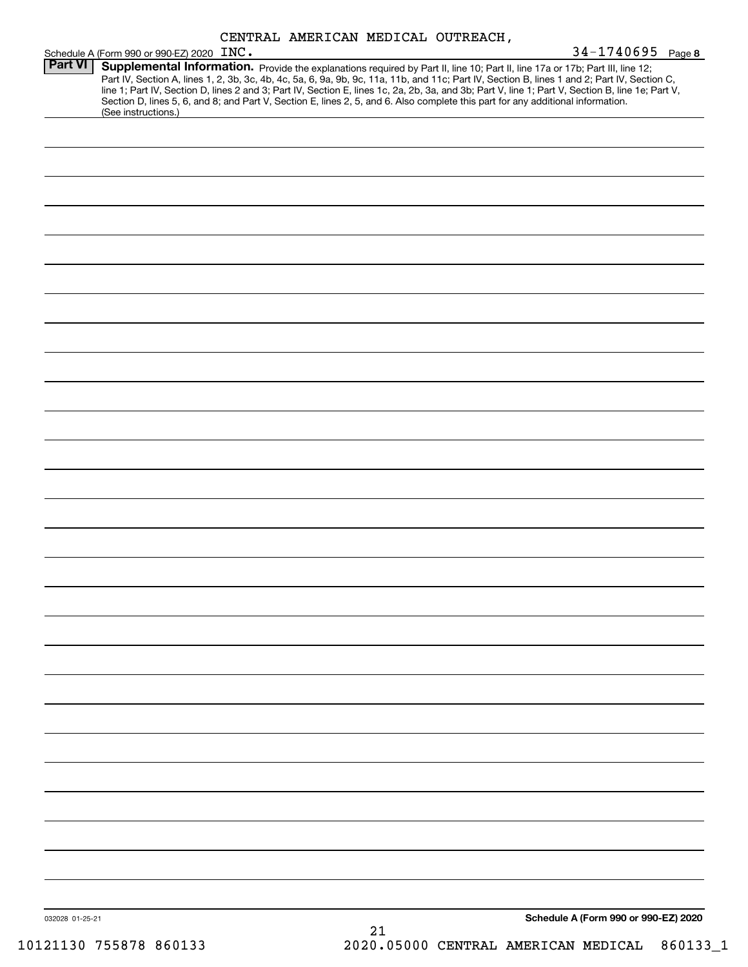|                 | Schedule A (Form 990 or 990-EZ) 2020 INC.                                                                                                                                                                                                                        | $34 - 1740695$ Page 8                                                                                                                                                                                                                                                                            |
|-----------------|------------------------------------------------------------------------------------------------------------------------------------------------------------------------------------------------------------------------------------------------------------------|--------------------------------------------------------------------------------------------------------------------------------------------------------------------------------------------------------------------------------------------------------------------------------------------------|
| <b>Part VI</b>  | Supplemental Information. Provide the explanations required by Part II, line 10; Part II, line 17a or 17b; Part III, line 12;<br>Section D, lines 5, 6, and 8; and Part V, Section E, lines 2, 5, and 6. Also complete this part for any additional information. | Part IV, Section A, lines 1, 2, 3b, 3c, 4b, 4c, 5a, 6, 9a, 9b, 9c, 11a, 11b, and 11c; Part IV, Section B, lines 1 and 2; Part IV, Section C,<br>line 1; Part IV, Section D, lines 2 and 3; Part IV, Section E, lines 1c, 2a, 2b, 3a, and 3b; Part V, line 1; Part V, Section B, line 1e; Part V, |
|                 | (See instructions.)                                                                                                                                                                                                                                              |                                                                                                                                                                                                                                                                                                  |
|                 |                                                                                                                                                                                                                                                                  |                                                                                                                                                                                                                                                                                                  |
|                 |                                                                                                                                                                                                                                                                  |                                                                                                                                                                                                                                                                                                  |
|                 |                                                                                                                                                                                                                                                                  |                                                                                                                                                                                                                                                                                                  |
|                 |                                                                                                                                                                                                                                                                  |                                                                                                                                                                                                                                                                                                  |
|                 |                                                                                                                                                                                                                                                                  |                                                                                                                                                                                                                                                                                                  |
|                 |                                                                                                                                                                                                                                                                  |                                                                                                                                                                                                                                                                                                  |
|                 |                                                                                                                                                                                                                                                                  |                                                                                                                                                                                                                                                                                                  |
|                 |                                                                                                                                                                                                                                                                  |                                                                                                                                                                                                                                                                                                  |
|                 |                                                                                                                                                                                                                                                                  |                                                                                                                                                                                                                                                                                                  |
|                 |                                                                                                                                                                                                                                                                  |                                                                                                                                                                                                                                                                                                  |
|                 |                                                                                                                                                                                                                                                                  |                                                                                                                                                                                                                                                                                                  |
|                 |                                                                                                                                                                                                                                                                  |                                                                                                                                                                                                                                                                                                  |
|                 |                                                                                                                                                                                                                                                                  |                                                                                                                                                                                                                                                                                                  |
|                 |                                                                                                                                                                                                                                                                  |                                                                                                                                                                                                                                                                                                  |
|                 |                                                                                                                                                                                                                                                                  |                                                                                                                                                                                                                                                                                                  |
|                 |                                                                                                                                                                                                                                                                  |                                                                                                                                                                                                                                                                                                  |
|                 |                                                                                                                                                                                                                                                                  |                                                                                                                                                                                                                                                                                                  |
|                 |                                                                                                                                                                                                                                                                  |                                                                                                                                                                                                                                                                                                  |
|                 |                                                                                                                                                                                                                                                                  |                                                                                                                                                                                                                                                                                                  |
|                 |                                                                                                                                                                                                                                                                  |                                                                                                                                                                                                                                                                                                  |
|                 |                                                                                                                                                                                                                                                                  |                                                                                                                                                                                                                                                                                                  |
|                 |                                                                                                                                                                                                                                                                  |                                                                                                                                                                                                                                                                                                  |
|                 |                                                                                                                                                                                                                                                                  |                                                                                                                                                                                                                                                                                                  |
|                 |                                                                                                                                                                                                                                                                  |                                                                                                                                                                                                                                                                                                  |
|                 |                                                                                                                                                                                                                                                                  |                                                                                                                                                                                                                                                                                                  |
|                 |                                                                                                                                                                                                                                                                  |                                                                                                                                                                                                                                                                                                  |
|                 |                                                                                                                                                                                                                                                                  |                                                                                                                                                                                                                                                                                                  |
|                 |                                                                                                                                                                                                                                                                  |                                                                                                                                                                                                                                                                                                  |
|                 |                                                                                                                                                                                                                                                                  |                                                                                                                                                                                                                                                                                                  |
|                 |                                                                                                                                                                                                                                                                  |                                                                                                                                                                                                                                                                                                  |
|                 |                                                                                                                                                                                                                                                                  |                                                                                                                                                                                                                                                                                                  |
| 032028 01-25-21 |                                                                                                                                                                                                                                                                  | Schedule A (Form 990 or 990-EZ) 2020                                                                                                                                                                                                                                                             |
|                 | 21                                                                                                                                                                                                                                                               |                                                                                                                                                                                                                                                                                                  |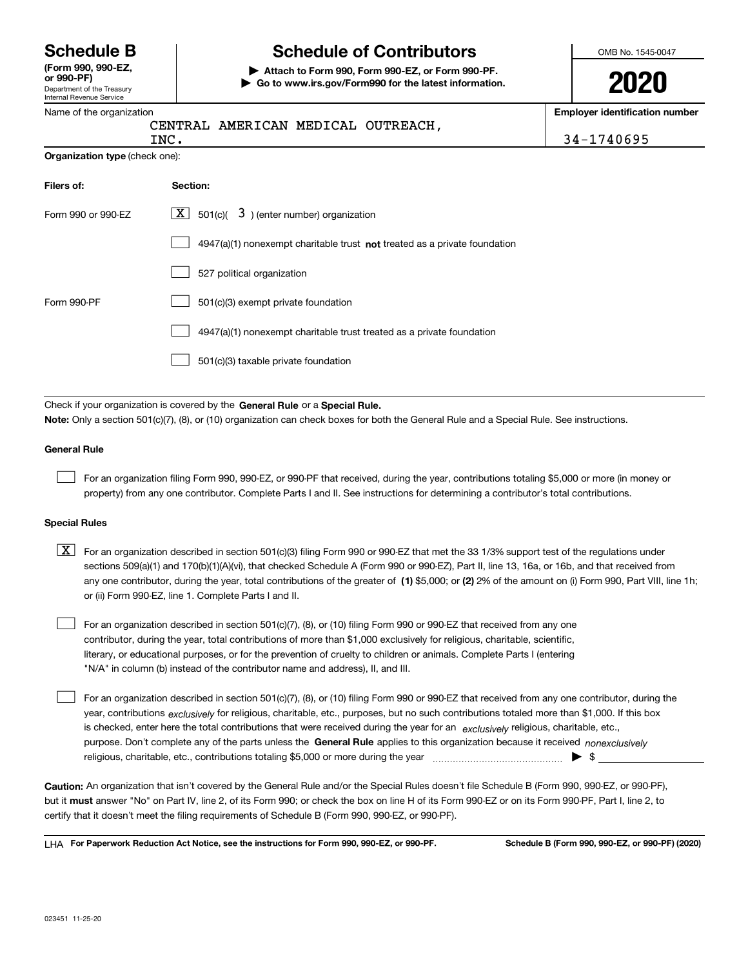Department of the Treasury Internal Revenue Service **(Form 990, 990-EZ, or 990-PF)**

## **Schedule B Schedule of Contributors**

**| Attach to Form 990, Form 990-EZ, or Form 990-PF. | Go to www.irs.gov/Form990 for the latest information.** OMB No. 1545-0047

**2020**

| Name of the organization |  |  |
|--------------------------|--|--|

| ווועווומו ווטיעוומט טטו יוטט<br>Name of the organization |                                                                                                                                                                                                                                                                                                                                                                                                                                                                                                                                                                                                                                                                                            | <b>Employer identification number</b> |  |
|----------------------------------------------------------|--------------------------------------------------------------------------------------------------------------------------------------------------------------------------------------------------------------------------------------------------------------------------------------------------------------------------------------------------------------------------------------------------------------------------------------------------------------------------------------------------------------------------------------------------------------------------------------------------------------------------------------------------------------------------------------------|---------------------------------------|--|
|                                                          | CENTRAL AMERICAN MEDICAL OUTREACH,                                                                                                                                                                                                                                                                                                                                                                                                                                                                                                                                                                                                                                                         |                                       |  |
| <b>Organization type (check one):</b>                    | INC.                                                                                                                                                                                                                                                                                                                                                                                                                                                                                                                                                                                                                                                                                       | 34-1740695                            |  |
| Filers of:                                               | Section:                                                                                                                                                                                                                                                                                                                                                                                                                                                                                                                                                                                                                                                                                   |                                       |  |
| Form 990 or 990-EZ                                       | 501(c)( $\overline{3}$ ) (enter number) organization<br>  X                                                                                                                                                                                                                                                                                                                                                                                                                                                                                                                                                                                                                                |                                       |  |
|                                                          | $4947(a)(1)$ nonexempt charitable trust not treated as a private foundation                                                                                                                                                                                                                                                                                                                                                                                                                                                                                                                                                                                                                |                                       |  |
|                                                          | 527 political organization                                                                                                                                                                                                                                                                                                                                                                                                                                                                                                                                                                                                                                                                 |                                       |  |
| Form 990-PF                                              | 501(c)(3) exempt private foundation                                                                                                                                                                                                                                                                                                                                                                                                                                                                                                                                                                                                                                                        |                                       |  |
|                                                          | 4947(a)(1) nonexempt charitable trust treated as a private foundation                                                                                                                                                                                                                                                                                                                                                                                                                                                                                                                                                                                                                      |                                       |  |
|                                                          | 501(c)(3) taxable private foundation                                                                                                                                                                                                                                                                                                                                                                                                                                                                                                                                                                                                                                                       |                                       |  |
| <b>General Rule</b>                                      | Check if your organization is covered by the General Rule or a Special Rule.<br>Note: Only a section 501(c)(7), (8), or (10) organization can check boxes for both the General Rule and a Special Rule. See instructions.<br>For an organization filing Form 990, 990-EZ, or 990-PF that received, during the year, contributions totaling \$5,000 or more (in money or<br>property) from any one contributor. Complete Parts I and II. See instructions for determining a contributor's total contributions.                                                                                                                                                                              |                                       |  |
| <b>Special Rules</b>                                     |                                                                                                                                                                                                                                                                                                                                                                                                                                                                                                                                                                                                                                                                                            |                                       |  |
| $\lfloor x \rfloor$                                      | For an organization described in section 501(c)(3) filing Form 990 or 990-EZ that met the 33 1/3% support test of the regulations under<br>sections 509(a)(1) and 170(b)(1)(A)(vi), that checked Schedule A (Form 990 or 990-EZ), Part II, line 13, 16a, or 16b, and that received from<br>any one contributor, during the year, total contributions of the greater of (1) \$5,000; or (2) 2% of the amount on (i) Form 990, Part VIII, line 1h;<br>or (ii) Form 990-EZ, line 1. Complete Parts I and II.                                                                                                                                                                                  |                                       |  |
|                                                          | For an organization described in section 501(c)(7), (8), or (10) filing Form 990 or 990-EZ that received from any one<br>contributor, during the year, total contributions of more than \$1,000 exclusively for religious, charitable, scientific,<br>literary, or educational purposes, or for the prevention of cruelty to children or animals. Complete Parts I (entering<br>"N/A" in column (b) instead of the contributor name and address), II, and III.                                                                                                                                                                                                                             |                                       |  |
|                                                          | For an organization described in section 501(c)(7), (8), or (10) filing Form 990 or 990-EZ that received from any one contributor, during the<br>year, contributions $exclusively$ for religious, charitable, etc., purposes, but no such contributions totaled more than \$1,000. If this box<br>is checked, enter here the total contributions that were received during the year for an exclusively religious, charitable, etc.,<br>purpose. Don't complete any of the parts unless the General Rule applies to this organization because it received nonexclusively<br>religious, charitable, etc., contributions totaling \$5,000 or more during the year manufactured contributions. | $\blacktriangleright$ \$              |  |
|                                                          | Caution: An organization that isn't covered by the General Rule and/or the Special Rules doesn't file Schedule B (Form 990, 990-EZ, or 990-PF),<br>but it must answer "No" on Part IV, line 2, of its Form 990; or check the box on line H of its Form 990-EZ or on its Form 990-PF, Part I, line 2, to<br>certify that it doesn't meet the filing requirements of Schedule B (Form 990, 990-EZ, or 990-PF).                                                                                                                                                                                                                                                                               |                                       |  |

**For Paperwork Reduction Act Notice, see the instructions for Form 990, 990-EZ, or 990-PF. Schedule B (Form 990, 990-EZ, or 990-PF) (2020)** LHA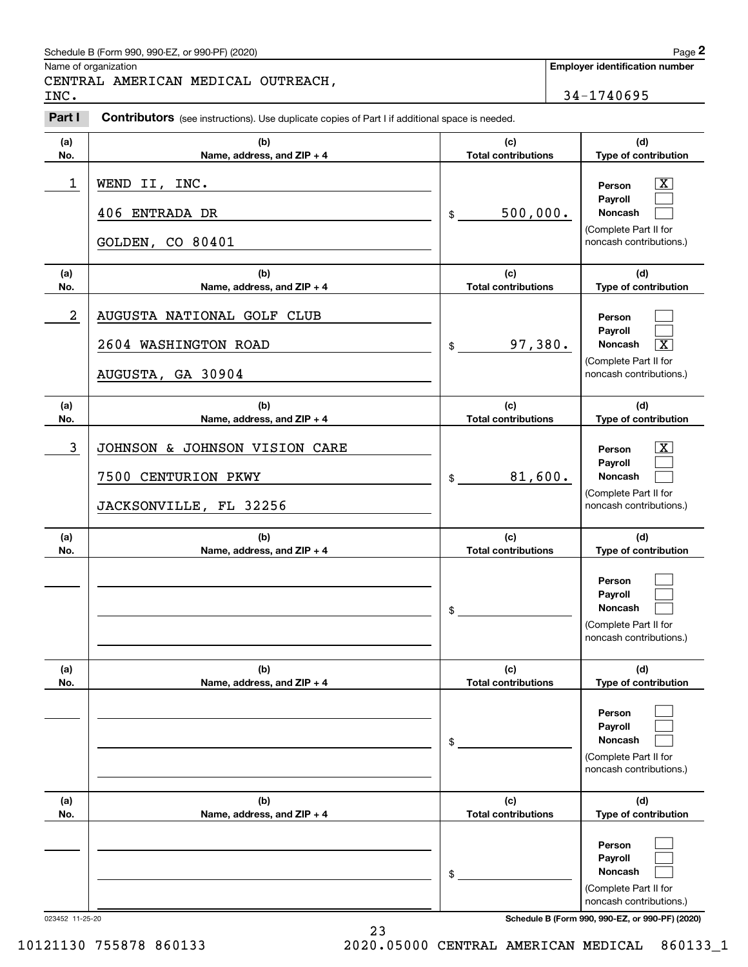#### Schedule B (Form 990, 990-EZ, or 990-PF) (2020) **Page 2** Page 2

Name of organization

**Employer identification number**

CENTRAL AMERICAN MEDICAL OUTREACH,

Chedule B (Form 990, 990-EZ, or 990-PF) (2020)<br>
lame of organization<br> **2PART AMERICAN MEDICAL OUTREACH**<br>
2Part I **Contributors** (see instructions). Use duplicate copies of Part I if additional space is needed.<br>
2Part I **Co** INC. 34-1740695

|                  | <b>Direction of the contractions).</b> Oscida pricate copies of Fare in additional space is necated. |                                   |                                                                                         |
|------------------|------------------------------------------------------------------------------------------------------|-----------------------------------|-----------------------------------------------------------------------------------------|
| (a)<br>No.       | (b)<br>Name, address, and ZIP + 4                                                                    | (c)<br><b>Total contributions</b> | (d)<br>Type of contribution                                                             |
| 1                | WEND II, INC.<br>406 ENTRADA DR                                                                      | 500,000.<br>$$\circ$$             | $\overline{\mathbf{X}}$<br>Person<br>Payroll<br>Noncash<br>(Complete Part II for        |
|                  | GOLDEN, CO 80401                                                                                     |                                   | noncash contributions.)                                                                 |
| (a)<br>No.       | (b)<br>Name, address, and ZIP + 4                                                                    | (c)<br><b>Total contributions</b> | (d)<br>Type of contribution                                                             |
| $\boldsymbol{2}$ | AUGUSTA NATIONAL GOLF CLUB                                                                           |                                   | Person<br>Payroll                                                                       |
|                  | 2604 WASHINGTON ROAD                                                                                 | 97,380.<br>$\frac{1}{2}$          | Noncash<br>$\overline{\text{X}}$                                                        |
|                  | AUGUSTA, GA 30904                                                                                    |                                   | (Complete Part II for<br>noncash contributions.)                                        |
| (a)<br>No.       | (b)<br>Name, address, and ZIP + 4                                                                    | (c)<br><b>Total contributions</b> | (d)<br>Type of contribution                                                             |
| 3                | JOHNSON & JOHNSON VISION CARE                                                                        |                                   | $\overline{\mathbf{X}}$<br>Person<br>Payroll                                            |
|                  | 7500 CENTURION PKWY                                                                                  | 81,600.<br>$\frac{1}{2}$          | Noncash                                                                                 |
|                  | JACKSONVILLE, FL 32256                                                                               |                                   | (Complete Part II for<br>noncash contributions.)                                        |
| (a)<br>No.       | (b)<br>Name, address, and ZIP + 4                                                                    | (c)<br><b>Total contributions</b> | (d)<br>Type of contribution                                                             |
|                  |                                                                                                      | \$                                | Person<br>Payroll<br>Noncash<br>(Complete Part II for<br>noncash contributions.)        |
| (a)<br>No.       | (b)<br>Name, address, and ZIP + 4                                                                    | (c)<br><b>Total contributions</b> | (d)<br>Type of contribution                                                             |
|                  |                                                                                                      | \$                                | Person<br>Payroll<br><b>Noncash</b><br>(Complete Part II for<br>noncash contributions.) |
| (a)<br>No.       | (b)<br>Name, address, and ZIP + 4                                                                    | (c)<br><b>Total contributions</b> | (d)<br>Type of contribution                                                             |
|                  |                                                                                                      | \$                                | Person<br>Payroll<br>Noncash<br>(Complete Part II for<br>noncash contributions.)        |

023452 11-25-20 **Schedule B (Form 990, 990-EZ, or 990-PF) (2020)**

10121130 755878 860133 2020.05000 CENTRAL AMERICAN MEDICAL 860133\_1

23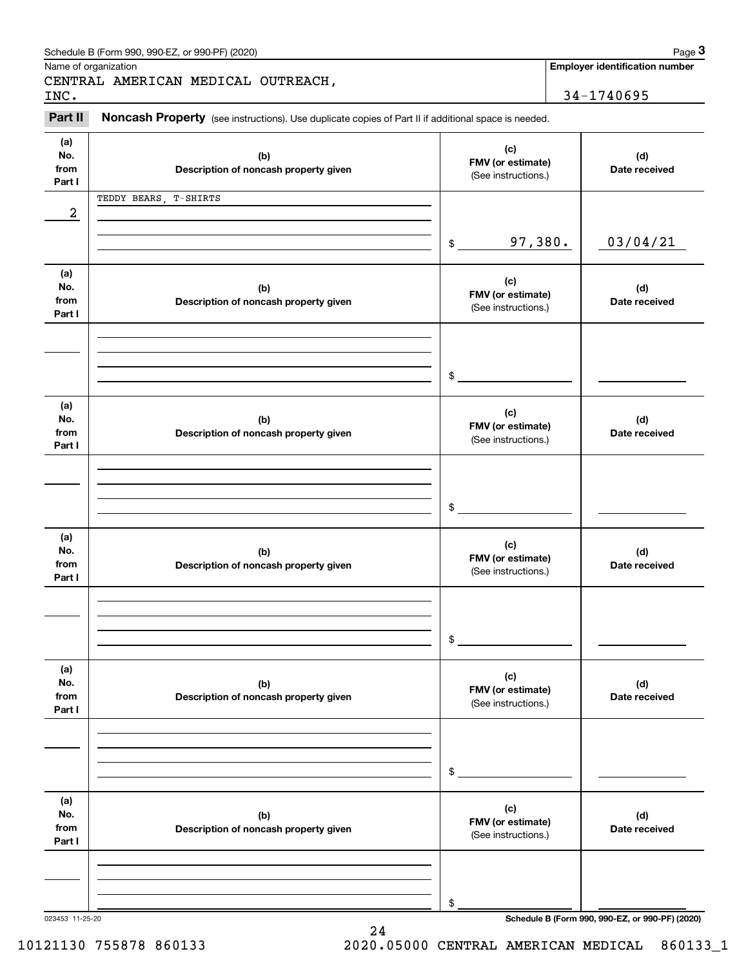|                              | Schedule B (Form 990, 990-EZ, or 990-PF) (2020)                                                     |                                                 | Page 3                                          |
|------------------------------|-----------------------------------------------------------------------------------------------------|-------------------------------------------------|-------------------------------------------------|
|                              | Name of organization<br>CENTRAL AMERICAN MEDICAL OUTREACH,                                          |                                                 | <b>Employer identification number</b>           |
| INC.                         |                                                                                                     |                                                 | 34-1740695                                      |
| Part II                      | Noncash Property (see instructions). Use duplicate copies of Part II if additional space is needed. |                                                 |                                                 |
| (a)<br>No.<br>from<br>Part I | (b)<br>Description of noncash property given                                                        | (c)<br>FMV (or estimate)<br>(See instructions.) | (d)<br>Date received                            |
|                              | TEDDY BEARS, T-SHIRTS                                                                               |                                                 |                                                 |
| 2                            |                                                                                                     |                                                 |                                                 |
|                              |                                                                                                     | 97,380.<br>\$                                   | 03/04/21                                        |
| (a)<br>No.<br>from<br>Part I | (b)<br>Description of noncash property given                                                        | (c)<br>FMV (or estimate)<br>(See instructions.) | (d)<br>Date received                            |
|                              |                                                                                                     |                                                 |                                                 |
|                              |                                                                                                     | \$                                              |                                                 |
| (a)<br>No.<br>from<br>Part I | (b)<br>Description of noncash property given                                                        | (c)<br>FMV (or estimate)<br>(See instructions.) | (d)<br>Date received                            |
|                              |                                                                                                     |                                                 |                                                 |
|                              |                                                                                                     | \$                                              |                                                 |
| (a)<br>No.<br>from<br>Part I | (b)<br>Description of noncash property given                                                        | (c)<br>FMV (or estimate)<br>(See instructions.) | (d)<br>Date received                            |
|                              |                                                                                                     |                                                 |                                                 |
|                              |                                                                                                     | \$                                              |                                                 |
| (a)<br>No.<br>from<br>Part I | (b)<br>Description of noncash property given                                                        | (c)<br>FMV (or estimate)<br>(See instructions.) | (d)<br>Date received                            |
|                              |                                                                                                     |                                                 |                                                 |
|                              |                                                                                                     | \$                                              |                                                 |
| (a)<br>No.<br>from<br>Part I | (b)<br>Description of noncash property given                                                        | (c)<br>FMV (or estimate)<br>(See instructions.) | (d)<br>Date received                            |
|                              |                                                                                                     |                                                 |                                                 |
|                              |                                                                                                     | \$                                              |                                                 |
| 023453 11-25-20              | 24                                                                                                  |                                                 | Schedule B (Form 990, 990-EZ, or 990-PF) (2020) |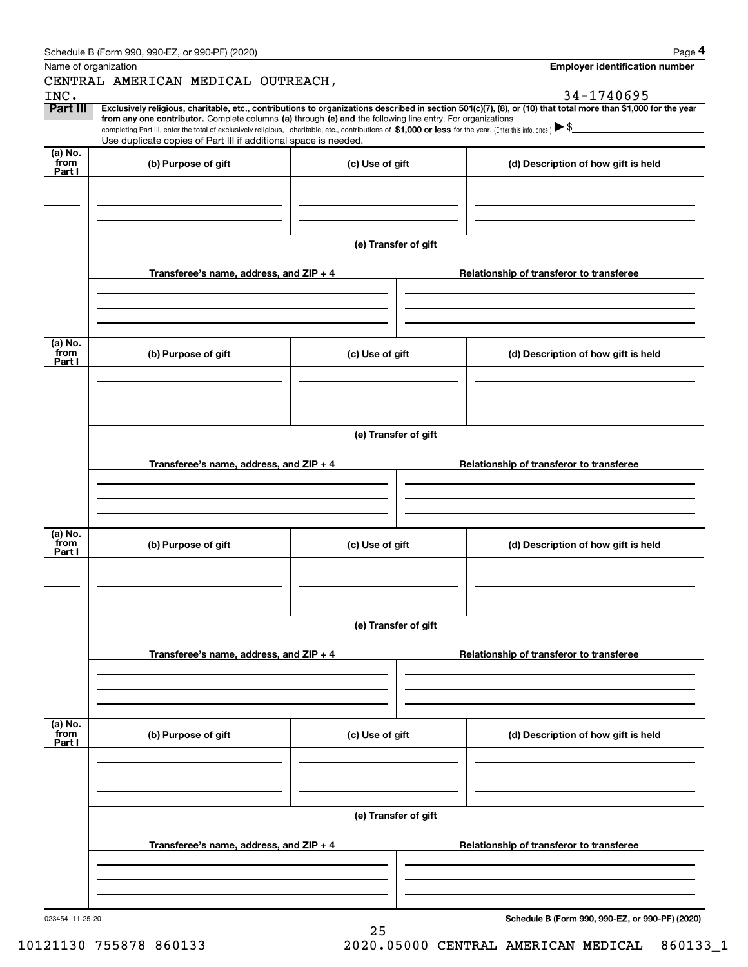| Schedule B (Form 990, 990-EZ, or 990-PF) (2020) | Page |
|-------------------------------------------------|------|
|-------------------------------------------------|------|

|                 | Schedule B (Form 990, 990-EZ, or 990-PF) (2020)                                                                                                                                                                                                                                                 |                      | Page 4                                          |
|-----------------|-------------------------------------------------------------------------------------------------------------------------------------------------------------------------------------------------------------------------------------------------------------------------------------------------|----------------------|-------------------------------------------------|
|                 | Name of organization                                                                                                                                                                                                                                                                            |                      | <b>Employer identification number</b>           |
|                 | CENTRAL AMERICAN MEDICAL OUTREACH,                                                                                                                                                                                                                                                              |                      |                                                 |
| INC.            |                                                                                                                                                                                                                                                                                                 |                      | 34-1740695                                      |
| Part III        | Exclusively religious, charitable, etc., contributions to organizations described in section 501(c)(7), (8), or (10) that total more than \$1,000 for the year                                                                                                                                  |                      |                                                 |
|                 | from any one contributor. Complete columns (a) through (e) and the following line entry. For organizations<br>completing Part III, enter the total of exclusively religious, charitable, etc., contributions of \$1,000 or less for the year. (Enter this info. once.) $\blacktriangleright$ \$ |                      |                                                 |
|                 | Use duplicate copies of Part III if additional space is needed.                                                                                                                                                                                                                                 |                      |                                                 |
| (a) No.<br>from | (b) Purpose of gift                                                                                                                                                                                                                                                                             | (c) Use of gift      | (d) Description of how gift is held             |
| Part I          |                                                                                                                                                                                                                                                                                                 |                      |                                                 |
|                 |                                                                                                                                                                                                                                                                                                 |                      |                                                 |
|                 |                                                                                                                                                                                                                                                                                                 |                      |                                                 |
|                 |                                                                                                                                                                                                                                                                                                 |                      |                                                 |
|                 |                                                                                                                                                                                                                                                                                                 | (e) Transfer of gift |                                                 |
|                 |                                                                                                                                                                                                                                                                                                 |                      |                                                 |
|                 | Transferee's name, address, and ZIP + 4                                                                                                                                                                                                                                                         |                      | Relationship of transferor to transferee        |
|                 |                                                                                                                                                                                                                                                                                                 |                      |                                                 |
|                 |                                                                                                                                                                                                                                                                                                 |                      |                                                 |
|                 |                                                                                                                                                                                                                                                                                                 |                      |                                                 |
|                 |                                                                                                                                                                                                                                                                                                 |                      |                                                 |
| (a) No.<br>from | (b) Purpose of gift                                                                                                                                                                                                                                                                             | (c) Use of gift      | (d) Description of how gift is held             |
| Part I          |                                                                                                                                                                                                                                                                                                 |                      |                                                 |
|                 |                                                                                                                                                                                                                                                                                                 |                      |                                                 |
|                 |                                                                                                                                                                                                                                                                                                 |                      |                                                 |
|                 |                                                                                                                                                                                                                                                                                                 |                      |                                                 |
|                 |                                                                                                                                                                                                                                                                                                 |                      |                                                 |
|                 |                                                                                                                                                                                                                                                                                                 | (e) Transfer of gift |                                                 |
|                 |                                                                                                                                                                                                                                                                                                 |                      |                                                 |
|                 | Transferee's name, address, and $ZIP + 4$                                                                                                                                                                                                                                                       |                      | Relationship of transferor to transferee        |
|                 |                                                                                                                                                                                                                                                                                                 |                      |                                                 |
|                 |                                                                                                                                                                                                                                                                                                 |                      |                                                 |
|                 |                                                                                                                                                                                                                                                                                                 |                      |                                                 |
| (a) No.         |                                                                                                                                                                                                                                                                                                 |                      |                                                 |
| from<br>Part I  | (b) Purpose of gift                                                                                                                                                                                                                                                                             | (c) Use of gift      | (d) Description of how gift is held             |
|                 |                                                                                                                                                                                                                                                                                                 |                      |                                                 |
|                 |                                                                                                                                                                                                                                                                                                 |                      |                                                 |
|                 |                                                                                                                                                                                                                                                                                                 |                      |                                                 |
|                 |                                                                                                                                                                                                                                                                                                 |                      |                                                 |
|                 |                                                                                                                                                                                                                                                                                                 | (e) Transfer of gift |                                                 |
|                 |                                                                                                                                                                                                                                                                                                 |                      |                                                 |
|                 | Transferee's name, address, and ZIP + 4                                                                                                                                                                                                                                                         |                      | Relationship of transferor to transferee        |
|                 |                                                                                                                                                                                                                                                                                                 |                      |                                                 |
|                 |                                                                                                                                                                                                                                                                                                 |                      |                                                 |
|                 |                                                                                                                                                                                                                                                                                                 |                      |                                                 |
| (a) No.<br>from |                                                                                                                                                                                                                                                                                                 |                      |                                                 |
| Part I          | (b) Purpose of gift                                                                                                                                                                                                                                                                             | (c) Use of gift      | (d) Description of how gift is held             |
|                 |                                                                                                                                                                                                                                                                                                 |                      |                                                 |
|                 |                                                                                                                                                                                                                                                                                                 |                      |                                                 |
|                 |                                                                                                                                                                                                                                                                                                 |                      |                                                 |
|                 |                                                                                                                                                                                                                                                                                                 |                      |                                                 |
|                 |                                                                                                                                                                                                                                                                                                 | (e) Transfer of gift |                                                 |
|                 |                                                                                                                                                                                                                                                                                                 |                      |                                                 |
|                 | Transferee's name, address, and ZIP + 4                                                                                                                                                                                                                                                         |                      | Relationship of transferor to transferee        |
|                 |                                                                                                                                                                                                                                                                                                 |                      |                                                 |
|                 |                                                                                                                                                                                                                                                                                                 |                      |                                                 |
|                 |                                                                                                                                                                                                                                                                                                 |                      |                                                 |
|                 |                                                                                                                                                                                                                                                                                                 |                      |                                                 |
| 023454 11-25-20 |                                                                                                                                                                                                                                                                                                 |                      | Schedule B (Form 990, 990-EZ, or 990-PF) (2020) |

25

**Schedule B (Form 990, 990-EZ, or 990-PF) (2020)**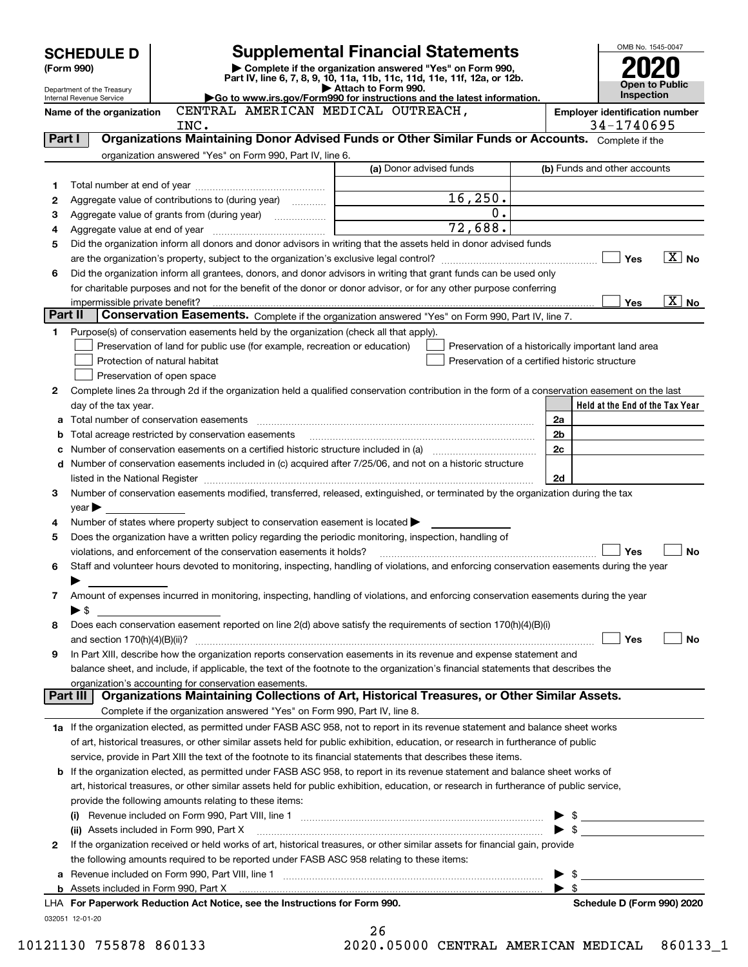|         | <b>SCHEDULE D</b>                                      |                                                                                                        | <b>Supplemental Financial Statements</b>                                                                                                                                                                                      |    | OMB No. 1545-0047                                   |                   |
|---------|--------------------------------------------------------|--------------------------------------------------------------------------------------------------------|-------------------------------------------------------------------------------------------------------------------------------------------------------------------------------------------------------------------------------|----|-----------------------------------------------------|-------------------|
|         | (Form 990)                                             |                                                                                                        | Complete if the organization answered "Yes" on Form 990,                                                                                                                                                                      |    |                                                     |                   |
|         |                                                        |                                                                                                        | Part IV, line 6, 7, 8, 9, 10, 11a, 11b, 11c, 11d, 11e, 11f, 12a, or 12b.                                                                                                                                                      |    |                                                     | Open to Public    |
|         | Department of the Treasury<br>Internal Revenue Service |                                                                                                        | Attach to Form 990.<br>Go to www.irs.gov/Form990 for instructions and the latest information.                                                                                                                                 |    | Inspection                                          |                   |
|         | Name of the organization                               | CENTRAL AMERICAN MEDICAL OUTREACH,<br>INC.                                                             |                                                                                                                                                                                                                               |    | <b>Employer identification number</b><br>34-1740695 |                   |
| Part I  |                                                        |                                                                                                        | Organizations Maintaining Donor Advised Funds or Other Similar Funds or Accounts. Complete if the                                                                                                                             |    |                                                     |                   |
|         |                                                        | organization answered "Yes" on Form 990, Part IV, line 6.                                              |                                                                                                                                                                                                                               |    |                                                     |                   |
|         |                                                        |                                                                                                        | (a) Donor advised funds                                                                                                                                                                                                       |    | (b) Funds and other accounts                        |                   |
| 1       |                                                        |                                                                                                        |                                                                                                                                                                                                                               |    |                                                     |                   |
| 2       |                                                        | Aggregate value of contributions to (during year)                                                      | 16, 250.<br>0.                                                                                                                                                                                                                |    |                                                     |                   |
| 3       |                                                        |                                                                                                        | 72,688.                                                                                                                                                                                                                       |    |                                                     |                   |
| 4<br>5  |                                                        |                                                                                                        | Did the organization inform all donors and donor advisors in writing that the assets held in donor advised funds                                                                                                              |    |                                                     |                   |
|         |                                                        |                                                                                                        |                                                                                                                                                                                                                               |    | Yes                                                 | $X \times$        |
| 6       |                                                        |                                                                                                        | Did the organization inform all grantees, donors, and donor advisors in writing that grant funds can be used only                                                                                                             |    |                                                     |                   |
|         |                                                        |                                                                                                        | for charitable purposes and not for the benefit of the donor or donor advisor, or for any other purpose conferring                                                                                                            |    |                                                     |                   |
|         | impermissible private benefit?                         |                                                                                                        |                                                                                                                                                                                                                               |    | <b>Yes</b>                                          | $\overline{X}$ No |
| Part II |                                                        |                                                                                                        | Conservation Easements. Complete if the organization answered "Yes" on Form 990, Part IV, line 7.                                                                                                                             |    |                                                     |                   |
| 1       |                                                        | Purpose(s) of conservation easements held by the organization (check all that apply).                  |                                                                                                                                                                                                                               |    |                                                     |                   |
|         |                                                        | Preservation of land for public use (for example, recreation or education)                             |                                                                                                                                                                                                                               |    | Preservation of a historically important land area  |                   |
|         | Protection of natural habitat                          |                                                                                                        | Preservation of a certified historic structure                                                                                                                                                                                |    |                                                     |                   |
|         | Preservation of open space                             |                                                                                                        |                                                                                                                                                                                                                               |    |                                                     |                   |
| 2       |                                                        |                                                                                                        | Complete lines 2a through 2d if the organization held a qualified conservation contribution in the form of a conservation easement on the last                                                                                |    |                                                     |                   |
|         | day of the tax year.                                   |                                                                                                        |                                                                                                                                                                                                                               |    | Held at the End of the Tax Year                     |                   |
| a       |                                                        |                                                                                                        |                                                                                                                                                                                                                               | 2a |                                                     |                   |
| b       |                                                        | Total acreage restricted by conservation easements                                                     |                                                                                                                                                                                                                               | 2b |                                                     |                   |
| с       |                                                        |                                                                                                        | Number of conservation easements on a certified historic structure included in (a) manufacture included in (a)                                                                                                                | 2c |                                                     |                   |
|         |                                                        |                                                                                                        | d Number of conservation easements included in (c) acquired after 7/25/06, and not on a historic structure                                                                                                                    |    |                                                     |                   |
|         |                                                        |                                                                                                        | listed in the National Register [111] Marshall Register [11] Marshall Register [11] Marshall Register [11] Marshall Register [11] Marshall Register [11] Marshall Register [11] Marshall Register [11] Marshall Register [11] | 2d |                                                     |                   |
| 3       |                                                        |                                                                                                        | Number of conservation easements modified, transferred, released, extinguished, or terminated by the organization during the tax                                                                                              |    |                                                     |                   |
| 4       | $year \blacktriangleright$                             | Number of states where property subject to conservation easement is located $\blacktriangleright$      |                                                                                                                                                                                                                               |    |                                                     |                   |
| 5       |                                                        | Does the organization have a written policy regarding the periodic monitoring, inspection, handling of |                                                                                                                                                                                                                               |    |                                                     |                   |
|         |                                                        | violations, and enforcement of the conservation easements it holds?                                    |                                                                                                                                                                                                                               |    | Yes                                                 | <b>No</b>         |
| 6       |                                                        |                                                                                                        | Staff and volunteer hours devoted to monitoring, inspecting, handling of violations, and enforcing conservation easements during the year                                                                                     |    |                                                     |                   |
|         |                                                        |                                                                                                        |                                                                                                                                                                                                                               |    |                                                     |                   |
| 7       |                                                        |                                                                                                        | Amount of expenses incurred in monitoring, inspecting, handling of violations, and enforcing conservation easements during the year                                                                                           |    |                                                     |                   |
|         | $\blacktriangleright$ \$                               |                                                                                                        |                                                                                                                                                                                                                               |    |                                                     |                   |
| 8       |                                                        |                                                                                                        | Does each conservation easement reported on line 2(d) above satisfy the requirements of section 170(h)(4)(B)(i)                                                                                                               |    |                                                     |                   |
|         |                                                        |                                                                                                        |                                                                                                                                                                                                                               |    | Yes                                                 | No                |
| 9       |                                                        |                                                                                                        | In Part XIII, describe how the organization reports conservation easements in its revenue and expense statement and                                                                                                           |    |                                                     |                   |
|         |                                                        |                                                                                                        | balance sheet, and include, if applicable, the text of the footnote to the organization's financial statements that describes the                                                                                             |    |                                                     |                   |
|         |                                                        | organization's accounting for conservation easements.                                                  |                                                                                                                                                                                                                               |    |                                                     |                   |
|         | Part III                                               |                                                                                                        | Organizations Maintaining Collections of Art, Historical Treasures, or Other Similar Assets.                                                                                                                                  |    |                                                     |                   |
|         |                                                        | Complete if the organization answered "Yes" on Form 990, Part IV, line 8.                              |                                                                                                                                                                                                                               |    |                                                     |                   |
|         |                                                        |                                                                                                        | 1a If the organization elected, as permitted under FASB ASC 958, not to report in its revenue statement and balance sheet works                                                                                               |    |                                                     |                   |
|         |                                                        |                                                                                                        | of art, historical treasures, or other similar assets held for public exhibition, education, or research in furtherance of public                                                                                             |    |                                                     |                   |
|         |                                                        |                                                                                                        | service, provide in Part XIII the text of the footnote to its financial statements that describes these items.                                                                                                                |    |                                                     |                   |
|         |                                                        |                                                                                                        | <b>b</b> If the organization elected, as permitted under FASB ASC 958, to report in its revenue statement and balance sheet works of                                                                                          |    |                                                     |                   |
|         |                                                        | provide the following amounts relating to these items:                                                 | art, historical treasures, or other similar assets held for public exhibition, education, or research in furtherance of public service,                                                                                       |    |                                                     |                   |
|         |                                                        |                                                                                                        |                                                                                                                                                                                                                               |    |                                                     |                   |
|         |                                                        |                                                                                                        |                                                                                                                                                                                                                               |    | $\frac{1}{2}$                                       |                   |
| 2       |                                                        |                                                                                                        | If the organization received or held works of art, historical treasures, or other similar assets for financial gain, provide                                                                                                  |    |                                                     |                   |
|         |                                                        | the following amounts required to be reported under FASB ASC 958 relating to these items:              |                                                                                                                                                                                                                               |    |                                                     |                   |
|         |                                                        |                                                                                                        | a Revenue included on Form 990, Part VIII, line 1 [2000] [2000] [2000] [2000] [3000] [3000] [3000] [3000] [3000                                                                                                               |    | $\frac{1}{2}$                                       |                   |
|         |                                                        |                                                                                                        |                                                                                                                                                                                                                               |    |                                                     |                   |
|         |                                                        | LHA For Paperwork Reduction Act Notice, see the Instructions for Form 990.                             |                                                                                                                                                                                                                               |    | Schedule D (Form 990) 2020                          |                   |
|         | 032051 12-01-20                                        |                                                                                                        |                                                                                                                                                                                                                               |    |                                                     |                   |

| 26 |                                |  |
|----|--------------------------------|--|
|    | וג זגסרתזהים <i>יה ח</i> חה בח |  |

10121130 755878 860133 2020.05000 CENTRAL AMERICAN MEDICAL 860133\_1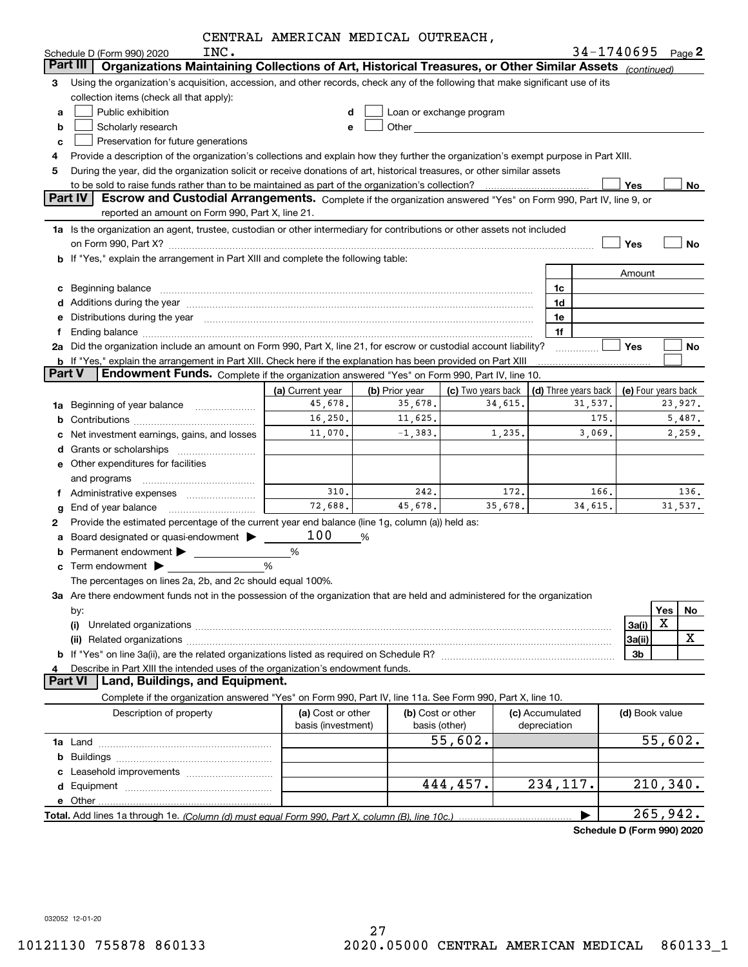| Organizations Maintaining Collections of Art, Historical Treasures, or Other Similar Assets (continued)<br>Part III<br>Using the organization's acquisition, accession, and other records, check any of the following that make significant use of its<br>3<br>collection items (check all that apply):<br>Public exhibition<br>Loan or exchange program<br>d<br>a<br>Scholarly research<br>Other <b>Communication Communication Communication</b><br>b<br>е<br>Preservation for future generations<br>c<br>Provide a description of the organization's collections and explain how they further the organization's exempt purpose in Part XIII.<br>4<br>During the year, did the organization solicit or receive donations of art, historical treasures, or other similar assets<br>5<br>Yes<br>No<br><b>Part IV</b><br>Escrow and Custodial Arrangements. Complete if the organization answered "Yes" on Form 990, Part IV, line 9, or<br>reported an amount on Form 990, Part X, line 21.<br>1a Is the organization an agent, trustee, custodian or other intermediary for contributions or other assets not included<br>Yes<br>No<br>on Form 990, Part X? [11] matter contracts and contracts and contracts are contracted and contracts are contracted and contract and contract and contract and contract and contract and contract and contract and contract and<br>b If "Yes," explain the arrangement in Part XIII and complete the following table:<br>Amount<br>Beginning balance <b>contract the contract of the contract of the contract of the contract of the contract of the contract of the contract of the contract of the contract of the contract of the contract of the contract of th</b><br>1c<br>с<br>d Additions during the year measurements are all an according to the year measurement of the year measurement<br>1d<br>Distributions during the year manufactured and continuum and contact the year manufactured and contact the year<br>1e<br>е<br>1f<br>f<br>Ending balance material contracts and contracts and contracts and contracts and contracts and contracts and contracts and contracts and contracts and contracts and contracts and contracts and contracts and contracts and co<br>2a Did the organization include an amount on Form 990, Part X, line 21, for escrow or custodial account liability?<br><b>Yes</b><br>No<br><b>b</b> If "Yes," explain the arrangement in Part XIII. Check here if the explanation has been provided on Part XIII<br><b>Part V</b><br>Endowment Funds. Complete if the organization answered "Yes" on Form 990, Part IV, line 10.<br>(a) Current year<br>(b) Prior year<br>(c) Two years back<br>(d) Three years back<br>(e) Four years back<br>35,678.<br>45,678.<br>34,615.<br>23,927.<br>31,537.<br>Beginning of year balance<br>1a<br>16,250.<br>175.<br>11,625.<br>5,487.<br>b<br>11,070.<br>$-1,383.$<br>1,235.<br>3,069.<br>2,259.<br>Net investment earnings, gains, and losses<br>с<br>Grants or scholarships [ <i>[[[[[[[[[[[[[[[[[[[[[[[[[[[[[[[]]]]]</i><br>d<br>e Other expenditures for facilities<br>and programs<br>310.<br>242.<br>172.<br>166.<br>136.<br>Administrative expenses<br>f<br>72,688.<br>35,678.<br>45,678.<br>34,615.<br>31,537.<br>g<br>Provide the estimated percentage of the current year end balance (line 1g, column (a)) held as:<br>2<br>100<br>Board designated or quasi-endowment<br>%<br>а<br>%<br>b<br>Term endowment <b>Department</b><br>%<br>c<br>The percentages on lines 2a, 2b, and 2c should equal 100%.<br>3a Are there endowment funds not in the possession of the organization that are held and administered for the organization<br>Yes<br>No<br>by:<br>X<br>3a(i)<br>(i)<br>X<br>3a(ii)<br>3 <sub>b</sub><br>b<br>Describe in Part XIII the intended uses of the organization's endowment funds.<br><b>Part VI</b><br>Land, Buildings, and Equipment.<br>Complete if the organization answered "Yes" on Form 990, Part IV, line 11a. See Form 990, Part X, line 10.<br>(a) Cost or other<br>(b) Cost or other<br>(c) Accumulated<br>Description of property<br>(d) Book value<br>basis (investment)<br>basis (other)<br>depreciation<br>55,602.<br>55,602.<br>b<br>Leasehold improvements<br>210, 340.<br>444,457.<br>234, 117.<br>d<br>e Other.<br>265,942. | INC.<br>Schedule D (Form 990) 2020 | CENINAD AMENICAN MEDICAD OUINEACH, |  |  | $34 - 1740695$ Page 2 |
|-----------------------------------------------------------------------------------------------------------------------------------------------------------------------------------------------------------------------------------------------------------------------------------------------------------------------------------------------------------------------------------------------------------------------------------------------------------------------------------------------------------------------------------------------------------------------------------------------------------------------------------------------------------------------------------------------------------------------------------------------------------------------------------------------------------------------------------------------------------------------------------------------------------------------------------------------------------------------------------------------------------------------------------------------------------------------------------------------------------------------------------------------------------------------------------------------------------------------------------------------------------------------------------------------------------------------------------------------------------------------------------------------------------------------------------------------------------------------------------------------------------------------------------------------------------------------------------------------------------------------------------------------------------------------------------------------------------------------------------------------------------------------------------------------------------------------------------------------------------------------------------------------------------------------------------------------------------------------------------------------------------------------------------------------------------------------------------------------------------------------------------------------------------------------------------------------------------------------------------------------------------------------------------------------------------------------------------------------------------------------------------------------------------------------------------------------------------------------------------------------------------------------------------------------------------------------------------------------------------------------------------------------------------------------------------------------------------------------------------------------------------------------------------------------------------------------------------------------------------------------------------------------------------------------------------------------------------------------------------------------------------------------------------------------------------------------------------------------------------------------------------------------------------------------------------------------------------------------------------------------------------------------------------------------------------------------------------------------------------------------------------------------------------------------------------------------------------------------------------------------------------------------------------------------------------------------------------------------------------------------------------------------------------------------------------------------------------------------------------------------------------------------------------------------------------------------------------------------------------------------------------------------------------------------------------------------------------------------------------------------------------------------------------------------------------------------------------------------------------------------------------------------------------------------------------------------------------------------------------------------------------------------------------------------------|------------------------------------|------------------------------------|--|--|-----------------------|
|                                                                                                                                                                                                                                                                                                                                                                                                                                                                                                                                                                                                                                                                                                                                                                                                                                                                                                                                                                                                                                                                                                                                                                                                                                                                                                                                                                                                                                                                                                                                                                                                                                                                                                                                                                                                                                                                                                                                                                                                                                                                                                                                                                                                                                                                                                                                                                                                                                                                                                                                                                                                                                                                                                                                                                                                                                                                                                                                                                                                                                                                                                                                                                                                                                                                                                                                                                                                                                                                                                                                                                                                                                                                                                                                                                                                                                                                                                                                                                                                                                                                                                                                                                                                                                                                                                     |                                    |                                    |  |  |                       |
|                                                                                                                                                                                                                                                                                                                                                                                                                                                                                                                                                                                                                                                                                                                                                                                                                                                                                                                                                                                                                                                                                                                                                                                                                                                                                                                                                                                                                                                                                                                                                                                                                                                                                                                                                                                                                                                                                                                                                                                                                                                                                                                                                                                                                                                                                                                                                                                                                                                                                                                                                                                                                                                                                                                                                                                                                                                                                                                                                                                                                                                                                                                                                                                                                                                                                                                                                                                                                                                                                                                                                                                                                                                                                                                                                                                                                                                                                                                                                                                                                                                                                                                                                                                                                                                                                                     |                                    |                                    |  |  |                       |
|                                                                                                                                                                                                                                                                                                                                                                                                                                                                                                                                                                                                                                                                                                                                                                                                                                                                                                                                                                                                                                                                                                                                                                                                                                                                                                                                                                                                                                                                                                                                                                                                                                                                                                                                                                                                                                                                                                                                                                                                                                                                                                                                                                                                                                                                                                                                                                                                                                                                                                                                                                                                                                                                                                                                                                                                                                                                                                                                                                                                                                                                                                                                                                                                                                                                                                                                                                                                                                                                                                                                                                                                                                                                                                                                                                                                                                                                                                                                                                                                                                                                                                                                                                                                                                                                                                     |                                    |                                    |  |  |                       |
|                                                                                                                                                                                                                                                                                                                                                                                                                                                                                                                                                                                                                                                                                                                                                                                                                                                                                                                                                                                                                                                                                                                                                                                                                                                                                                                                                                                                                                                                                                                                                                                                                                                                                                                                                                                                                                                                                                                                                                                                                                                                                                                                                                                                                                                                                                                                                                                                                                                                                                                                                                                                                                                                                                                                                                                                                                                                                                                                                                                                                                                                                                                                                                                                                                                                                                                                                                                                                                                                                                                                                                                                                                                                                                                                                                                                                                                                                                                                                                                                                                                                                                                                                                                                                                                                                                     |                                    |                                    |  |  |                       |
|                                                                                                                                                                                                                                                                                                                                                                                                                                                                                                                                                                                                                                                                                                                                                                                                                                                                                                                                                                                                                                                                                                                                                                                                                                                                                                                                                                                                                                                                                                                                                                                                                                                                                                                                                                                                                                                                                                                                                                                                                                                                                                                                                                                                                                                                                                                                                                                                                                                                                                                                                                                                                                                                                                                                                                                                                                                                                                                                                                                                                                                                                                                                                                                                                                                                                                                                                                                                                                                                                                                                                                                                                                                                                                                                                                                                                                                                                                                                                                                                                                                                                                                                                                                                                                                                                                     |                                    |                                    |  |  |                       |
|                                                                                                                                                                                                                                                                                                                                                                                                                                                                                                                                                                                                                                                                                                                                                                                                                                                                                                                                                                                                                                                                                                                                                                                                                                                                                                                                                                                                                                                                                                                                                                                                                                                                                                                                                                                                                                                                                                                                                                                                                                                                                                                                                                                                                                                                                                                                                                                                                                                                                                                                                                                                                                                                                                                                                                                                                                                                                                                                                                                                                                                                                                                                                                                                                                                                                                                                                                                                                                                                                                                                                                                                                                                                                                                                                                                                                                                                                                                                                                                                                                                                                                                                                                                                                                                                                                     |                                    |                                    |  |  |                       |
|                                                                                                                                                                                                                                                                                                                                                                                                                                                                                                                                                                                                                                                                                                                                                                                                                                                                                                                                                                                                                                                                                                                                                                                                                                                                                                                                                                                                                                                                                                                                                                                                                                                                                                                                                                                                                                                                                                                                                                                                                                                                                                                                                                                                                                                                                                                                                                                                                                                                                                                                                                                                                                                                                                                                                                                                                                                                                                                                                                                                                                                                                                                                                                                                                                                                                                                                                                                                                                                                                                                                                                                                                                                                                                                                                                                                                                                                                                                                                                                                                                                                                                                                                                                                                                                                                                     |                                    |                                    |  |  |                       |
|                                                                                                                                                                                                                                                                                                                                                                                                                                                                                                                                                                                                                                                                                                                                                                                                                                                                                                                                                                                                                                                                                                                                                                                                                                                                                                                                                                                                                                                                                                                                                                                                                                                                                                                                                                                                                                                                                                                                                                                                                                                                                                                                                                                                                                                                                                                                                                                                                                                                                                                                                                                                                                                                                                                                                                                                                                                                                                                                                                                                                                                                                                                                                                                                                                                                                                                                                                                                                                                                                                                                                                                                                                                                                                                                                                                                                                                                                                                                                                                                                                                                                                                                                                                                                                                                                                     |                                    |                                    |  |  |                       |
|                                                                                                                                                                                                                                                                                                                                                                                                                                                                                                                                                                                                                                                                                                                                                                                                                                                                                                                                                                                                                                                                                                                                                                                                                                                                                                                                                                                                                                                                                                                                                                                                                                                                                                                                                                                                                                                                                                                                                                                                                                                                                                                                                                                                                                                                                                                                                                                                                                                                                                                                                                                                                                                                                                                                                                                                                                                                                                                                                                                                                                                                                                                                                                                                                                                                                                                                                                                                                                                                                                                                                                                                                                                                                                                                                                                                                                                                                                                                                                                                                                                                                                                                                                                                                                                                                                     |                                    |                                    |  |  |                       |
|                                                                                                                                                                                                                                                                                                                                                                                                                                                                                                                                                                                                                                                                                                                                                                                                                                                                                                                                                                                                                                                                                                                                                                                                                                                                                                                                                                                                                                                                                                                                                                                                                                                                                                                                                                                                                                                                                                                                                                                                                                                                                                                                                                                                                                                                                                                                                                                                                                                                                                                                                                                                                                                                                                                                                                                                                                                                                                                                                                                                                                                                                                                                                                                                                                                                                                                                                                                                                                                                                                                                                                                                                                                                                                                                                                                                                                                                                                                                                                                                                                                                                                                                                                                                                                                                                                     |                                    |                                    |  |  |                       |
|                                                                                                                                                                                                                                                                                                                                                                                                                                                                                                                                                                                                                                                                                                                                                                                                                                                                                                                                                                                                                                                                                                                                                                                                                                                                                                                                                                                                                                                                                                                                                                                                                                                                                                                                                                                                                                                                                                                                                                                                                                                                                                                                                                                                                                                                                                                                                                                                                                                                                                                                                                                                                                                                                                                                                                                                                                                                                                                                                                                                                                                                                                                                                                                                                                                                                                                                                                                                                                                                                                                                                                                                                                                                                                                                                                                                                                                                                                                                                                                                                                                                                                                                                                                                                                                                                                     |                                    |                                    |  |  |                       |
|                                                                                                                                                                                                                                                                                                                                                                                                                                                                                                                                                                                                                                                                                                                                                                                                                                                                                                                                                                                                                                                                                                                                                                                                                                                                                                                                                                                                                                                                                                                                                                                                                                                                                                                                                                                                                                                                                                                                                                                                                                                                                                                                                                                                                                                                                                                                                                                                                                                                                                                                                                                                                                                                                                                                                                                                                                                                                                                                                                                                                                                                                                                                                                                                                                                                                                                                                                                                                                                                                                                                                                                                                                                                                                                                                                                                                                                                                                                                                                                                                                                                                                                                                                                                                                                                                                     |                                    |                                    |  |  |                       |
|                                                                                                                                                                                                                                                                                                                                                                                                                                                                                                                                                                                                                                                                                                                                                                                                                                                                                                                                                                                                                                                                                                                                                                                                                                                                                                                                                                                                                                                                                                                                                                                                                                                                                                                                                                                                                                                                                                                                                                                                                                                                                                                                                                                                                                                                                                                                                                                                                                                                                                                                                                                                                                                                                                                                                                                                                                                                                                                                                                                                                                                                                                                                                                                                                                                                                                                                                                                                                                                                                                                                                                                                                                                                                                                                                                                                                                                                                                                                                                                                                                                                                                                                                                                                                                                                                                     |                                    |                                    |  |  |                       |
|                                                                                                                                                                                                                                                                                                                                                                                                                                                                                                                                                                                                                                                                                                                                                                                                                                                                                                                                                                                                                                                                                                                                                                                                                                                                                                                                                                                                                                                                                                                                                                                                                                                                                                                                                                                                                                                                                                                                                                                                                                                                                                                                                                                                                                                                                                                                                                                                                                                                                                                                                                                                                                                                                                                                                                                                                                                                                                                                                                                                                                                                                                                                                                                                                                                                                                                                                                                                                                                                                                                                                                                                                                                                                                                                                                                                                                                                                                                                                                                                                                                                                                                                                                                                                                                                                                     |                                    |                                    |  |  |                       |
|                                                                                                                                                                                                                                                                                                                                                                                                                                                                                                                                                                                                                                                                                                                                                                                                                                                                                                                                                                                                                                                                                                                                                                                                                                                                                                                                                                                                                                                                                                                                                                                                                                                                                                                                                                                                                                                                                                                                                                                                                                                                                                                                                                                                                                                                                                                                                                                                                                                                                                                                                                                                                                                                                                                                                                                                                                                                                                                                                                                                                                                                                                                                                                                                                                                                                                                                                                                                                                                                                                                                                                                                                                                                                                                                                                                                                                                                                                                                                                                                                                                                                                                                                                                                                                                                                                     |                                    |                                    |  |  |                       |
|                                                                                                                                                                                                                                                                                                                                                                                                                                                                                                                                                                                                                                                                                                                                                                                                                                                                                                                                                                                                                                                                                                                                                                                                                                                                                                                                                                                                                                                                                                                                                                                                                                                                                                                                                                                                                                                                                                                                                                                                                                                                                                                                                                                                                                                                                                                                                                                                                                                                                                                                                                                                                                                                                                                                                                                                                                                                                                                                                                                                                                                                                                                                                                                                                                                                                                                                                                                                                                                                                                                                                                                                                                                                                                                                                                                                                                                                                                                                                                                                                                                                                                                                                                                                                                                                                                     |                                    |                                    |  |  |                       |
|                                                                                                                                                                                                                                                                                                                                                                                                                                                                                                                                                                                                                                                                                                                                                                                                                                                                                                                                                                                                                                                                                                                                                                                                                                                                                                                                                                                                                                                                                                                                                                                                                                                                                                                                                                                                                                                                                                                                                                                                                                                                                                                                                                                                                                                                                                                                                                                                                                                                                                                                                                                                                                                                                                                                                                                                                                                                                                                                                                                                                                                                                                                                                                                                                                                                                                                                                                                                                                                                                                                                                                                                                                                                                                                                                                                                                                                                                                                                                                                                                                                                                                                                                                                                                                                                                                     |                                    |                                    |  |  |                       |
|                                                                                                                                                                                                                                                                                                                                                                                                                                                                                                                                                                                                                                                                                                                                                                                                                                                                                                                                                                                                                                                                                                                                                                                                                                                                                                                                                                                                                                                                                                                                                                                                                                                                                                                                                                                                                                                                                                                                                                                                                                                                                                                                                                                                                                                                                                                                                                                                                                                                                                                                                                                                                                                                                                                                                                                                                                                                                                                                                                                                                                                                                                                                                                                                                                                                                                                                                                                                                                                                                                                                                                                                                                                                                                                                                                                                                                                                                                                                                                                                                                                                                                                                                                                                                                                                                                     |                                    |                                    |  |  |                       |
|                                                                                                                                                                                                                                                                                                                                                                                                                                                                                                                                                                                                                                                                                                                                                                                                                                                                                                                                                                                                                                                                                                                                                                                                                                                                                                                                                                                                                                                                                                                                                                                                                                                                                                                                                                                                                                                                                                                                                                                                                                                                                                                                                                                                                                                                                                                                                                                                                                                                                                                                                                                                                                                                                                                                                                                                                                                                                                                                                                                                                                                                                                                                                                                                                                                                                                                                                                                                                                                                                                                                                                                                                                                                                                                                                                                                                                                                                                                                                                                                                                                                                                                                                                                                                                                                                                     |                                    |                                    |  |  |                       |
|                                                                                                                                                                                                                                                                                                                                                                                                                                                                                                                                                                                                                                                                                                                                                                                                                                                                                                                                                                                                                                                                                                                                                                                                                                                                                                                                                                                                                                                                                                                                                                                                                                                                                                                                                                                                                                                                                                                                                                                                                                                                                                                                                                                                                                                                                                                                                                                                                                                                                                                                                                                                                                                                                                                                                                                                                                                                                                                                                                                                                                                                                                                                                                                                                                                                                                                                                                                                                                                                                                                                                                                                                                                                                                                                                                                                                                                                                                                                                                                                                                                                                                                                                                                                                                                                                                     |                                    |                                    |  |  |                       |
|                                                                                                                                                                                                                                                                                                                                                                                                                                                                                                                                                                                                                                                                                                                                                                                                                                                                                                                                                                                                                                                                                                                                                                                                                                                                                                                                                                                                                                                                                                                                                                                                                                                                                                                                                                                                                                                                                                                                                                                                                                                                                                                                                                                                                                                                                                                                                                                                                                                                                                                                                                                                                                                                                                                                                                                                                                                                                                                                                                                                                                                                                                                                                                                                                                                                                                                                                                                                                                                                                                                                                                                                                                                                                                                                                                                                                                                                                                                                                                                                                                                                                                                                                                                                                                                                                                     |                                    |                                    |  |  |                       |
|                                                                                                                                                                                                                                                                                                                                                                                                                                                                                                                                                                                                                                                                                                                                                                                                                                                                                                                                                                                                                                                                                                                                                                                                                                                                                                                                                                                                                                                                                                                                                                                                                                                                                                                                                                                                                                                                                                                                                                                                                                                                                                                                                                                                                                                                                                                                                                                                                                                                                                                                                                                                                                                                                                                                                                                                                                                                                                                                                                                                                                                                                                                                                                                                                                                                                                                                                                                                                                                                                                                                                                                                                                                                                                                                                                                                                                                                                                                                                                                                                                                                                                                                                                                                                                                                                                     |                                    |                                    |  |  |                       |
|                                                                                                                                                                                                                                                                                                                                                                                                                                                                                                                                                                                                                                                                                                                                                                                                                                                                                                                                                                                                                                                                                                                                                                                                                                                                                                                                                                                                                                                                                                                                                                                                                                                                                                                                                                                                                                                                                                                                                                                                                                                                                                                                                                                                                                                                                                                                                                                                                                                                                                                                                                                                                                                                                                                                                                                                                                                                                                                                                                                                                                                                                                                                                                                                                                                                                                                                                                                                                                                                                                                                                                                                                                                                                                                                                                                                                                                                                                                                                                                                                                                                                                                                                                                                                                                                                                     |                                    |                                    |  |  |                       |
|                                                                                                                                                                                                                                                                                                                                                                                                                                                                                                                                                                                                                                                                                                                                                                                                                                                                                                                                                                                                                                                                                                                                                                                                                                                                                                                                                                                                                                                                                                                                                                                                                                                                                                                                                                                                                                                                                                                                                                                                                                                                                                                                                                                                                                                                                                                                                                                                                                                                                                                                                                                                                                                                                                                                                                                                                                                                                                                                                                                                                                                                                                                                                                                                                                                                                                                                                                                                                                                                                                                                                                                                                                                                                                                                                                                                                                                                                                                                                                                                                                                                                                                                                                                                                                                                                                     |                                    |                                    |  |  |                       |
|                                                                                                                                                                                                                                                                                                                                                                                                                                                                                                                                                                                                                                                                                                                                                                                                                                                                                                                                                                                                                                                                                                                                                                                                                                                                                                                                                                                                                                                                                                                                                                                                                                                                                                                                                                                                                                                                                                                                                                                                                                                                                                                                                                                                                                                                                                                                                                                                                                                                                                                                                                                                                                                                                                                                                                                                                                                                                                                                                                                                                                                                                                                                                                                                                                                                                                                                                                                                                                                                                                                                                                                                                                                                                                                                                                                                                                                                                                                                                                                                                                                                                                                                                                                                                                                                                                     |                                    |                                    |  |  |                       |
|                                                                                                                                                                                                                                                                                                                                                                                                                                                                                                                                                                                                                                                                                                                                                                                                                                                                                                                                                                                                                                                                                                                                                                                                                                                                                                                                                                                                                                                                                                                                                                                                                                                                                                                                                                                                                                                                                                                                                                                                                                                                                                                                                                                                                                                                                                                                                                                                                                                                                                                                                                                                                                                                                                                                                                                                                                                                                                                                                                                                                                                                                                                                                                                                                                                                                                                                                                                                                                                                                                                                                                                                                                                                                                                                                                                                                                                                                                                                                                                                                                                                                                                                                                                                                                                                                                     |                                    |                                    |  |  |                       |
|                                                                                                                                                                                                                                                                                                                                                                                                                                                                                                                                                                                                                                                                                                                                                                                                                                                                                                                                                                                                                                                                                                                                                                                                                                                                                                                                                                                                                                                                                                                                                                                                                                                                                                                                                                                                                                                                                                                                                                                                                                                                                                                                                                                                                                                                                                                                                                                                                                                                                                                                                                                                                                                                                                                                                                                                                                                                                                                                                                                                                                                                                                                                                                                                                                                                                                                                                                                                                                                                                                                                                                                                                                                                                                                                                                                                                                                                                                                                                                                                                                                                                                                                                                                                                                                                                                     |                                    |                                    |  |  |                       |
|                                                                                                                                                                                                                                                                                                                                                                                                                                                                                                                                                                                                                                                                                                                                                                                                                                                                                                                                                                                                                                                                                                                                                                                                                                                                                                                                                                                                                                                                                                                                                                                                                                                                                                                                                                                                                                                                                                                                                                                                                                                                                                                                                                                                                                                                                                                                                                                                                                                                                                                                                                                                                                                                                                                                                                                                                                                                                                                                                                                                                                                                                                                                                                                                                                                                                                                                                                                                                                                                                                                                                                                                                                                                                                                                                                                                                                                                                                                                                                                                                                                                                                                                                                                                                                                                                                     |                                    |                                    |  |  |                       |
|                                                                                                                                                                                                                                                                                                                                                                                                                                                                                                                                                                                                                                                                                                                                                                                                                                                                                                                                                                                                                                                                                                                                                                                                                                                                                                                                                                                                                                                                                                                                                                                                                                                                                                                                                                                                                                                                                                                                                                                                                                                                                                                                                                                                                                                                                                                                                                                                                                                                                                                                                                                                                                                                                                                                                                                                                                                                                                                                                                                                                                                                                                                                                                                                                                                                                                                                                                                                                                                                                                                                                                                                                                                                                                                                                                                                                                                                                                                                                                                                                                                                                                                                                                                                                                                                                                     |                                    |                                    |  |  |                       |
|                                                                                                                                                                                                                                                                                                                                                                                                                                                                                                                                                                                                                                                                                                                                                                                                                                                                                                                                                                                                                                                                                                                                                                                                                                                                                                                                                                                                                                                                                                                                                                                                                                                                                                                                                                                                                                                                                                                                                                                                                                                                                                                                                                                                                                                                                                                                                                                                                                                                                                                                                                                                                                                                                                                                                                                                                                                                                                                                                                                                                                                                                                                                                                                                                                                                                                                                                                                                                                                                                                                                                                                                                                                                                                                                                                                                                                                                                                                                                                                                                                                                                                                                                                                                                                                                                                     |                                    |                                    |  |  |                       |
|                                                                                                                                                                                                                                                                                                                                                                                                                                                                                                                                                                                                                                                                                                                                                                                                                                                                                                                                                                                                                                                                                                                                                                                                                                                                                                                                                                                                                                                                                                                                                                                                                                                                                                                                                                                                                                                                                                                                                                                                                                                                                                                                                                                                                                                                                                                                                                                                                                                                                                                                                                                                                                                                                                                                                                                                                                                                                                                                                                                                                                                                                                                                                                                                                                                                                                                                                                                                                                                                                                                                                                                                                                                                                                                                                                                                                                                                                                                                                                                                                                                                                                                                                                                                                                                                                                     |                                    |                                    |  |  |                       |
|                                                                                                                                                                                                                                                                                                                                                                                                                                                                                                                                                                                                                                                                                                                                                                                                                                                                                                                                                                                                                                                                                                                                                                                                                                                                                                                                                                                                                                                                                                                                                                                                                                                                                                                                                                                                                                                                                                                                                                                                                                                                                                                                                                                                                                                                                                                                                                                                                                                                                                                                                                                                                                                                                                                                                                                                                                                                                                                                                                                                                                                                                                                                                                                                                                                                                                                                                                                                                                                                                                                                                                                                                                                                                                                                                                                                                                                                                                                                                                                                                                                                                                                                                                                                                                                                                                     |                                    |                                    |  |  |                       |
|                                                                                                                                                                                                                                                                                                                                                                                                                                                                                                                                                                                                                                                                                                                                                                                                                                                                                                                                                                                                                                                                                                                                                                                                                                                                                                                                                                                                                                                                                                                                                                                                                                                                                                                                                                                                                                                                                                                                                                                                                                                                                                                                                                                                                                                                                                                                                                                                                                                                                                                                                                                                                                                                                                                                                                                                                                                                                                                                                                                                                                                                                                                                                                                                                                                                                                                                                                                                                                                                                                                                                                                                                                                                                                                                                                                                                                                                                                                                                                                                                                                                                                                                                                                                                                                                                                     |                                    |                                    |  |  |                       |
|                                                                                                                                                                                                                                                                                                                                                                                                                                                                                                                                                                                                                                                                                                                                                                                                                                                                                                                                                                                                                                                                                                                                                                                                                                                                                                                                                                                                                                                                                                                                                                                                                                                                                                                                                                                                                                                                                                                                                                                                                                                                                                                                                                                                                                                                                                                                                                                                                                                                                                                                                                                                                                                                                                                                                                                                                                                                                                                                                                                                                                                                                                                                                                                                                                                                                                                                                                                                                                                                                                                                                                                                                                                                                                                                                                                                                                                                                                                                                                                                                                                                                                                                                                                                                                                                                                     |                                    |                                    |  |  |                       |
|                                                                                                                                                                                                                                                                                                                                                                                                                                                                                                                                                                                                                                                                                                                                                                                                                                                                                                                                                                                                                                                                                                                                                                                                                                                                                                                                                                                                                                                                                                                                                                                                                                                                                                                                                                                                                                                                                                                                                                                                                                                                                                                                                                                                                                                                                                                                                                                                                                                                                                                                                                                                                                                                                                                                                                                                                                                                                                                                                                                                                                                                                                                                                                                                                                                                                                                                                                                                                                                                                                                                                                                                                                                                                                                                                                                                                                                                                                                                                                                                                                                                                                                                                                                                                                                                                                     |                                    |                                    |  |  |                       |
|                                                                                                                                                                                                                                                                                                                                                                                                                                                                                                                                                                                                                                                                                                                                                                                                                                                                                                                                                                                                                                                                                                                                                                                                                                                                                                                                                                                                                                                                                                                                                                                                                                                                                                                                                                                                                                                                                                                                                                                                                                                                                                                                                                                                                                                                                                                                                                                                                                                                                                                                                                                                                                                                                                                                                                                                                                                                                                                                                                                                                                                                                                                                                                                                                                                                                                                                                                                                                                                                                                                                                                                                                                                                                                                                                                                                                                                                                                                                                                                                                                                                                                                                                                                                                                                                                                     |                                    |                                    |  |  |                       |
|                                                                                                                                                                                                                                                                                                                                                                                                                                                                                                                                                                                                                                                                                                                                                                                                                                                                                                                                                                                                                                                                                                                                                                                                                                                                                                                                                                                                                                                                                                                                                                                                                                                                                                                                                                                                                                                                                                                                                                                                                                                                                                                                                                                                                                                                                                                                                                                                                                                                                                                                                                                                                                                                                                                                                                                                                                                                                                                                                                                                                                                                                                                                                                                                                                                                                                                                                                                                                                                                                                                                                                                                                                                                                                                                                                                                                                                                                                                                                                                                                                                                                                                                                                                                                                                                                                     |                                    |                                    |  |  |                       |
|                                                                                                                                                                                                                                                                                                                                                                                                                                                                                                                                                                                                                                                                                                                                                                                                                                                                                                                                                                                                                                                                                                                                                                                                                                                                                                                                                                                                                                                                                                                                                                                                                                                                                                                                                                                                                                                                                                                                                                                                                                                                                                                                                                                                                                                                                                                                                                                                                                                                                                                                                                                                                                                                                                                                                                                                                                                                                                                                                                                                                                                                                                                                                                                                                                                                                                                                                                                                                                                                                                                                                                                                                                                                                                                                                                                                                                                                                                                                                                                                                                                                                                                                                                                                                                                                                                     |                                    |                                    |  |  |                       |
|                                                                                                                                                                                                                                                                                                                                                                                                                                                                                                                                                                                                                                                                                                                                                                                                                                                                                                                                                                                                                                                                                                                                                                                                                                                                                                                                                                                                                                                                                                                                                                                                                                                                                                                                                                                                                                                                                                                                                                                                                                                                                                                                                                                                                                                                                                                                                                                                                                                                                                                                                                                                                                                                                                                                                                                                                                                                                                                                                                                                                                                                                                                                                                                                                                                                                                                                                                                                                                                                                                                                                                                                                                                                                                                                                                                                                                                                                                                                                                                                                                                                                                                                                                                                                                                                                                     |                                    |                                    |  |  |                       |
|                                                                                                                                                                                                                                                                                                                                                                                                                                                                                                                                                                                                                                                                                                                                                                                                                                                                                                                                                                                                                                                                                                                                                                                                                                                                                                                                                                                                                                                                                                                                                                                                                                                                                                                                                                                                                                                                                                                                                                                                                                                                                                                                                                                                                                                                                                                                                                                                                                                                                                                                                                                                                                                                                                                                                                                                                                                                                                                                                                                                                                                                                                                                                                                                                                                                                                                                                                                                                                                                                                                                                                                                                                                                                                                                                                                                                                                                                                                                                                                                                                                                                                                                                                                                                                                                                                     |                                    |                                    |  |  |                       |
|                                                                                                                                                                                                                                                                                                                                                                                                                                                                                                                                                                                                                                                                                                                                                                                                                                                                                                                                                                                                                                                                                                                                                                                                                                                                                                                                                                                                                                                                                                                                                                                                                                                                                                                                                                                                                                                                                                                                                                                                                                                                                                                                                                                                                                                                                                                                                                                                                                                                                                                                                                                                                                                                                                                                                                                                                                                                                                                                                                                                                                                                                                                                                                                                                                                                                                                                                                                                                                                                                                                                                                                                                                                                                                                                                                                                                                                                                                                                                                                                                                                                                                                                                                                                                                                                                                     |                                    |                                    |  |  |                       |
|                                                                                                                                                                                                                                                                                                                                                                                                                                                                                                                                                                                                                                                                                                                                                                                                                                                                                                                                                                                                                                                                                                                                                                                                                                                                                                                                                                                                                                                                                                                                                                                                                                                                                                                                                                                                                                                                                                                                                                                                                                                                                                                                                                                                                                                                                                                                                                                                                                                                                                                                                                                                                                                                                                                                                                                                                                                                                                                                                                                                                                                                                                                                                                                                                                                                                                                                                                                                                                                                                                                                                                                                                                                                                                                                                                                                                                                                                                                                                                                                                                                                                                                                                                                                                                                                                                     |                                    |                                    |  |  |                       |
|                                                                                                                                                                                                                                                                                                                                                                                                                                                                                                                                                                                                                                                                                                                                                                                                                                                                                                                                                                                                                                                                                                                                                                                                                                                                                                                                                                                                                                                                                                                                                                                                                                                                                                                                                                                                                                                                                                                                                                                                                                                                                                                                                                                                                                                                                                                                                                                                                                                                                                                                                                                                                                                                                                                                                                                                                                                                                                                                                                                                                                                                                                                                                                                                                                                                                                                                                                                                                                                                                                                                                                                                                                                                                                                                                                                                                                                                                                                                                                                                                                                                                                                                                                                                                                                                                                     |                                    |                                    |  |  |                       |
|                                                                                                                                                                                                                                                                                                                                                                                                                                                                                                                                                                                                                                                                                                                                                                                                                                                                                                                                                                                                                                                                                                                                                                                                                                                                                                                                                                                                                                                                                                                                                                                                                                                                                                                                                                                                                                                                                                                                                                                                                                                                                                                                                                                                                                                                                                                                                                                                                                                                                                                                                                                                                                                                                                                                                                                                                                                                                                                                                                                                                                                                                                                                                                                                                                                                                                                                                                                                                                                                                                                                                                                                                                                                                                                                                                                                                                                                                                                                                                                                                                                                                                                                                                                                                                                                                                     |                                    |                                    |  |  |                       |
|                                                                                                                                                                                                                                                                                                                                                                                                                                                                                                                                                                                                                                                                                                                                                                                                                                                                                                                                                                                                                                                                                                                                                                                                                                                                                                                                                                                                                                                                                                                                                                                                                                                                                                                                                                                                                                                                                                                                                                                                                                                                                                                                                                                                                                                                                                                                                                                                                                                                                                                                                                                                                                                                                                                                                                                                                                                                                                                                                                                                                                                                                                                                                                                                                                                                                                                                                                                                                                                                                                                                                                                                                                                                                                                                                                                                                                                                                                                                                                                                                                                                                                                                                                                                                                                                                                     |                                    |                                    |  |  |                       |
|                                                                                                                                                                                                                                                                                                                                                                                                                                                                                                                                                                                                                                                                                                                                                                                                                                                                                                                                                                                                                                                                                                                                                                                                                                                                                                                                                                                                                                                                                                                                                                                                                                                                                                                                                                                                                                                                                                                                                                                                                                                                                                                                                                                                                                                                                                                                                                                                                                                                                                                                                                                                                                                                                                                                                                                                                                                                                                                                                                                                                                                                                                                                                                                                                                                                                                                                                                                                                                                                                                                                                                                                                                                                                                                                                                                                                                                                                                                                                                                                                                                                                                                                                                                                                                                                                                     |                                    |                                    |  |  |                       |
|                                                                                                                                                                                                                                                                                                                                                                                                                                                                                                                                                                                                                                                                                                                                                                                                                                                                                                                                                                                                                                                                                                                                                                                                                                                                                                                                                                                                                                                                                                                                                                                                                                                                                                                                                                                                                                                                                                                                                                                                                                                                                                                                                                                                                                                                                                                                                                                                                                                                                                                                                                                                                                                                                                                                                                                                                                                                                                                                                                                                                                                                                                                                                                                                                                                                                                                                                                                                                                                                                                                                                                                                                                                                                                                                                                                                                                                                                                                                                                                                                                                                                                                                                                                                                                                                                                     |                                    |                                    |  |  |                       |
|                                                                                                                                                                                                                                                                                                                                                                                                                                                                                                                                                                                                                                                                                                                                                                                                                                                                                                                                                                                                                                                                                                                                                                                                                                                                                                                                                                                                                                                                                                                                                                                                                                                                                                                                                                                                                                                                                                                                                                                                                                                                                                                                                                                                                                                                                                                                                                                                                                                                                                                                                                                                                                                                                                                                                                                                                                                                                                                                                                                                                                                                                                                                                                                                                                                                                                                                                                                                                                                                                                                                                                                                                                                                                                                                                                                                                                                                                                                                                                                                                                                                                                                                                                                                                                                                                                     |                                    |                                    |  |  |                       |
|                                                                                                                                                                                                                                                                                                                                                                                                                                                                                                                                                                                                                                                                                                                                                                                                                                                                                                                                                                                                                                                                                                                                                                                                                                                                                                                                                                                                                                                                                                                                                                                                                                                                                                                                                                                                                                                                                                                                                                                                                                                                                                                                                                                                                                                                                                                                                                                                                                                                                                                                                                                                                                                                                                                                                                                                                                                                                                                                                                                                                                                                                                                                                                                                                                                                                                                                                                                                                                                                                                                                                                                                                                                                                                                                                                                                                                                                                                                                                                                                                                                                                                                                                                                                                                                                                                     |                                    |                                    |  |  |                       |
|                                                                                                                                                                                                                                                                                                                                                                                                                                                                                                                                                                                                                                                                                                                                                                                                                                                                                                                                                                                                                                                                                                                                                                                                                                                                                                                                                                                                                                                                                                                                                                                                                                                                                                                                                                                                                                                                                                                                                                                                                                                                                                                                                                                                                                                                                                                                                                                                                                                                                                                                                                                                                                                                                                                                                                                                                                                                                                                                                                                                                                                                                                                                                                                                                                                                                                                                                                                                                                                                                                                                                                                                                                                                                                                                                                                                                                                                                                                                                                                                                                                                                                                                                                                                                                                                                                     |                                    |                                    |  |  |                       |

**Schedule D (Form 990) 2020**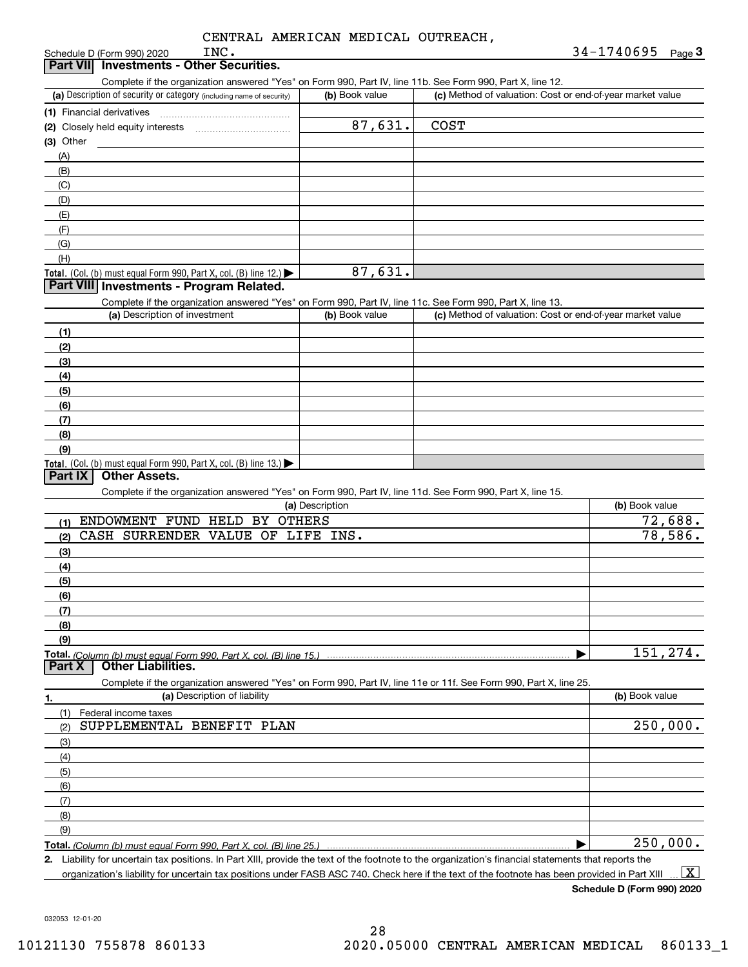Schedule D (Form 990) 2020 **Part VII Investments - Other Securities.** 

INC.

#### (a) Description of security or category (including name of security)  $\vert$  (b) Book value  $\vert$  (c) Total. (Col. (b) must equal Form 990, Part X, col. (B) line 12.) Total. (Col. (b) must equal Form 990, Part X, col. (B) line 13.) **(1)** Financial derivatives ~~~~~~~~~~~~~~~**(2)**Closely held equity interests **(3)**Other(a) Description of investment **b (b)** Book value **(1)(2)(3)(4) (5)(6)(7)(8)(9)(a) (b)**  Description**(1)(2)(3)(4)(5) (6)(7)(8)(9)Total.**  *(Column (b) must equal Form 990, Part X, col. (B) line 15.)* **1. (a)** Description of liability **Book value** Book value Book value Book value Book value Complete if the organization answered "Yes" on Form 990, Part IV, line 11b. See Form 990, Part X, line 12.  $(b)$  Book value  $\vert$  (c) Method of valuation: Cost or end-of-year market value (A)(B)(C)(D)(E)(F)(G)(H)Complete if the organization answered "Yes" on Form 990, Part IV, line 11c. See Form 990, Part X, line 13. (c) Method of valuation: Cost or end-of-year market value Complete if the organization answered "Yes" on Form 990, Part IV, line 11d. See Form 990, Part X, line 15. (b) Book value  $\blacktriangleright$ Complete if the organization answered "Yes" on Form 990, Part IV, line 11e or 11f. See Form 990, Part X, line 25. (1)(2)(3)(4)(5)(6)(7)(8)(9)Federal income taxes  $\blacktriangleright$ **Part VIII Investments - Program Related. Part IX Other Assets. Part X Other Liabilities.** ENDOWMENT FUND HELD BY OTHERS CASH SURRENDER VALUE OF LIFE INS. SUPPLEMENTAL BENEFIT PLAN 87,631. 87,631. 72,688. 78,586. 151,274. 250,000. 250,000. COST

**Total.**  *(Column (b) must equal Form 990, Part X, col. (B) line 25.)* 

**2.**Liability for uncertain tax positions. In Part XIII, provide the text of the footnote to the organization's financial statements that reports the organization's liability for uncertain tax positions under FASB ASC 740. Check here if the text of the footnote has been provided in Part XIII  $\boxed{\text{X}}$ 

**Schedule D (Form 990) 2020**

032053 12-01-20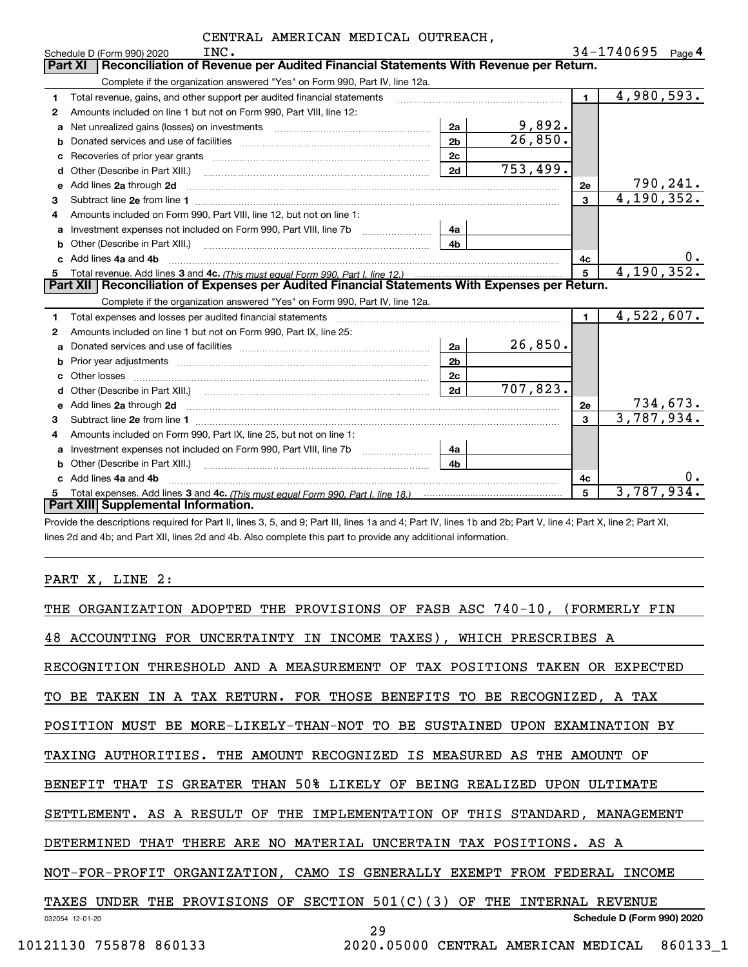| CENTRAL AMERICAN MEDICAL OUTREACH, |  |
|------------------------------------|--|
|------------------------------------|--|

|   | INC.<br>Schedule D (Form 990) 2020                                                                                                                                                                                             |                |           |                | 34-1740695               | Page 4   |
|---|--------------------------------------------------------------------------------------------------------------------------------------------------------------------------------------------------------------------------------|----------------|-----------|----------------|--------------------------|----------|
|   | Reconciliation of Revenue per Audited Financial Statements With Revenue per Return.<br><b>Part XI</b>                                                                                                                          |                |           |                |                          |          |
|   | Complete if the organization answered "Yes" on Form 990, Part IV, line 12a.                                                                                                                                                    |                |           |                |                          |          |
| 1 | Total revenue, gains, and other support per audited financial statements                                                                                                                                                       |                |           | $\blacksquare$ | $\overline{4,980}, 593.$ |          |
| 2 | Amounts included on line 1 but not on Form 990, Part VIII, line 12:                                                                                                                                                            |                |           |                |                          |          |
| a | Net unrealized gains (losses) on investments [11] matter contracts and the unrealized gains (losses) on investments                                                                                                            | 2a             | 9,892.    |                |                          |          |
|   |                                                                                                                                                                                                                                | 2 <sub>b</sub> | 26,850.   |                |                          |          |
| с |                                                                                                                                                                                                                                | 2c             |           |                |                          |          |
| d | Other (Describe in Part XIII.) <b>Construction Contract Construction</b> Chern Construction Construction Construction                                                                                                          | 2d             | 753,499.  |                |                          |          |
| e | Add lines 2a through 2d                                                                                                                                                                                                        |                |           | 2e             |                          | 790,241. |
| 3 |                                                                                                                                                                                                                                |                |           | 3              | 4,190,352.               |          |
| 4 | Amounts included on Form 990, Part VIII, line 12, but not on line 1:                                                                                                                                                           |                |           |                |                          |          |
|   |                                                                                                                                                                                                                                | 4a             |           |                |                          |          |
| b |                                                                                                                                                                                                                                | 4 <sub>b</sub> |           |                |                          |          |
|   | Add lines 4a and 4b                                                                                                                                                                                                            |                |           | 4c             |                          | 0.       |
| 5 |                                                                                                                                                                                                                                |                |           | 5              | 4, 190, 352.             |          |
|   | Part XII Reconciliation of Expenses per Audited Financial Statements With Expenses per Return.                                                                                                                                 |                |           |                |                          |          |
|   | Complete if the organization answered "Yes" on Form 990, Part IV, line 12a.                                                                                                                                                    |                |           |                |                          |          |
| 1 | Total expenses and losses per audited financial statements [111] [12] manuscription and statements [13] Total expenses and losses per audited financial statements [13] manuscription and the statements [13] manuscription an |                |           | $\mathbf{1}$   | 4,522,607.               |          |
| 2 | Amounts included on line 1 but not on Form 990, Part IX, line 25:                                                                                                                                                              |                |           |                |                          |          |
| a |                                                                                                                                                                                                                                | 2a             | 26,850.   |                |                          |          |
| b |                                                                                                                                                                                                                                |                |           |                |                          |          |
|   |                                                                                                                                                                                                                                | 2 <sub>b</sub> |           |                |                          |          |
| C |                                                                                                                                                                                                                                | 2c             |           |                |                          |          |
|   |                                                                                                                                                                                                                                | 2d             | 707, 823. |                |                          |          |
| e | Add lines 2a through 2d <b>must be a constructed as the constant of the constant of the constant of the construction</b>                                                                                                       |                |           | 2e             |                          | 734,673. |
| 3 |                                                                                                                                                                                                                                |                |           | 3              | 3,787,934.               |          |
| 4 | Amounts included on Form 990, Part IX, line 25, but not on line 1:                                                                                                                                                             |                |           |                |                          |          |
| a |                                                                                                                                                                                                                                | 4a             |           |                |                          |          |
| b |                                                                                                                                                                                                                                | 4 <sub>b</sub> |           |                |                          |          |
|   | Add lines 4a and 4b                                                                                                                                                                                                            |                |           | 4с             |                          | 0.       |
|   | <b>Part XIII Supplemental Information.</b>                                                                                                                                                                                     |                |           | 5              | 3,787,934.               |          |

Provide the descriptions required for Part II, lines 3, 5, and 9; Part III, lines 1a and 4; Part IV, lines 1b and 2b; Part V, line 4; Part X, line 2; Part XI, lines 2d and 4b; and Part XII, lines 2d and 4b. Also complete this part to provide any additional information.

### PART X, LINE 2:

|                        | THE ORGANIZATION ADOPTED THE PROVISIONS OF FASB ASC 740-10, (FORMERLY FIN  |
|------------------------|----------------------------------------------------------------------------|
|                        | 48 ACCOUNTING FOR UNCERTAINTY IN INCOME TAXES), WHICH PRESCRIBES A         |
|                        | RECOGNITION THRESHOLD AND A MEASUREMENT OF TAX POSITIONS TAKEN OR EXPECTED |
|                        | TO BE TAKEN IN A TAX RETURN. FOR THOSE BENEFITS TO BE RECOGNIZED, A TAX    |
|                        | POSITION MUST BE MORE-LIKELY-THAN-NOT TO BE SUSTAINED UPON EXAMINATION BY  |
|                        | TAXING AUTHORITIES. THE AMOUNT RECOGNIZED IS MEASURED AS THE AMOUNT OF     |
|                        | BENEFIT THAT IS GREATER THAN 50% LIKELY OF BEING REALIZED UPON ULTIMATE    |
|                        | SETTLEMENT. AS A RESULT OF THE IMPLEMENTATION OF THIS STANDARD, MANAGEMENT |
|                        | DETERMINED THAT THERE ARE NO MATERIAL UNCERTAIN TAX POSITIONS. AS A        |
|                        | NOT-FOR-PROFIT ORGANIZATION, CAMO IS GENERALLY EXEMPT FROM FEDERAL INCOME  |
|                        | TAXES UNDER THE PROVISIONS OF SECTION $501(C)(3)$ OF THE INTERNAL REVENUE  |
| 032054 12-01-20        | Schedule D (Form 990) 2020<br>29                                           |
| 10121130 755878 860133 | 2020.05000 CENTRAL AMERICAN MEDICAL 860133 1                               |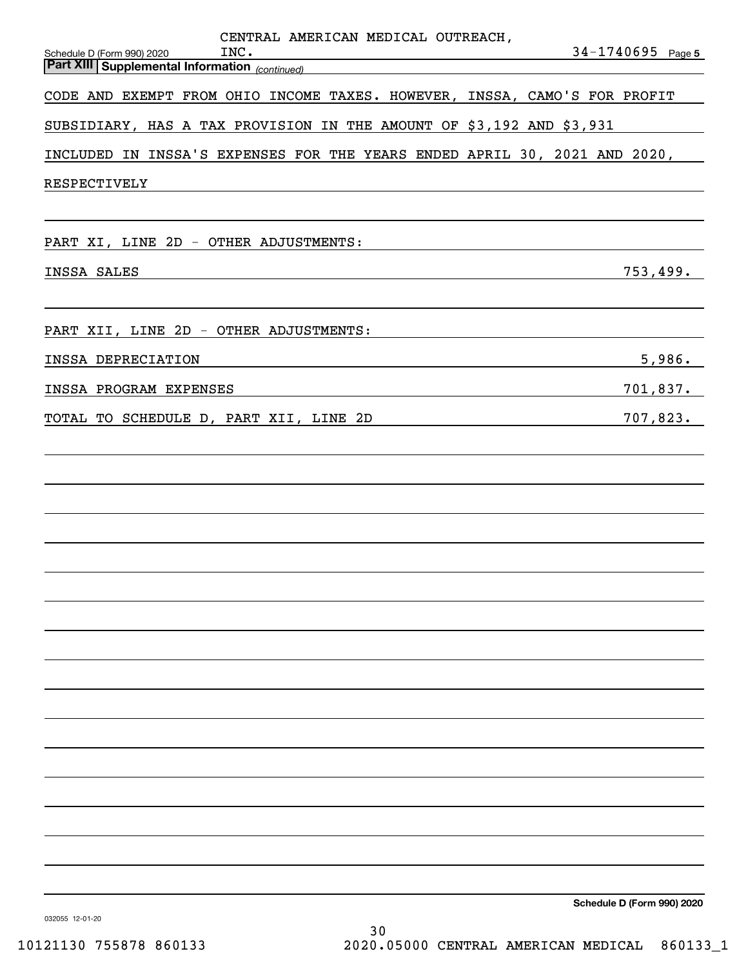| CENTRAL AMERICAN MEDICAL OUTREACH,<br>INC.<br>Schedule D (Form 990) 2020<br><b>Part XIII Supplemental Information</b> (continued) | $34 - 1740695$ Page 5      |
|-----------------------------------------------------------------------------------------------------------------------------------|----------------------------|
| CODE AND EXEMPT FROM OHIO INCOME TAXES. HOWEVER, INSSA, CAMO'S FOR PROFIT                                                         |                            |
| SUBSIDIARY, HAS A TAX PROVISION IN THE AMOUNT OF \$3,192 AND \$3,931                                                              |                            |
| INCLUDED IN INSSA'S EXPENSES FOR THE YEARS ENDED APRIL 30, 2021 AND 2020,                                                         |                            |
| RESPECTIVELY                                                                                                                      |                            |
|                                                                                                                                   |                            |
| PART XI, LINE 2D - OTHER ADJUSTMENTS:                                                                                             |                            |
| INSSA SALES                                                                                                                       | 753,499.                   |
|                                                                                                                                   |                            |
| PART XII, LINE 2D - OTHER ADJUSTMENTS:                                                                                            |                            |
| INSSA DEPRECIATION                                                                                                                | 5,986.                     |
| INSSA PROGRAM EXPENSES                                                                                                            | 701,837.                   |
| TOTAL TO SCHEDULE D, PART XII, LINE 2D                                                                                            | 707,823.                   |
|                                                                                                                                   |                            |
|                                                                                                                                   |                            |
|                                                                                                                                   |                            |
|                                                                                                                                   |                            |
|                                                                                                                                   |                            |
|                                                                                                                                   |                            |
|                                                                                                                                   |                            |
|                                                                                                                                   |                            |
|                                                                                                                                   |                            |
|                                                                                                                                   |                            |
|                                                                                                                                   |                            |
|                                                                                                                                   |                            |
|                                                                                                                                   |                            |
|                                                                                                                                   |                            |
|                                                                                                                                   |                            |
|                                                                                                                                   | Schedule D (Form 990) 2020 |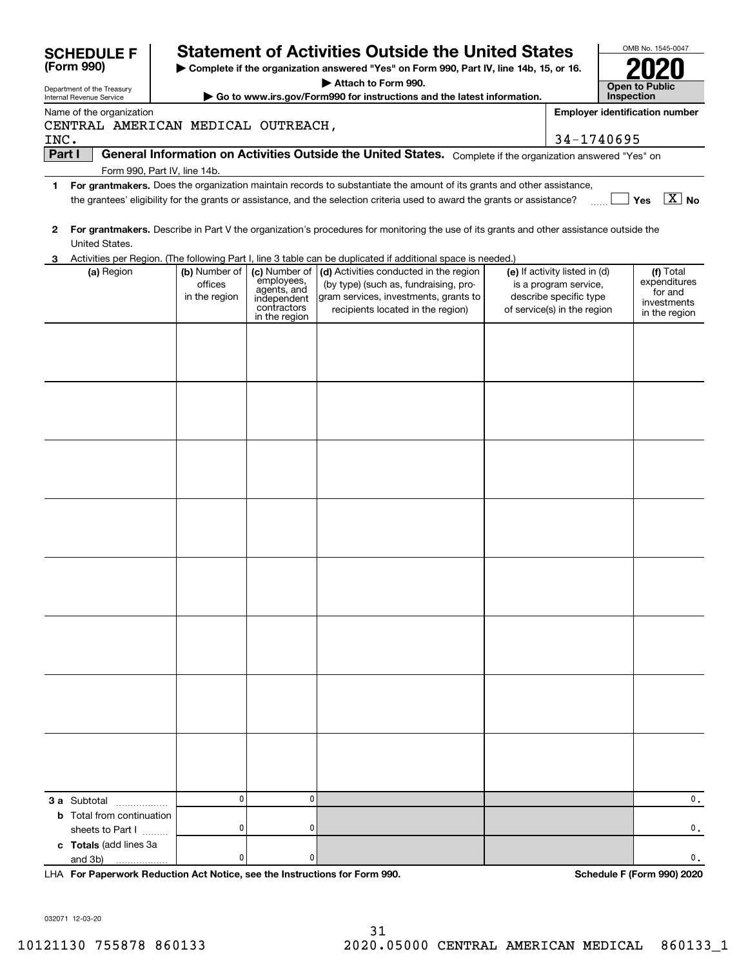|        | <b>SCHEDULE F</b>                 |                                    |                                           | <b>Statement of Activities Outside the United States</b>                                                                                               |                               |            | OMB No. 1545-0047                     |
|--------|-----------------------------------|------------------------------------|-------------------------------------------|--------------------------------------------------------------------------------------------------------------------------------------------------------|-------------------------------|------------|---------------------------------------|
|        | (Form 990)                        |                                    |                                           | Complete if the organization answered "Yes" on Form 990, Part IV, line 14b, 15, or 16.                                                                 |                               |            |                                       |
|        | Department of the Treasury        |                                    |                                           | Attach to Form 990.                                                                                                                                    |                               |            | <b>Open to Public</b>                 |
|        | Internal Revenue Service          |                                    |                                           | Go to www.irs.gov/Form990 for instructions and the latest information.                                                                                 |                               | Inspection |                                       |
|        | Name of the organization          |                                    |                                           |                                                                                                                                                        |                               |            | <b>Employer identification number</b> |
| INC.   |                                   | CENTRAL AMERICAN MEDICAL OUTREACH, |                                           |                                                                                                                                                        | 34-1740695                    |            |                                       |
| Part I |                                   |                                    |                                           | General Information on Activities Outside the United States. Complete if the organization answered "Yes" on                                            |                               |            |                                       |
|        |                                   | Form 990, Part IV, line 14b.       |                                           |                                                                                                                                                        |                               |            |                                       |
| 1      |                                   |                                    |                                           | For grantmakers. Does the organization maintain records to substantiate the amount of its grants and other assistance,                                 |                               |            |                                       |
|        |                                   |                                    |                                           | the grantees' eligibility for the grants or assistance, and the selection criteria used to award the grants or assistance?                             |                               |            | $\overline{\mathbf{X}}$ No<br>Yes     |
|        |                                   |                                    |                                           |                                                                                                                                                        |                               |            |                                       |
| 2      |                                   |                                    |                                           | For grantmakers. Describe in Part V the organization's procedures for monitoring the use of its grants and other assistance outside the                |                               |            |                                       |
|        | United States.                    |                                    |                                           |                                                                                                                                                        |                               |            |                                       |
| З      | (a) Region                        | (b) Number of                      | (c) Number of                             | Activities per Region. (The following Part I, line 3 table can be duplicated if additional space is needed.)<br>(d) Activities conducted in the region | (e) If activity listed in (d) |            | (f) Total                             |
|        |                                   | offices                            | employees,                                | (by type) (such as, fundraising, pro-                                                                                                                  | is a program service,         |            | expenditures                          |
|        |                                   | in the region                      | agents, and<br>independent<br>contractors | gram services, investments, grants to                                                                                                                  | describe specific type        |            | for and<br>investments                |
|        |                                   |                                    | in the region                             | recipients located in the region)                                                                                                                      | of service(s) in the region   |            | in the region                         |
|        |                                   |                                    |                                           |                                                                                                                                                        |                               |            |                                       |
|        |                                   |                                    |                                           |                                                                                                                                                        |                               |            |                                       |
|        |                                   |                                    |                                           |                                                                                                                                                        |                               |            |                                       |
|        |                                   |                                    |                                           |                                                                                                                                                        |                               |            |                                       |
|        |                                   |                                    |                                           |                                                                                                                                                        |                               |            |                                       |
|        |                                   |                                    |                                           |                                                                                                                                                        |                               |            |                                       |
|        |                                   |                                    |                                           |                                                                                                                                                        |                               |            |                                       |
|        |                                   |                                    |                                           |                                                                                                                                                        |                               |            |                                       |
|        |                                   |                                    |                                           |                                                                                                                                                        |                               |            |                                       |
|        |                                   |                                    |                                           |                                                                                                                                                        |                               |            |                                       |
|        |                                   |                                    |                                           |                                                                                                                                                        |                               |            |                                       |
|        |                                   |                                    |                                           |                                                                                                                                                        |                               |            |                                       |
|        |                                   |                                    |                                           |                                                                                                                                                        |                               |            |                                       |
|        |                                   |                                    |                                           |                                                                                                                                                        |                               |            |                                       |
|        |                                   |                                    |                                           |                                                                                                                                                        |                               |            |                                       |
|        |                                   |                                    |                                           |                                                                                                                                                        |                               |            |                                       |
|        |                                   |                                    |                                           |                                                                                                                                                        |                               |            |                                       |
|        |                                   |                                    |                                           |                                                                                                                                                        |                               |            |                                       |
|        |                                   |                                    |                                           |                                                                                                                                                        |                               |            |                                       |
|        |                                   |                                    |                                           |                                                                                                                                                        |                               |            |                                       |
|        |                                   |                                    |                                           |                                                                                                                                                        |                               |            |                                       |
|        |                                   |                                    |                                           |                                                                                                                                                        |                               |            |                                       |
|        |                                   |                                    |                                           |                                                                                                                                                        |                               |            |                                       |
|        |                                   |                                    |                                           |                                                                                                                                                        |                               |            |                                       |
|        |                                   |                                    |                                           |                                                                                                                                                        |                               |            |                                       |
|        |                                   |                                    |                                           |                                                                                                                                                        |                               |            |                                       |
|        |                                   |                                    |                                           |                                                                                                                                                        |                               |            |                                       |
|        |                                   |                                    |                                           |                                                                                                                                                        |                               |            |                                       |
|        |                                   |                                    |                                           |                                                                                                                                                        |                               |            |                                       |
|        | 3 a Subtotal<br>.                 | 0                                  | 0                                         |                                                                                                                                                        |                               |            | 0.                                    |
|        | <b>b</b> Total from continuation  |                                    |                                           |                                                                                                                                                        |                               |            |                                       |
|        | sheets to Part I                  | 0                                  | 0                                         |                                                                                                                                                        |                               |            | 0.                                    |
|        | c Totals (add lines 3a<br>and 3b) | 0                                  | 0                                         |                                                                                                                                                        |                               |            | 0.                                    |
|        | .                                 |                                    |                                           |                                                                                                                                                        |                               |            |                                       |

**For Paperwork Reduction Act Notice, see the Instructions for Form 990. Schedule F (Form 990) 2020** LHA

032071 12-03-20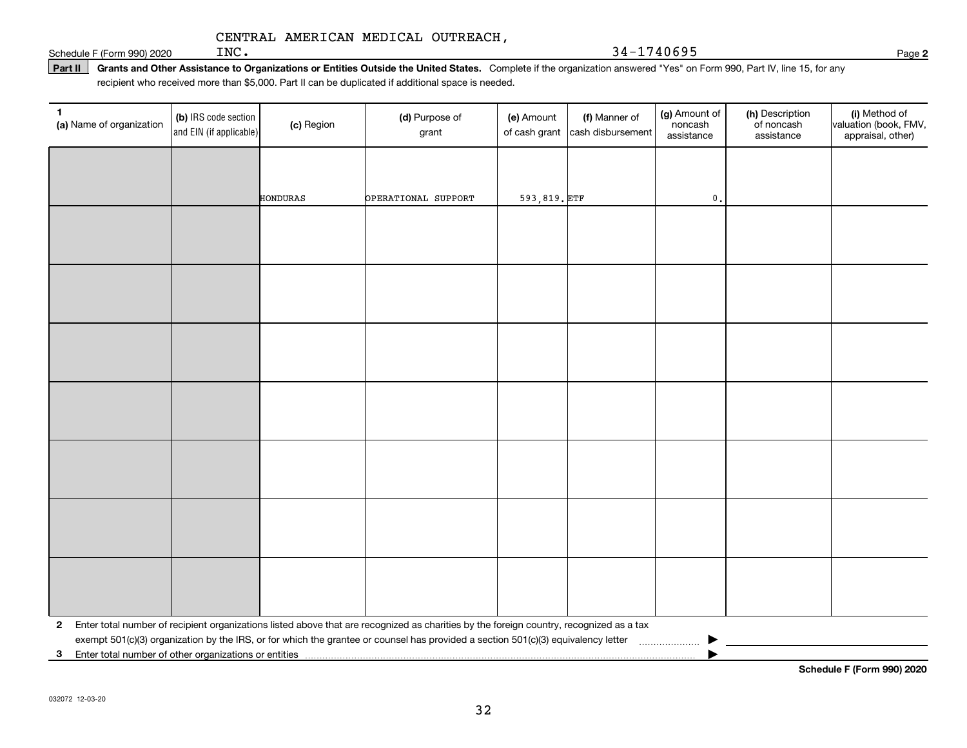INC. 34-1740695

Schedule F (Form 990) 2020  $\text{INC.}$ 

Part II | Grants and Other Assistance to Organizations or Entities Outside the United States. Complete if the organization answered "Yes" on Form 990, Part IV, line 15, for any recipient who received more than \$5,000. Part II can be duplicated if additional space is needed.

| 1<br>(a) Name of organization                           | (b) IRS code section<br>and EIN (if applicable) | (c) Region | (d) Purpose of<br>grant                                                                                                                 | (e) Amount<br>of cash grant | (f) Manner of<br>cash disbursement | (g) Amount of<br>noncash<br>assistance | (h) Description<br>of noncash<br>assistance | (i) Method of<br>valuation (book, FMV,<br>appraisal, other) |
|---------------------------------------------------------|-------------------------------------------------|------------|-----------------------------------------------------------------------------------------------------------------------------------------|-----------------------------|------------------------------------|----------------------------------------|---------------------------------------------|-------------------------------------------------------------|
|                                                         |                                                 |            |                                                                                                                                         |                             |                                    |                                        |                                             |                                                             |
|                                                         |                                                 |            |                                                                                                                                         |                             |                                    |                                        |                                             |                                                             |
|                                                         |                                                 | HONDURAS   | OPERATIONAL SUPPORT                                                                                                                     | 593,819. ETF                |                                    | $\mathbf{0}$ .                         |                                             |                                                             |
|                                                         |                                                 |            |                                                                                                                                         |                             |                                    |                                        |                                             |                                                             |
|                                                         |                                                 |            |                                                                                                                                         |                             |                                    |                                        |                                             |                                                             |
|                                                         |                                                 |            |                                                                                                                                         |                             |                                    |                                        |                                             |                                                             |
|                                                         |                                                 |            |                                                                                                                                         |                             |                                    |                                        |                                             |                                                             |
|                                                         |                                                 |            |                                                                                                                                         |                             |                                    |                                        |                                             |                                                             |
|                                                         |                                                 |            |                                                                                                                                         |                             |                                    |                                        |                                             |                                                             |
|                                                         |                                                 |            |                                                                                                                                         |                             |                                    |                                        |                                             |                                                             |
|                                                         |                                                 |            |                                                                                                                                         |                             |                                    |                                        |                                             |                                                             |
|                                                         |                                                 |            |                                                                                                                                         |                             |                                    |                                        |                                             |                                                             |
|                                                         |                                                 |            |                                                                                                                                         |                             |                                    |                                        |                                             |                                                             |
|                                                         |                                                 |            |                                                                                                                                         |                             |                                    |                                        |                                             |                                                             |
|                                                         |                                                 |            |                                                                                                                                         |                             |                                    |                                        |                                             |                                                             |
|                                                         |                                                 |            |                                                                                                                                         |                             |                                    |                                        |                                             |                                                             |
|                                                         |                                                 |            |                                                                                                                                         |                             |                                    |                                        |                                             |                                                             |
|                                                         |                                                 |            |                                                                                                                                         |                             |                                    |                                        |                                             |                                                             |
|                                                         |                                                 |            |                                                                                                                                         |                             |                                    |                                        |                                             |                                                             |
|                                                         |                                                 |            |                                                                                                                                         |                             |                                    |                                        |                                             |                                                             |
|                                                         |                                                 |            |                                                                                                                                         |                             |                                    |                                        |                                             |                                                             |
|                                                         |                                                 |            |                                                                                                                                         |                             |                                    |                                        |                                             |                                                             |
| $\mathbf{2}$                                            |                                                 |            | Enter total number of recipient organizations listed above that are recognized as charities by the foreign country, recognized as a tax |                             |                                    |                                        |                                             |                                                             |
|                                                         |                                                 |            | exempt 501(c)(3) organization by the IRS, or for which the grantee or counsel has provided a section 501(c)(3) equivalency letter       |                             |                                    |                                        |                                             |                                                             |
| 3 Enter total number of other organizations or entities |                                                 |            |                                                                                                                                         |                             |                                    |                                        |                                             |                                                             |

**2**

**Schedule F (Form 990) 2020**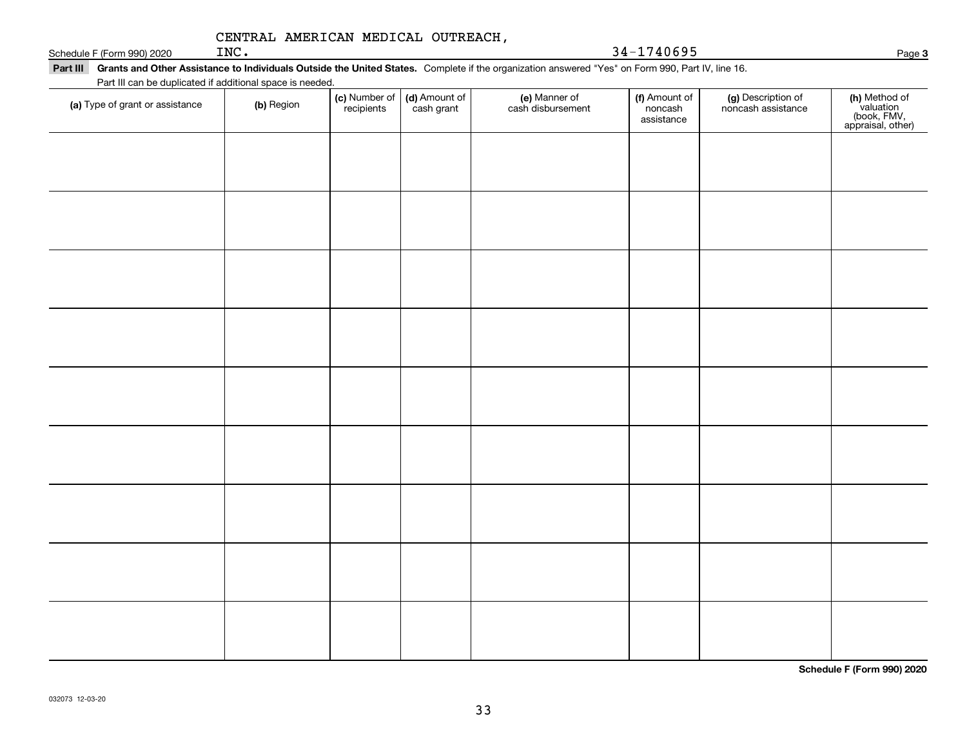| CENTRAL AMERICAN MEDICAL OUTREACH, |  |
|------------------------------------|--|
|                                    |  |

Schedule F (Form 990) 2020  $N_{\rm e}$  Page 1918 and  $24-1740695$ 

| Part III can be duplicated if additional space is needed. |            |                             |                             |                                    |                                        |                                          |                                                                |  |  |
|-----------------------------------------------------------|------------|-----------------------------|-----------------------------|------------------------------------|----------------------------------------|------------------------------------------|----------------------------------------------------------------|--|--|
| (a) Type of grant or assistance                           | (b) Region | (c) Number of<br>recipients | (d) Amount of<br>cash grant | (e) Manner of<br>cash disbursement | (f) Amount of<br>noncash<br>assistance | (g) Description of<br>noncash assistance | (h) Method of<br>valuation<br>(book, FMV,<br>appraisal, other) |  |  |
|                                                           |            |                             |                             |                                    |                                        |                                          |                                                                |  |  |
|                                                           |            |                             |                             |                                    |                                        |                                          |                                                                |  |  |
|                                                           |            |                             |                             |                                    |                                        |                                          |                                                                |  |  |
|                                                           |            |                             |                             |                                    |                                        |                                          |                                                                |  |  |
|                                                           |            |                             |                             |                                    |                                        |                                          |                                                                |  |  |
|                                                           |            |                             |                             |                                    |                                        |                                          |                                                                |  |  |
|                                                           |            |                             |                             |                                    |                                        |                                          |                                                                |  |  |
|                                                           |            |                             |                             |                                    |                                        |                                          |                                                                |  |  |
|                                                           |            |                             |                             |                                    |                                        |                                          |                                                                |  |  |
|                                                           |            |                             |                             |                                    |                                        |                                          |                                                                |  |  |
|                                                           |            |                             |                             |                                    |                                        |                                          |                                                                |  |  |
|                                                           |            |                             |                             |                                    |                                        |                                          |                                                                |  |  |
|                                                           |            |                             |                             |                                    |                                        |                                          |                                                                |  |  |
|                                                           |            |                             |                             |                                    |                                        |                                          |                                                                |  |  |
|                                                           |            |                             |                             |                                    |                                        |                                          |                                                                |  |  |
|                                                           |            |                             |                             |                                    |                                        |                                          |                                                                |  |  |

**Schedule F (Form 990) 2020**

**3**

Part III Grants and Other Assistance to Individuals Outside the United States. Complete if the organization answered "Yes" on Form 990, Part IV, line 16.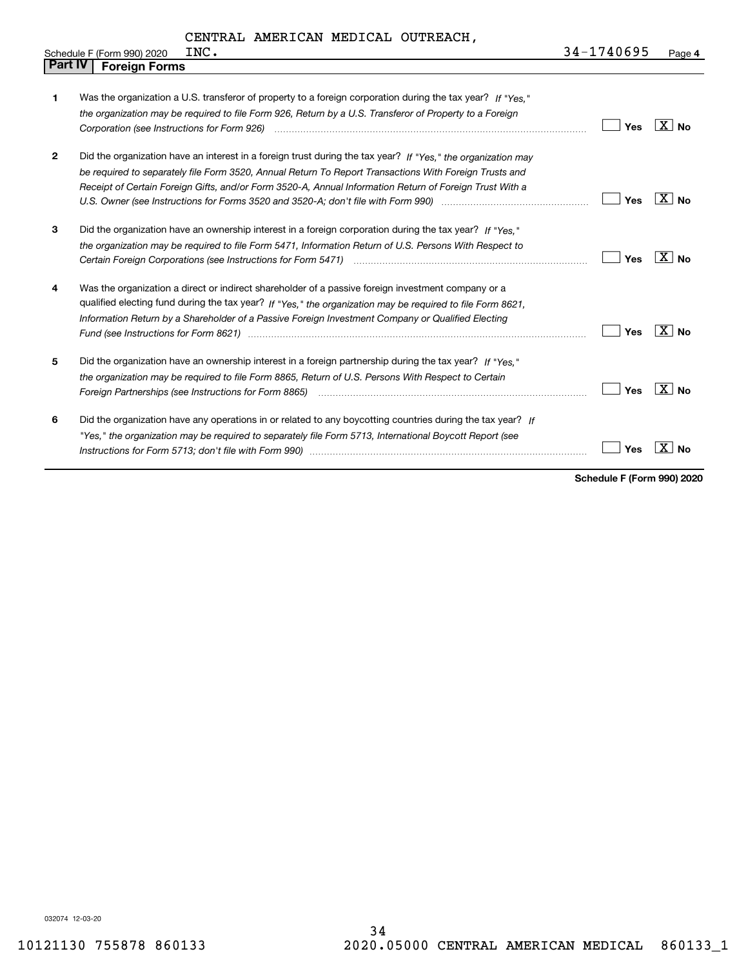|                | INC.<br>Schedule F (Form 990) 2020                                                                                                                                                                                                                                                                                                            | 34-1740695 | Page 4         |
|----------------|-----------------------------------------------------------------------------------------------------------------------------------------------------------------------------------------------------------------------------------------------------------------------------------------------------------------------------------------------|------------|----------------|
| <b>Part IV</b> | <b>Foreign Forms</b>                                                                                                                                                                                                                                                                                                                          |            |                |
| 1              | Was the organization a U.S. transferor of property to a foreign corporation during the tax year? If "Yes."<br>the organization may be required to file Form 926, Return by a U.S. Transferor of Property to a Foreign                                                                                                                         | Yes        | $X \mid N_{0}$ |
| $\mathbf{2}$   | Did the organization have an interest in a foreign trust during the tax year? If "Yes." the organization may<br>be required to separately file Form 3520, Annual Return To Report Transactions With Foreign Trusts and<br>Receipt of Certain Foreign Gifts, and/or Form 3520-A, Annual Information Return of Foreign Trust With a             | Yes        | $X \mid N_{0}$ |
| 3              | Did the organization have an ownership interest in a foreign corporation during the tax year? If "Yes."<br>the organization may be required to file Form 5471, Information Return of U.S. Persons With Respect to<br>Certain Foreign Corporations (see Instructions for Form 5471) <i>manded contained contained corporation</i> contained to | Yes        | $X \mid N_{0}$ |
| 4              | Was the organization a direct or indirect shareholder of a passive foreign investment company or a<br>qualified electing fund during the tax year? If "Yes," the organization may be required to file Form 8621,<br>Information Return by a Shareholder of a Passive Foreign Investment Company or Qualified Electing                         | Yes        | ΧI<br>No.      |
| 5              | Did the organization have an ownership interest in a foreign partnership during the tax year? If "Yes."<br>the organization may be required to file Form 8865, Return of U.S. Persons With Respect to Certain                                                                                                                                 | Yes        | $X $ No        |
| 6              | Did the organization have any operations in or related to any boycotting countries during the tax year? If<br>"Yes," the organization may be required to separately file Form 5713, International Boycott Report (see                                                                                                                         | Yes        | Nο             |

**Schedule F (Form 990) 2020**

032074 12-03-20

 $\mathsf{l}$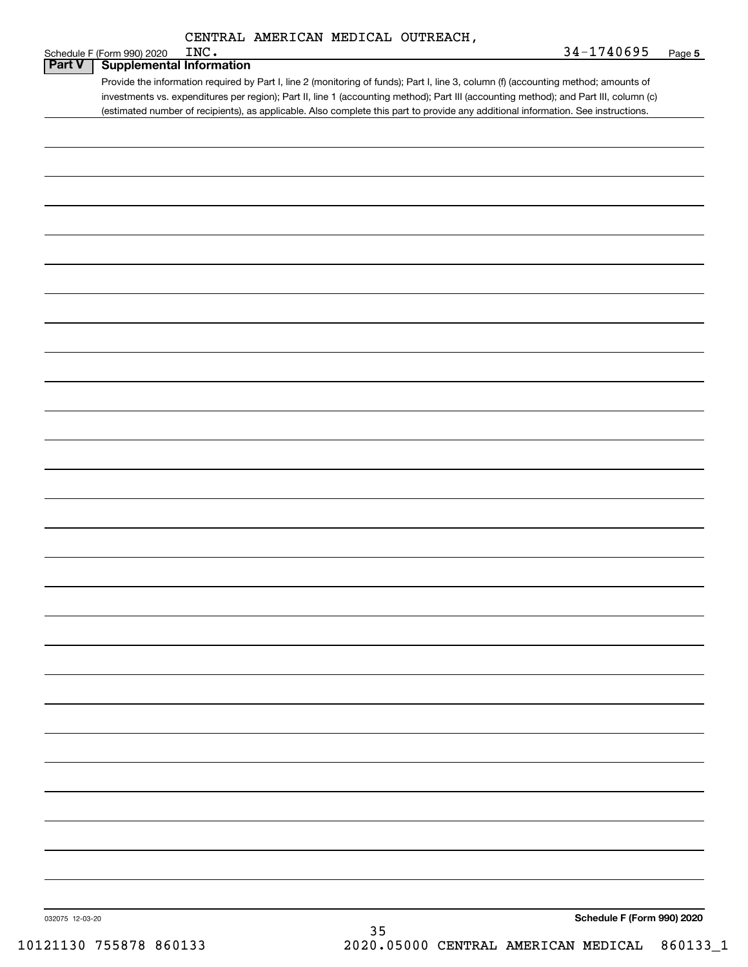| CENTRAL AMERICAN MEDICAL OUTREACH, |  |
|------------------------------------|--|

|                 | CENTRAL AMERICAN MEDICAL OUTREACH,                                                                                                                                                                                                                                                                                                                                                                                                                   |                            |        |
|-----------------|------------------------------------------------------------------------------------------------------------------------------------------------------------------------------------------------------------------------------------------------------------------------------------------------------------------------------------------------------------------------------------------------------------------------------------------------------|----------------------------|--------|
|                 | INC.<br>Schedule F (Form 990) 2020                                                                                                                                                                                                                                                                                                                                                                                                                   | 34-1740695                 | Page 5 |
| Part V          | <b>Supplemental Information</b><br>Provide the information required by Part I, line 2 (monitoring of funds); Part I, line 3, column (f) (accounting method; amounts of<br>investments vs. expenditures per region); Part II, line 1 (accounting method); Part III (accounting method); and Part III, column (c)<br>(estimated number of recipients), as applicable. Also complete this part to provide any additional information. See instructions. |                            |        |
|                 |                                                                                                                                                                                                                                                                                                                                                                                                                                                      |                            |        |
|                 |                                                                                                                                                                                                                                                                                                                                                                                                                                                      |                            |        |
|                 |                                                                                                                                                                                                                                                                                                                                                                                                                                                      |                            |        |
|                 |                                                                                                                                                                                                                                                                                                                                                                                                                                                      |                            |        |
|                 |                                                                                                                                                                                                                                                                                                                                                                                                                                                      |                            |        |
|                 |                                                                                                                                                                                                                                                                                                                                                                                                                                                      |                            |        |
|                 |                                                                                                                                                                                                                                                                                                                                                                                                                                                      |                            |        |
|                 |                                                                                                                                                                                                                                                                                                                                                                                                                                                      |                            |        |
|                 |                                                                                                                                                                                                                                                                                                                                                                                                                                                      |                            |        |
|                 |                                                                                                                                                                                                                                                                                                                                                                                                                                                      |                            |        |
|                 |                                                                                                                                                                                                                                                                                                                                                                                                                                                      |                            |        |
|                 |                                                                                                                                                                                                                                                                                                                                                                                                                                                      |                            |        |
|                 |                                                                                                                                                                                                                                                                                                                                                                                                                                                      |                            |        |
|                 |                                                                                                                                                                                                                                                                                                                                                                                                                                                      |                            |        |
|                 |                                                                                                                                                                                                                                                                                                                                                                                                                                                      |                            |        |
|                 |                                                                                                                                                                                                                                                                                                                                                                                                                                                      |                            |        |
|                 |                                                                                                                                                                                                                                                                                                                                                                                                                                                      |                            |        |
|                 |                                                                                                                                                                                                                                                                                                                                                                                                                                                      |                            |        |
| 032075 12-03-20 |                                                                                                                                                                                                                                                                                                                                                                                                                                                      | Schedule F (Form 990) 2020 |        |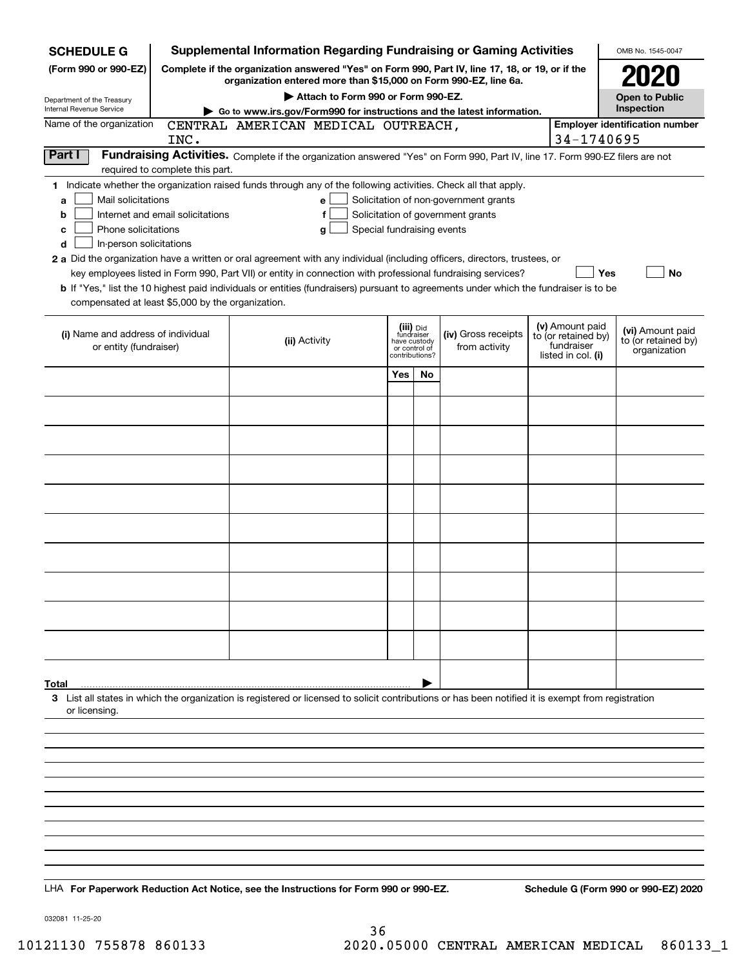| Supplemental Information Regarding Fundraising or Gaming Activities<br><b>SCHEDULE G</b>                                                                                                                                                                                                                                                                                                                                                                                                                                                                                           |                                                                                                                                                                     |                                                                            |    |                                                                            |  |                                                                            | OMB No. 1545-0047                                       |  |  |
|------------------------------------------------------------------------------------------------------------------------------------------------------------------------------------------------------------------------------------------------------------------------------------------------------------------------------------------------------------------------------------------------------------------------------------------------------------------------------------------------------------------------------------------------------------------------------------|---------------------------------------------------------------------------------------------------------------------------------------------------------------------|----------------------------------------------------------------------------|----|----------------------------------------------------------------------------|--|----------------------------------------------------------------------------|---------------------------------------------------------|--|--|
| (Form 990 or 990-EZ)                                                                                                                                                                                                                                                                                                                                                                                                                                                                                                                                                               | Complete if the organization answered "Yes" on Form 990, Part IV, line 17, 18, or 19, or if the<br>organization entered more than \$15,000 on Form 990-EZ, line 6a. |                                                                            |    |                                                                            |  |                                                                            |                                                         |  |  |
| Department of the Treasury                                                                                                                                                                                                                                                                                                                                                                                                                                                                                                                                                         | Attach to Form 990 or Form 990-EZ.                                                                                                                                  |                                                                            |    |                                                                            |  |                                                                            |                                                         |  |  |
| Internal Revenue Service                                                                                                                                                                                                                                                                                                                                                                                                                                                                                                                                                           | Go to www.irs.gov/Form990 for instructions and the latest information.                                                                                              |                                                                            |    |                                                                            |  |                                                                            |                                                         |  |  |
| Name of the organization<br>INC.                                                                                                                                                                                                                                                                                                                                                                                                                                                                                                                                                   | CENTRAL AMERICAN MEDICAL OUTREACH,                                                                                                                                  |                                                                            |    |                                                                            |  | 34-1740695                                                                 | <b>Employer identification number</b>                   |  |  |
| Part I<br>required to complete this part.                                                                                                                                                                                                                                                                                                                                                                                                                                                                                                                                          | Fundraising Activities. Complete if the organization answered "Yes" on Form 990, Part IV, line 17. Form 990-EZ filers are not                                       |                                                                            |    |                                                                            |  |                                                                            |                                                         |  |  |
| 1 Indicate whether the organization raised funds through any of the following activities. Check all that apply.<br>Mail solicitations<br>a<br>Internet and email solicitations<br>b<br>Phone solicitations<br>c<br>In-person solicitations<br>d<br>2 a Did the organization have a written or oral agreement with any individual (including officers, directors, trustees, or<br><b>b</b> If "Yes," list the 10 highest paid individuals or entities (fundraisers) pursuant to agreements under which the fundraiser is to be<br>compensated at least \$5,000 by the organization. | е<br>f<br>Special fundraising events<br>g<br>key employees listed in Form 990, Part VII) or entity in connection with professional fundraising services?            |                                                                            |    | Solicitation of non-government grants<br>Solicitation of government grants |  | Yes                                                                        | No                                                      |  |  |
| (i) Name and address of individual<br>or entity (fundraiser)                                                                                                                                                                                                                                                                                                                                                                                                                                                                                                                       | (ii) Activity                                                                                                                                                       | (iii) Did<br>fundraiser<br>have custody<br>or control of<br>contributions? |    | (iv) Gross receipts<br>from activity                                       |  | (v) Amount paid<br>to (or retained by)<br>fundraiser<br>listed in col. (i) | (vi) Amount paid<br>to (or retained by)<br>organization |  |  |
|                                                                                                                                                                                                                                                                                                                                                                                                                                                                                                                                                                                    |                                                                                                                                                                     | <b>Yes</b>                                                                 | No |                                                                            |  |                                                                            |                                                         |  |  |
|                                                                                                                                                                                                                                                                                                                                                                                                                                                                                                                                                                                    |                                                                                                                                                                     |                                                                            |    |                                                                            |  |                                                                            |                                                         |  |  |
|                                                                                                                                                                                                                                                                                                                                                                                                                                                                                                                                                                                    |                                                                                                                                                                     |                                                                            |    |                                                                            |  |                                                                            |                                                         |  |  |
|                                                                                                                                                                                                                                                                                                                                                                                                                                                                                                                                                                                    |                                                                                                                                                                     |                                                                            |    |                                                                            |  |                                                                            |                                                         |  |  |
|                                                                                                                                                                                                                                                                                                                                                                                                                                                                                                                                                                                    |                                                                                                                                                                     |                                                                            |    |                                                                            |  |                                                                            |                                                         |  |  |
|                                                                                                                                                                                                                                                                                                                                                                                                                                                                                                                                                                                    |                                                                                                                                                                     |                                                                            |    |                                                                            |  |                                                                            |                                                         |  |  |
|                                                                                                                                                                                                                                                                                                                                                                                                                                                                                                                                                                                    |                                                                                                                                                                     |                                                                            |    |                                                                            |  |                                                                            |                                                         |  |  |
|                                                                                                                                                                                                                                                                                                                                                                                                                                                                                                                                                                                    |                                                                                                                                                                     |                                                                            |    |                                                                            |  |                                                                            |                                                         |  |  |
|                                                                                                                                                                                                                                                                                                                                                                                                                                                                                                                                                                                    |                                                                                                                                                                     |                                                                            |    |                                                                            |  |                                                                            |                                                         |  |  |
|                                                                                                                                                                                                                                                                                                                                                                                                                                                                                                                                                                                    |                                                                                                                                                                     |                                                                            |    |                                                                            |  |                                                                            |                                                         |  |  |
|                                                                                                                                                                                                                                                                                                                                                                                                                                                                                                                                                                                    |                                                                                                                                                                     |                                                                            |    |                                                                            |  |                                                                            |                                                         |  |  |
| Total<br>3 List all states in which the organization is registered or licensed to solicit contributions or has been notified it is exempt from registration<br>or licensing.                                                                                                                                                                                                                                                                                                                                                                                                       |                                                                                                                                                                     |                                                                            |    |                                                                            |  |                                                                            |                                                         |  |  |
|                                                                                                                                                                                                                                                                                                                                                                                                                                                                                                                                                                                    |                                                                                                                                                                     |                                                                            |    |                                                                            |  |                                                                            |                                                         |  |  |
|                                                                                                                                                                                                                                                                                                                                                                                                                                                                                                                                                                                    |                                                                                                                                                                     |                                                                            |    |                                                                            |  |                                                                            |                                                         |  |  |
|                                                                                                                                                                                                                                                                                                                                                                                                                                                                                                                                                                                    |                                                                                                                                                                     |                                                                            |    |                                                                            |  |                                                                            |                                                         |  |  |
|                                                                                                                                                                                                                                                                                                                                                                                                                                                                                                                                                                                    |                                                                                                                                                                     |                                                                            |    |                                                                            |  |                                                                            |                                                         |  |  |
|                                                                                                                                                                                                                                                                                                                                                                                                                                                                                                                                                                                    |                                                                                                                                                                     |                                                                            |    |                                                                            |  |                                                                            |                                                         |  |  |
|                                                                                                                                                                                                                                                                                                                                                                                                                                                                                                                                                                                    |                                                                                                                                                                     |                                                                            |    |                                                                            |  |                                                                            |                                                         |  |  |
| LHA For Paperwork Reduction Act Notice, see the Instructions for Form 990 or 990-EZ.                                                                                                                                                                                                                                                                                                                                                                                                                                                                                               |                                                                                                                                                                     |                                                                            |    |                                                                            |  |                                                                            | Schedule G (Form 990 or 990-EZ) 2020                    |  |  |

032081 11-25-20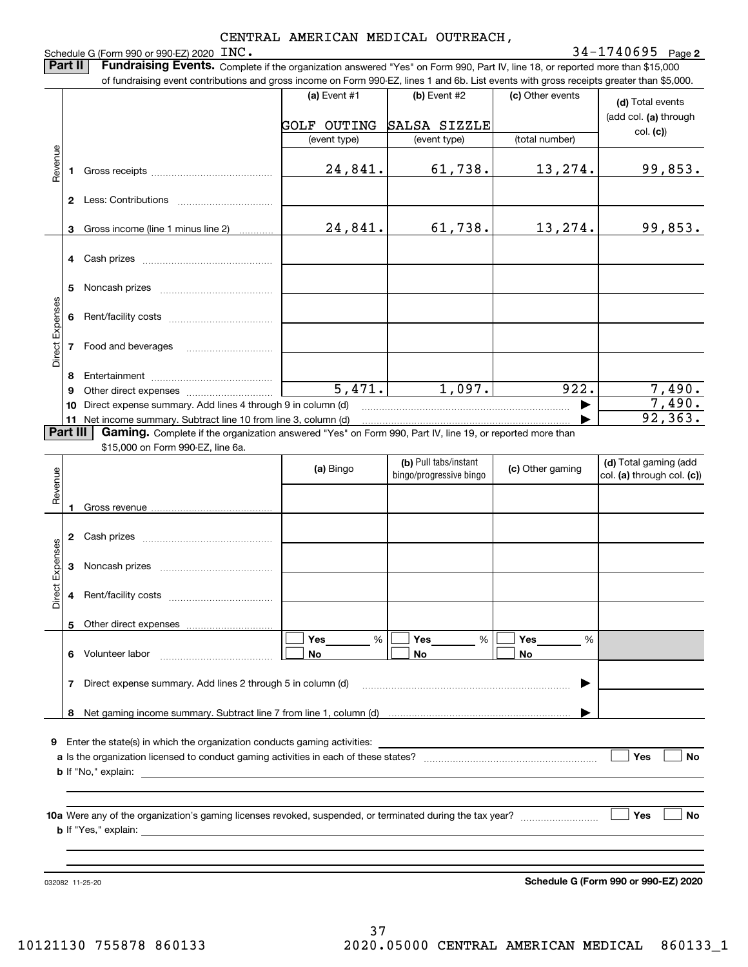|                 |          | Schedule G (Form 990 or 990-EZ) 2020 INC.                                                                                                                                                                                                                                                                             |                                                      | CENTRAL AMERICAN MEDICAL OUTREACH,               |                                    | $34 - 1740695$ Page 2                                 |  |
|-----------------|----------|-----------------------------------------------------------------------------------------------------------------------------------------------------------------------------------------------------------------------------------------------------------------------------------------------------------------------|------------------------------------------------------|--------------------------------------------------|------------------------------------|-------------------------------------------------------|--|
|                 | Part II  | Fundraising Events. Complete if the organization answered "Yes" on Form 990, Part IV, line 18, or reported more than \$15,000<br>of fundraising event contributions and gross income on Form 990-EZ, lines 1 and 6b. List events with gross receipts greater than \$5,000.                                            |                                                      |                                                  |                                    |                                                       |  |
|                 |          |                                                                                                                                                                                                                                                                                                                       | (a) Event $#1$<br><b>GOLF OUTING</b><br>(event type) | (b) Event #2<br>SALSA SIZZLE<br>(event type)     | (c) Other events<br>(total number) | (d) Total events<br>(add col. (a) through<br>col. (c) |  |
| Revenue         |          |                                                                                                                                                                                                                                                                                                                       | 24,841.                                              | 61,738.                                          | 13,274.                            | 99,853.                                               |  |
|                 |          |                                                                                                                                                                                                                                                                                                                       |                                                      |                                                  |                                    |                                                       |  |
|                 |          | 3 Gross income (line 1 minus line 2)                                                                                                                                                                                                                                                                                  | 24,841.                                              | 61,738.                                          | 13, 274.                           | 99,853.                                               |  |
|                 |          |                                                                                                                                                                                                                                                                                                                       |                                                      |                                                  |                                    |                                                       |  |
|                 |          |                                                                                                                                                                                                                                                                                                                       |                                                      |                                                  |                                    |                                                       |  |
|                 | 6        |                                                                                                                                                                                                                                                                                                                       |                                                      |                                                  |                                    |                                                       |  |
| Direct Expenses | 7        | Food and beverages                                                                                                                                                                                                                                                                                                    |                                                      |                                                  |                                    |                                                       |  |
|                 | 9        | 10 Direct expense summary. Add lines 4 through 9 in column (d)                                                                                                                                                                                                                                                        | 5,471.                                               | 1,097.                                           | 922.                               | 7,490.<br>7,490.                                      |  |
|                 | Part III | 11 Net income summary. Subtract line 10 from line 3, column (d)                                                                                                                                                                                                                                                       |                                                      |                                                  |                                    | 92, 363.                                              |  |
|                 |          | Gaming. Complete if the organization answered "Yes" on Form 990, Part IV, line 19, or reported more than<br>\$15,000 on Form 990-EZ, line 6a.                                                                                                                                                                         |                                                      |                                                  |                                    |                                                       |  |
| Revenue         |          |                                                                                                                                                                                                                                                                                                                       | (a) Bingo                                            | (b) Pull tabs/instant<br>bingo/progressive bingo | (c) Other gaming                   | (d) Total gaming (add<br>col. (a) through col. (c))   |  |
|                 |          |                                                                                                                                                                                                                                                                                                                       |                                                      |                                                  |                                    |                                                       |  |
|                 | 3        |                                                                                                                                                                                                                                                                                                                       |                                                      |                                                  |                                    |                                                       |  |
| Direct Expenses | 4        |                                                                                                                                                                                                                                                                                                                       |                                                      |                                                  |                                    |                                                       |  |
|                 | 5        |                                                                                                                                                                                                                                                                                                                       | Yes<br>%                                             | Yes<br>%                                         | Yes<br>%                           |                                                       |  |
|                 | 6        | Volunteer labor                                                                                                                                                                                                                                                                                                       | <b>No</b>                                            | No                                               | No                                 |                                                       |  |
|                 | 7        | Direct expense summary. Add lines 2 through 5 in column (d)                                                                                                                                                                                                                                                           |                                                      |                                                  |                                    |                                                       |  |
|                 | 8        |                                                                                                                                                                                                                                                                                                                       |                                                      |                                                  |                                    |                                                       |  |
| 9               |          | Enter the state(s) in which the organization conducts gaming activities:<br><b>b</b> If "No," explain: <u>example and a set of the set of the set of the set of the set of the set of the set of the set of the set of the set of the set of the set of the set of the set of the set of the set of the set of th</u> |                                                      |                                                  |                                    | Yes<br>No                                             |  |
|                 |          |                                                                                                                                                                                                                                                                                                                       |                                                      |                                                  |                                    | Yes<br>No.                                            |  |
|                 |          |                                                                                                                                                                                                                                                                                                                       |                                                      |                                                  |                                    |                                                       |  |

032082 11-25-20

**Schedule G (Form 990 or 990-EZ) 2020**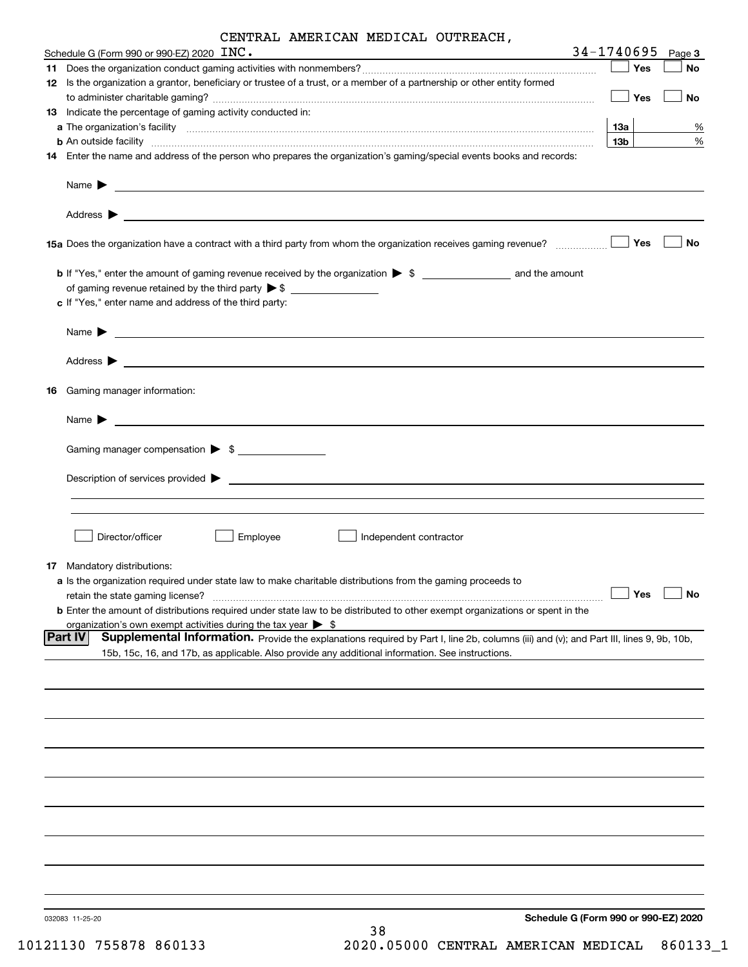|  | CENTRAL AMERICAN MEDICAL OUTREACH, |  |  |
|--|------------------------------------|--|--|
|--|------------------------------------|--|--|

| Schedule G (Form 990 or 990-EZ) 2020 $\text{INC.}$                                                                                                                                                                                                           | 34-1740695      | Page 3    |
|--------------------------------------------------------------------------------------------------------------------------------------------------------------------------------------------------------------------------------------------------------------|-----------------|-----------|
|                                                                                                                                                                                                                                                              | Yes             | No        |
| 12 Is the organization a grantor, beneficiary or trustee of a trust, or a member of a partnership or other entity formed                                                                                                                                     |                 |           |
|                                                                                                                                                                                                                                                              | Yes             | <b>No</b> |
| 13 Indicate the percentage of gaming activity conducted in:                                                                                                                                                                                                  |                 |           |
|                                                                                                                                                                                                                                                              | 13a             | %         |
|                                                                                                                                                                                                                                                              | 13 <sub>b</sub> | $\%$      |
| 14 Enter the name and address of the person who prepares the organization's gaming/special events books and records:                                                                                                                                         |                 |           |
| Name $\blacktriangleright$ $\frac{1}{\sqrt{1-\frac{1}{2}}}\left\vert \frac{1}{\sqrt{1-\frac{1}{2}}}\right\vert$                                                                                                                                              |                 |           |
|                                                                                                                                                                                                                                                              |                 |           |
|                                                                                                                                                                                                                                                              | Yes             | <b>No</b> |
| c If "Yes," enter name and address of the third party:                                                                                                                                                                                                       |                 |           |
| Name $\triangleright$ $\ldots$ $\cdot$                                                                                                                                                                                                                       |                 |           |
|                                                                                                                                                                                                                                                              |                 |           |
| 16 Gaming manager information:                                                                                                                                                                                                                               |                 |           |
| Name $\blacktriangleright$                                                                                                                                                                                                                                   |                 |           |
| Gaming manager compensation > \$                                                                                                                                                                                                                             |                 |           |
|                                                                                                                                                                                                                                                              |                 |           |
|                                                                                                                                                                                                                                                              |                 |           |
| Director/officer<br>Employee<br>Independent contractor                                                                                                                                                                                                       |                 |           |
| 17 Mandatory distributions:                                                                                                                                                                                                                                  |                 |           |
| a Is the organization required under state law to make charitable distributions from the gaming proceeds to<br>retain the state gaming license?                                                                                                              | Yes             | No        |
| <b>b</b> Enter the amount of distributions required under state law to be distributed to other exempt organizations or spent in the                                                                                                                          |                 |           |
| organization's own exempt activities during the tax year $\triangleright$ \$                                                                                                                                                                                 |                 |           |
| Supplemental Information. Provide the explanations required by Part I, line 2b, columns (iii) and (v); and Part III, lines 9, 9b, 10b,<br><b>Part IV</b><br>15b, 15c, 16, and 17b, as applicable. Also provide any additional information. See instructions. |                 |           |
|                                                                                                                                                                                                                                                              |                 |           |
|                                                                                                                                                                                                                                                              |                 |           |
|                                                                                                                                                                                                                                                              |                 |           |
|                                                                                                                                                                                                                                                              |                 |           |
|                                                                                                                                                                                                                                                              |                 |           |
|                                                                                                                                                                                                                                                              |                 |           |
|                                                                                                                                                                                                                                                              |                 |           |
|                                                                                                                                                                                                                                                              |                 |           |
|                                                                                                                                                                                                                                                              |                 |           |
| Schedule G (Form 990 or 990-EZ) 2020<br>032083 11-25-20                                                                                                                                                                                                      |                 |           |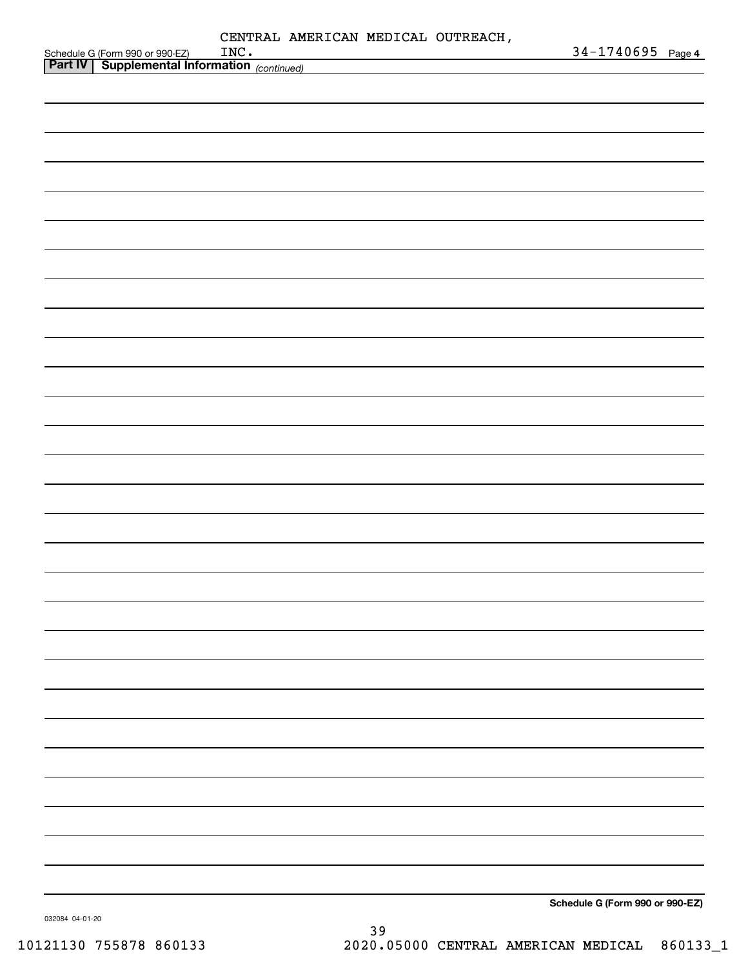|                                                                                               |  |  | $34 - 1740695$ Page 4           |  |
|-----------------------------------------------------------------------------------------------|--|--|---------------------------------|--|
| Schedule G (Form 990 or 990-EZ) INC.<br><b>Part IV   Supplemental Information</b> (continued) |  |  |                                 |  |
|                                                                                               |  |  |                                 |  |
|                                                                                               |  |  |                                 |  |
|                                                                                               |  |  |                                 |  |
|                                                                                               |  |  |                                 |  |
|                                                                                               |  |  |                                 |  |
|                                                                                               |  |  |                                 |  |
|                                                                                               |  |  |                                 |  |
|                                                                                               |  |  |                                 |  |
|                                                                                               |  |  |                                 |  |
|                                                                                               |  |  |                                 |  |
|                                                                                               |  |  |                                 |  |
|                                                                                               |  |  |                                 |  |
|                                                                                               |  |  |                                 |  |
|                                                                                               |  |  |                                 |  |
|                                                                                               |  |  |                                 |  |
|                                                                                               |  |  |                                 |  |
|                                                                                               |  |  |                                 |  |
|                                                                                               |  |  |                                 |  |
|                                                                                               |  |  |                                 |  |
|                                                                                               |  |  |                                 |  |
|                                                                                               |  |  |                                 |  |
|                                                                                               |  |  |                                 |  |
|                                                                                               |  |  |                                 |  |
|                                                                                               |  |  |                                 |  |
|                                                                                               |  |  |                                 |  |
|                                                                                               |  |  |                                 |  |
|                                                                                               |  |  |                                 |  |
|                                                                                               |  |  |                                 |  |
|                                                                                               |  |  |                                 |  |
|                                                                                               |  |  |                                 |  |
|                                                                                               |  |  |                                 |  |
|                                                                                               |  |  |                                 |  |
|                                                                                               |  |  |                                 |  |
|                                                                                               |  |  |                                 |  |
|                                                                                               |  |  |                                 |  |
|                                                                                               |  |  |                                 |  |
|                                                                                               |  |  |                                 |  |
|                                                                                               |  |  |                                 |  |
|                                                                                               |  |  |                                 |  |
|                                                                                               |  |  |                                 |  |
|                                                                                               |  |  |                                 |  |
|                                                                                               |  |  |                                 |  |
|                                                                                               |  |  |                                 |  |
|                                                                                               |  |  |                                 |  |
|                                                                                               |  |  |                                 |  |
|                                                                                               |  |  |                                 |  |
|                                                                                               |  |  |                                 |  |
|                                                                                               |  |  |                                 |  |
|                                                                                               |  |  |                                 |  |
|                                                                                               |  |  |                                 |  |
|                                                                                               |  |  |                                 |  |
|                                                                                               |  |  |                                 |  |
|                                                                                               |  |  |                                 |  |
|                                                                                               |  |  |                                 |  |
|                                                                                               |  |  | Schedule G (Form 990 or 990-EZ) |  |

032084 04-01-20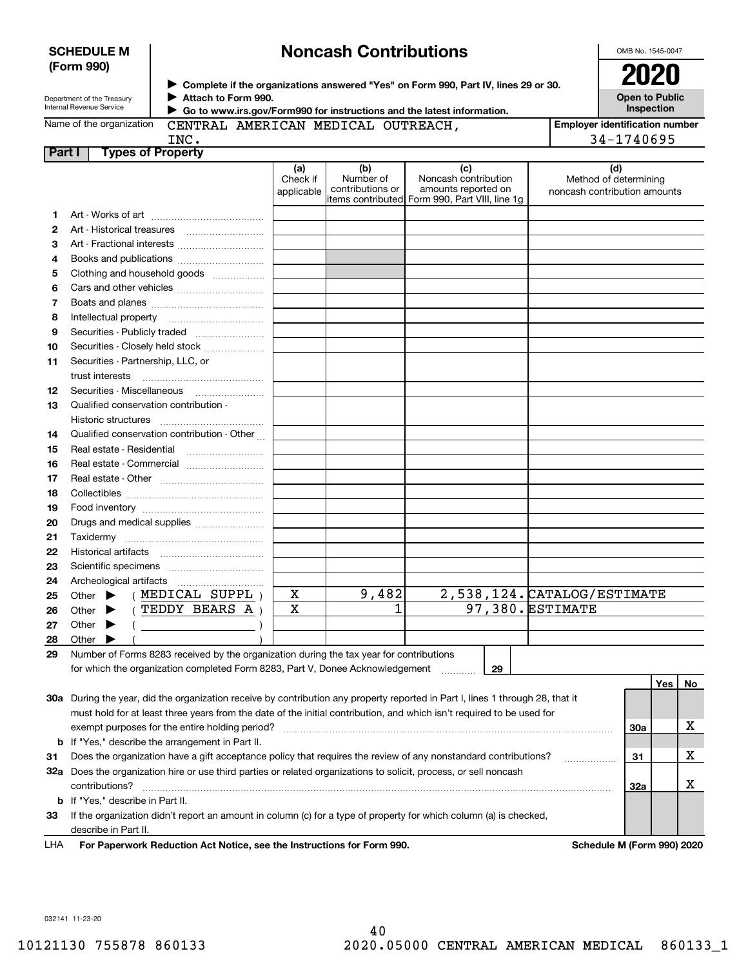|    | (Form 990)                                                   |                                             |                               |                                      | ► Complete if the organizations answered "Yes" on Form 990, Part IV, lines 29 or 30.                 |                                                              |
|----|--------------------------------------------------------------|---------------------------------------------|-------------------------------|--------------------------------------|------------------------------------------------------------------------------------------------------|--------------------------------------------------------------|
|    | Department of the Treasury<br>Internal Revenue Service       | Attach to Form 990.                         |                               |                                      | Go to www.irs.gov/Form990 for instructions and the latest information.                               | <b>Open to Public</b><br>Inspection                          |
|    | Name of the organization                                     | CENTRAL AMERICAN MEDICAL OUTREACH,          |                               |                                      |                                                                                                      | <b>Employer identification num</b>                           |
|    |                                                              | INC.                                        |                               |                                      |                                                                                                      | 34-1740695                                                   |
|    | Part I                                                       | <b>Types of Property</b>                    |                               |                                      |                                                                                                      |                                                              |
|    |                                                              |                                             | (a)<br>Check if<br>applicable | (b)<br>Number of<br>contributions or | (c)<br>Noncash contribution<br>amounts reported on<br>items contributed Form 990, Part VIII, line 1g | (d)<br>Method of determining<br>noncash contribution amounts |
| 1  |                                                              |                                             |                               |                                      |                                                                                                      |                                                              |
| 2  |                                                              |                                             |                               |                                      |                                                                                                      |                                                              |
| 3  |                                                              | Art - Fractional interests                  |                               |                                      |                                                                                                      |                                                              |
| 4  |                                                              | Books and publications                      |                               |                                      |                                                                                                      |                                                              |
| 5  |                                                              | Clothing and household goods                |                               |                                      |                                                                                                      |                                                              |
| 6  |                                                              |                                             |                               |                                      |                                                                                                      |                                                              |
| 7  |                                                              |                                             |                               |                                      |                                                                                                      |                                                              |
| 8  |                                                              |                                             |                               |                                      |                                                                                                      |                                                              |
| 9  |                                                              | Securities - Publicly traded                |                               |                                      |                                                                                                      |                                                              |
| 10 |                                                              | Securities - Closely held stock             |                               |                                      |                                                                                                      |                                                              |
| 11 | Securities - Partnership, LLC, or<br>trust interests         |                                             |                               |                                      |                                                                                                      |                                                              |
| 12 | Securities - Miscellaneous                                   |                                             |                               |                                      |                                                                                                      |                                                              |
| 13 | Qualified conservation contribution -<br>Historic structures |                                             |                               |                                      |                                                                                                      |                                                              |
| 14 |                                                              | Qualified conservation contribution - Other |                               |                                      |                                                                                                      |                                                              |
| 15 | Real estate - Residential                                    |                                             |                               |                                      |                                                                                                      |                                                              |
| 16 |                                                              | Real estate - Commercial                    |                               |                                      |                                                                                                      |                                                              |
| 17 |                                                              |                                             |                               |                                      |                                                                                                      |                                                              |
| 18 |                                                              |                                             |                               |                                      |                                                                                                      |                                                              |
| 19 |                                                              |                                             |                               |                                      |                                                                                                      |                                                              |
| 20 |                                                              | Drugs and medical supplies                  |                               |                                      |                                                                                                      |                                                              |
| 21 |                                                              |                                             |                               |                                      |                                                                                                      |                                                              |
| 22 | <b>Historical artifacts</b>                                  |                                             |                               |                                      |                                                                                                      |                                                              |

#### **SCHEDULE M (Form 990)**

# **Noncash Contributions**

OMB No. 1545-0047

**Inspection**

**Employer identification number** 34-1740695

| 2  |                                                                                                                                |   |       |    |                             |     |     |    |
|----|--------------------------------------------------------------------------------------------------------------------------------|---|-------|----|-----------------------------|-----|-----|----|
| 3  | Art - Fractional interests                                                                                                     |   |       |    |                             |     |     |    |
| 4  | Books and publications                                                                                                         |   |       |    |                             |     |     |    |
| 5  | Clothing and household goods                                                                                                   |   |       |    |                             |     |     |    |
| 6  |                                                                                                                                |   |       |    |                             |     |     |    |
| 7  |                                                                                                                                |   |       |    |                             |     |     |    |
| 8  |                                                                                                                                |   |       |    |                             |     |     |    |
| 9  | Securities - Publicly traded                                                                                                   |   |       |    |                             |     |     |    |
| 10 | Securities - Closely held stock                                                                                                |   |       |    |                             |     |     |    |
| 11 | Securities - Partnership, LLC, or                                                                                              |   |       |    |                             |     |     |    |
|    |                                                                                                                                |   |       |    |                             |     |     |    |
| 12 |                                                                                                                                |   |       |    |                             |     |     |    |
| 13 | Qualified conservation contribution -                                                                                          |   |       |    |                             |     |     |    |
|    |                                                                                                                                |   |       |    |                             |     |     |    |
| 14 | Qualified conservation contribution - Other                                                                                    |   |       |    |                             |     |     |    |
| 15 |                                                                                                                                |   |       |    |                             |     |     |    |
| 16 | Real estate - Commercial                                                                                                       |   |       |    |                             |     |     |    |
| 17 |                                                                                                                                |   |       |    |                             |     |     |    |
| 18 |                                                                                                                                |   |       |    |                             |     |     |    |
| 19 |                                                                                                                                |   |       |    |                             |     |     |    |
| 20 | Drugs and medical supplies                                                                                                     |   |       |    |                             |     |     |    |
| 21 |                                                                                                                                |   |       |    |                             |     |     |    |
| 22 |                                                                                                                                |   |       |    |                             |     |     |    |
| 23 |                                                                                                                                |   |       |    |                             |     |     |    |
| 24 |                                                                                                                                |   |       |    |                             |     |     |    |
| 25 | (MEDICAL SUPPL)<br>Other $\blacktriangleright$                                                                                 | X | 9,482 |    | 2,538,124. CATALOG/ESTIMATE |     |     |    |
| 26 | Other $\blacktriangleright$ (TEDDY BEARS A)                                                                                    | X | 1     |    | 97,380. ESTIMATE            |     |     |    |
| 27 | Other $\blacktriangleright$<br>$($ )                                                                                           |   |       |    |                             |     |     |    |
| 28 | Other $\blacktriangleright$                                                                                                    |   |       |    |                             |     |     |    |
| 29 | Number of Forms 8283 received by the organization during the tax year for contributions                                        |   |       |    |                             |     |     |    |
|    | for which the organization completed Form 8283, Part V, Donee Acknowledgement                                                  |   |       | 29 |                             |     |     |    |
|    |                                                                                                                                |   |       |    |                             |     | Yes | No |
|    | 30a During the year, did the organization receive by contribution any property reported in Part I, lines 1 through 28, that it |   |       |    |                             |     |     |    |
|    | must hold for at least three years from the date of the initial contribution, and which isn't required to be used for          |   |       |    |                             |     |     |    |
|    |                                                                                                                                |   |       |    |                             | 30a |     | x  |
|    | <b>b</b> If "Yes," describe the arrangement in Part II.                                                                        |   |       |    |                             |     |     |    |
| 31 | Does the organization have a gift acceptance policy that requires the review of any nonstandard contributions?                 |   |       |    | .                           | 31  |     | x  |
|    | 32a Does the organization hire or use third parties or related organizations to solicit, process, or sell noncash              |   |       |    |                             |     |     |    |
|    | contributions?                                                                                                                 |   |       |    |                             | 32a |     | x  |
|    | <b>b</b> If "Yes," describe in Part II.                                                                                        |   |       |    |                             |     |     |    |
| 33 | If the organization didn't report an amount in column (c) for a type of property for which column (a) is checked,              |   |       |    |                             |     |     |    |

describe in Part II.

For Paperwork Reduction Act Notice, see the Instructions for Form 990. **Schedule M (Form 990) 2020** LHA

032141 11-23-20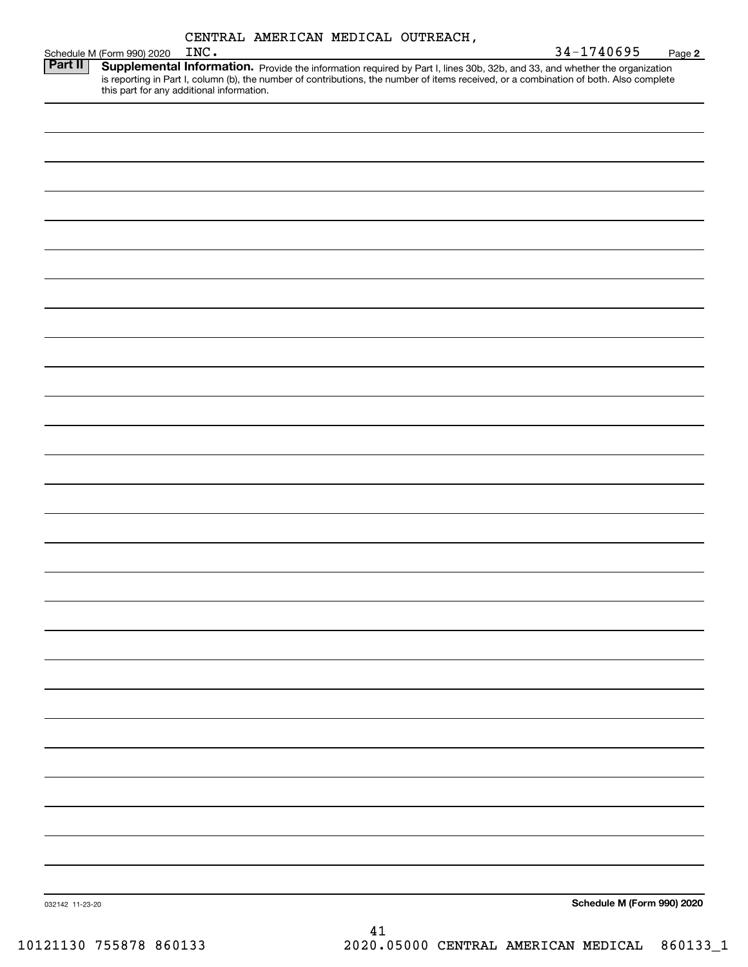| CENTRAL AMERICAN MEDICAL OUTREACH, |  |
|------------------------------------|--|
|                                    |  |

|                 | Schedule M (Form 990) 2020                | INC. |  |    |  | 34-1740695                                                                                                                                                                                                                                                           | Page 2 |
|-----------------|-------------------------------------------|------|--|----|--|----------------------------------------------------------------------------------------------------------------------------------------------------------------------------------------------------------------------------------------------------------------------|--------|
| <b>Part II</b>  | this part for any additional information. |      |  |    |  | Supplemental Information. Provide the information required by Part I, lines 30b, 32b, and 33, and whether the organization<br>is reporting in Part I, column (b), the number of contributions, the number of items received, or a combination of both. Also complete |        |
|                 |                                           |      |  |    |  |                                                                                                                                                                                                                                                                      |        |
|                 |                                           |      |  |    |  |                                                                                                                                                                                                                                                                      |        |
|                 |                                           |      |  |    |  |                                                                                                                                                                                                                                                                      |        |
|                 |                                           |      |  |    |  |                                                                                                                                                                                                                                                                      |        |
|                 |                                           |      |  |    |  |                                                                                                                                                                                                                                                                      |        |
|                 |                                           |      |  |    |  |                                                                                                                                                                                                                                                                      |        |
|                 |                                           |      |  |    |  |                                                                                                                                                                                                                                                                      |        |
|                 |                                           |      |  |    |  |                                                                                                                                                                                                                                                                      |        |
|                 |                                           |      |  |    |  |                                                                                                                                                                                                                                                                      |        |
|                 |                                           |      |  |    |  |                                                                                                                                                                                                                                                                      |        |
|                 |                                           |      |  |    |  |                                                                                                                                                                                                                                                                      |        |
|                 |                                           |      |  |    |  |                                                                                                                                                                                                                                                                      |        |
|                 |                                           |      |  |    |  |                                                                                                                                                                                                                                                                      |        |
|                 |                                           |      |  |    |  |                                                                                                                                                                                                                                                                      |        |
|                 |                                           |      |  |    |  |                                                                                                                                                                                                                                                                      |        |
|                 |                                           |      |  |    |  |                                                                                                                                                                                                                                                                      |        |
|                 |                                           |      |  |    |  |                                                                                                                                                                                                                                                                      |        |
|                 |                                           |      |  |    |  |                                                                                                                                                                                                                                                                      |        |
|                 |                                           |      |  |    |  |                                                                                                                                                                                                                                                                      |        |
|                 |                                           |      |  |    |  |                                                                                                                                                                                                                                                                      |        |
|                 |                                           |      |  |    |  |                                                                                                                                                                                                                                                                      |        |
|                 |                                           |      |  |    |  |                                                                                                                                                                                                                                                                      |        |
|                 |                                           |      |  |    |  |                                                                                                                                                                                                                                                                      |        |
|                 |                                           |      |  |    |  |                                                                                                                                                                                                                                                                      |        |
|                 |                                           |      |  |    |  |                                                                                                                                                                                                                                                                      |        |
|                 |                                           |      |  |    |  |                                                                                                                                                                                                                                                                      |        |
|                 |                                           |      |  |    |  |                                                                                                                                                                                                                                                                      |        |
| 032142 11-23-20 |                                           |      |  |    |  | Schedule M (Form 990) 2020                                                                                                                                                                                                                                           |        |
|                 |                                           |      |  | 41 |  |                                                                                                                                                                                                                                                                      |        |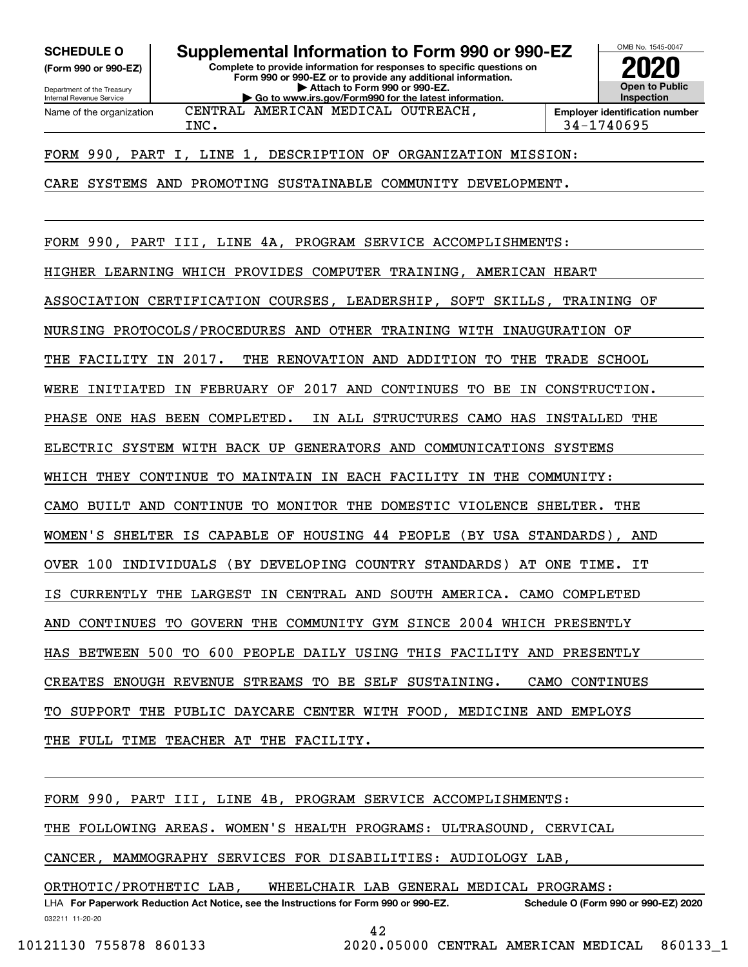**(Form 990 or 990-EZ)**

Department of the Treasury Internal Revenue Service Name of the organization

**Complete to provide information for responses to specific questions on Form 990 or 990-EZ or to provide any additional information. | Attach to Form 990 or 990-EZ. | Go to www.irs.gov/Form990 for the latest information. SCHEDULE O Supplemental Information to Form 990 or 990-EZ**

CENTRAL AMERICAN MEDICAL OUTREACH,



INC. 34-1740695

FORM 990, PART I, LINE 1, DESCRIPTION OF ORGANIZATION MISSION:

CARE SYSTEMS AND PROMOTING SUSTAINABLE COMMUNITY DEVELOPMENT.

FORM 990, PART III, LINE 4A, PROGRAM SERVICE ACCOMPLISHMENTS: HIGHER LEARNING WHICH PROVIDES COMPUTER TRAINING, AMERICAN HEART ASSOCIATION CERTIFICATION COURSES, LEADERSHIP, SOFT SKILLS, TRAINING OF NURSING PROTOCOLS/PROCEDURES AND OTHER TRAINING WITH INAUGURATION OF THE FACILITY IN 2017. THE RENOVATION AND ADDITION TO THE TRADE SCHOOL WERE INITIATED IN FEBRUARY OF 2017 AND CONTINUES TO BE IN CONSTRUCTION. PHASE ONE HAS BEEN COMPLETED. IN ALL STRUCTURES CAMO HAS INSTALLED THE ELECTRIC SYSTEM WITH BACK UP GENERATORS AND COMMUNICATIONS SYSTEMS WHICH THEY CONTINUE TO MAINTAIN IN EACH FACILITY IN THE COMMUNITY: CAMO BUILT AND CONTINUE TO MONITOR THE DOMESTIC VIOLENCE SHELTER. THE WOMEN'S SHELTER IS CAPABLE OF HOUSING 44 PEOPLE (BY USA STANDARDS), AND OVER 100 INDIVIDUALS (BY DEVELOPING COUNTRY STANDARDS) AT ONE TIME. IT IS CURRENTLY THE LARGEST IN CENTRAL AND SOUTH AMERICA. CAMO COMPLETED AND CONTINUES TO GOVERN THE COMMUNITY GYM SINCE 2004 WHICH PRESENTLY HAS BETWEEN 500 TO 600 PEOPLE DAILY USING THIS FACILITY AND PRESENTLY CREATES ENOUGH REVENUE STREAMS TO BE SELF SUSTAINING. CAMO CONTINUES TO SUPPORT THE PUBLIC DAYCARE CENTER WITH FOOD, MEDICINE AND EMPLOYS THE FULL TIME TEACHER AT THE FACILITY.

FORM 990, PART III, LINE 4B, PROGRAM SERVICE ACCOMPLISHMENTS:

THE FOLLOWING AREAS. WOMEN'S HEALTH PROGRAMS: ULTRASOUND, CERVICAL

CANCER, MAMMOGRAPHY SERVICES FOR DISABILITIES: AUDIOLOGY LAB,

ORTHOTIC/PROTHETIC LAB, WHEELCHAIR LAB GENERAL MEDICAL PROGRAMS:

032211 11-20-20 LHA For Paperwork Reduction Act Notice, see the Instructions for Form 990 or 990-EZ. Schedule O (Form 990 or 990-EZ) 2020

42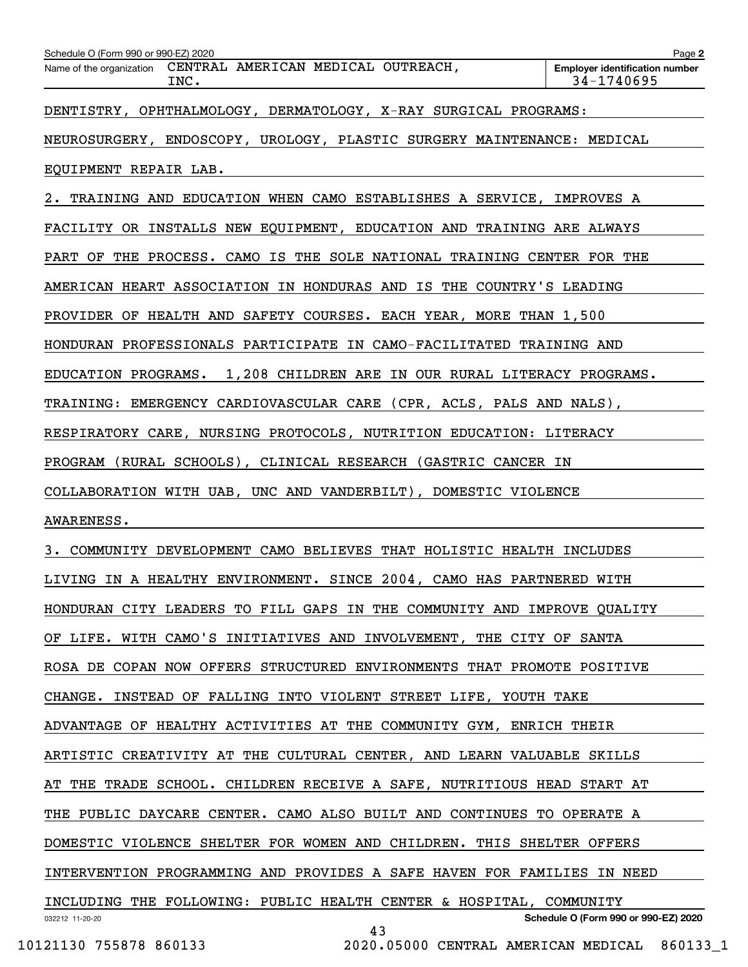| Schedule O (Form 990 or 990-EZ) 2020<br>Name of the organization CENTRAL AMERICAN MEDICAL OUTREACH,<br>INC. |                                              | Page 2<br><b>Employer identification number</b><br>$34 - 1740695$ |
|-------------------------------------------------------------------------------------------------------------|----------------------------------------------|-------------------------------------------------------------------|
| DENTISTRY, OPHTHALMOLOGY, DERMATOLOGY, X-RAY SURGICAL PROGRAMS:                                             |                                              |                                                                   |
| NEUROSURGERY, ENDOSCOPY, UROLOGY, PLASTIC SURGERY MAINTENANCE: MEDICAL                                      |                                              |                                                                   |
| EQUIPMENT REPAIR LAB.                                                                                       |                                              |                                                                   |
| 2. TRAINING AND EDUCATION WHEN CAMO ESTABLISHES A SERVICE, IMPROVES A                                       |                                              |                                                                   |
| FACILITY OR INSTALLS NEW EQUIPMENT, EDUCATION AND TRAINING ARE ALWAYS                                       |                                              |                                                                   |
| PART OF THE PROCESS. CAMO IS THE SOLE NATIONAL TRAINING CENTER FOR THE                                      |                                              |                                                                   |
| AMERICAN HEART ASSOCIATION IN HONDURAS AND IS THE COUNTRY'S LEADING                                         |                                              |                                                                   |
| PROVIDER OF HEALTH AND SAFETY COURSES. EACH YEAR, MORE THAN 1,500                                           |                                              |                                                                   |
| HONDURAN PROFESSIONALS PARTICIPATE IN CAMO-FACILITATED TRAINING AND                                         |                                              |                                                                   |
| EDUCATION PROGRAMS. 1,208 CHILDREN ARE IN OUR RURAL LITERACY PROGRAMS.                                      |                                              |                                                                   |
| TRAINING: EMERGENCY CARDIOVASCULAR CARE (CPR, ACLS, PALS AND NALS),                                         |                                              |                                                                   |
| RESPIRATORY CARE, NURSING PROTOCOLS, NUTRITION EDUCATION: LITERACY                                          |                                              |                                                                   |
| PROGRAM (RURAL SCHOOLS), CLINICAL RESEARCH (GASTRIC CANCER IN                                               |                                              |                                                                   |
| COLLABORATION WITH UAB, UNC AND VANDERBILT), DOMESTIC VIOLENCE                                              |                                              |                                                                   |
| AWARENESS.                                                                                                  |                                              |                                                                   |
| 3. COMMUNITY DEVELOPMENT CAMO BELIEVES THAT HOLISTIC HEALTH INCLUDES                                        |                                              |                                                                   |
| LIVING IN A HEALTHY ENVIRONMENT. SINCE 2004, CAMO HAS PARTNERED WITH                                        |                                              |                                                                   |
| HONDURAN CITY LEADERS TO FILL GAPS IN THE COMMUNITY AND IMPROVE QUALITY                                     |                                              |                                                                   |
| OF LIFE. WITH CAMO'S INITIATIVES AND INVOLVEMENT, THE CITY OF SANTA                                         |                                              |                                                                   |
| ROSA DE COPAN NOW OFFERS STRUCTURED ENVIRONMENTS THAT PROMOTE POSITIVE                                      |                                              |                                                                   |
| CHANGE. INSTEAD OF FALLING INTO VIOLENT STREET LIFE, YOUTH TAKE                                             |                                              |                                                                   |
| ADVANTAGE OF HEALTHY ACTIVITIES AT THE COMMUNITY GYM, ENRICH THEIR                                          |                                              |                                                                   |
| ARTISTIC CREATIVITY AT THE CULTURAL CENTER, AND LEARN VALUABLE SKILLS                                       |                                              |                                                                   |
| AT THE TRADE SCHOOL. CHILDREN RECEIVE A SAFE, NUTRITIOUS HEAD START AT                                      |                                              |                                                                   |
| THE PUBLIC DAYCARE CENTER. CAMO ALSO BUILT AND CONTINUES TO OPERATE A                                       |                                              |                                                                   |
| DOMESTIC VIOLENCE SHELTER FOR WOMEN AND CHILDREN. THIS SHELTER OFFERS                                       |                                              |                                                                   |
| INTERVENTION PROGRAMMING AND PROVIDES A SAFE HAVEN FOR FAMILIES IN NEED                                     |                                              |                                                                   |
| INCLUDING THE FOLLOWING: PUBLIC HEALTH CENTER & HOSPITAL, COMMUNITY                                         |                                              |                                                                   |
| 032212 11-20-20                                                                                             | 43                                           | Schedule O (Form 990 or 990-EZ) 2020                              |
| 10121130 755878 860133                                                                                      | 2020.05000 CENTRAL AMERICAN MEDICAL 860133 1 |                                                                   |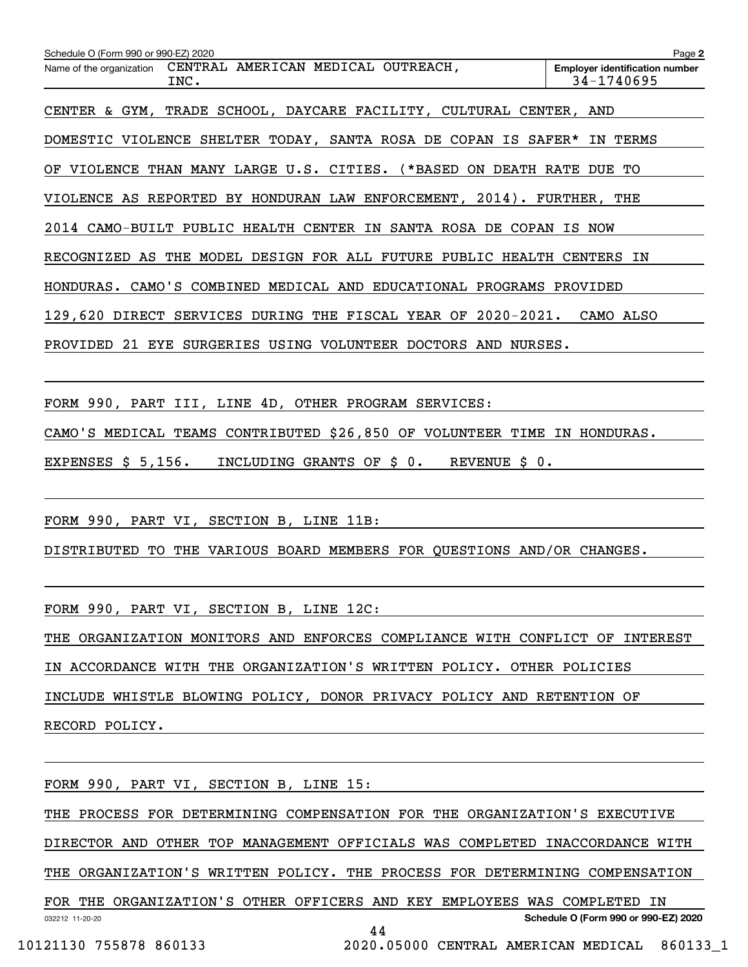| Schedule O (Form 990 or 990-EZ) 2020                                         | Page 2                                              |  |  |  |
|------------------------------------------------------------------------------|-----------------------------------------------------|--|--|--|
| CENTRAL AMERICAN MEDICAL OUTREACH,<br>Name of the organization<br>INC.       | <b>Employer identification number</b><br>34-1740695 |  |  |  |
| CENTER & GYM, TRADE SCHOOL, DAYCARE FACILITY, CULTURAL CENTER, AND           |                                                     |  |  |  |
| DOMESTIC VIOLENCE SHELTER TODAY, SANTA ROSA DE COPAN IS SAFER*               | TERMS<br>IN                                         |  |  |  |
| VIOLENCE THAN MANY LARGE U.S. CITIES. (*BASED<br>ON<br>DEATH RATE<br>OF      | DUE TO                                              |  |  |  |
| VIOLENCE AS REPORTED BY HONDURAN LAW ENFORCEMENT, 2014). FURTHER, THE        |                                                     |  |  |  |
| 2014 CAMO-BUILT PUBLIC HEALTH CENTER IN SANTA ROSA DE<br>COPAN<br>IS.<br>NOW |                                                     |  |  |  |
| RECOGNIZED AS THE MODEL DESIGN FOR ALL FUTURE PUBLIC HEALTH CENTERS IN       |                                                     |  |  |  |
| CAMO'S COMBINED MEDICAL AND EDUCATIONAL PROGRAMS PROVIDED<br>HONDURAS.       |                                                     |  |  |  |
| $2020 - 2021$ .<br>129,620<br>DIRECT SERVICES<br>DURING THE FISCAL YEAR OF   | CAMO ALSO                                           |  |  |  |
| PROVIDED<br>21<br>SURGERIES USING VOLUNTEER DOCTORS AND<br>EYE<br>NURSES.    |                                                     |  |  |  |
|                                                                              |                                                     |  |  |  |

FORM 990, PART III, LINE 4D, OTHER PROGRAM SERVICES:

CAMO'S MEDICAL TEAMS CONTRIBUTED \$26,850 OF VOLUNTEER TIME IN HONDURAS.

EXPENSES \$ 5,156. INCLUDING GRANTS OF \$ 0. REVENUE \$ 0.

FORM 990, PART VI, SECTION B, LINE 11B:

DISTRIBUTED TO THE VARIOUS BOARD MEMBERS FOR QUESTIONS AND/OR CHANGES.

FORM 990, PART VI, SECTION B, LINE 12C:

THE ORGANIZATION MONITORS AND ENFORCES COMPLIANCE WITH CONFLICT OF INTEREST

IN ACCORDANCE WITH THE ORGANIZATION'S WRITTEN POLICY. OTHER POLICIES

INCLUDE WHISTLE BLOWING POLICY, DONOR PRIVACY POLICY AND RETENTION OF

RECORD POLICY.

FORM 990, PART VI, SECTION B, LINE 15:

THE PROCESS FOR DETERMINING COMPENSATION FOR THE ORGANIZATION'S EXECUTIVE

DIRECTOR AND OTHER TOP MANAGEMENT OFFICIALS WAS COMPLETED INACCORDANCE WITH

THE ORGANIZATION'S WRITTEN POLICY. THE PROCESS FOR DETERMINING COMPENSATION

032212 11-20-20 **Schedule O (Form 990 or 990-EZ) 2020** FOR THE ORGANIZATION'S OTHER OFFICERS AND KEY EMPLOYEES WAS COMPLETED IN 44

10121130 755878 860133 2020.05000 CENTRAL AMERICAN MEDICAL 860133\_1